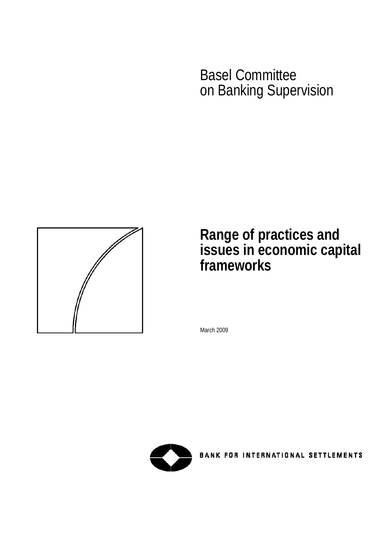Basel Committee on Banking Supervision



# **Range of practices and issues in economic capital frameworks**

March 2009



**BANK FOR INTERNATIONAL SETTLEMENTS**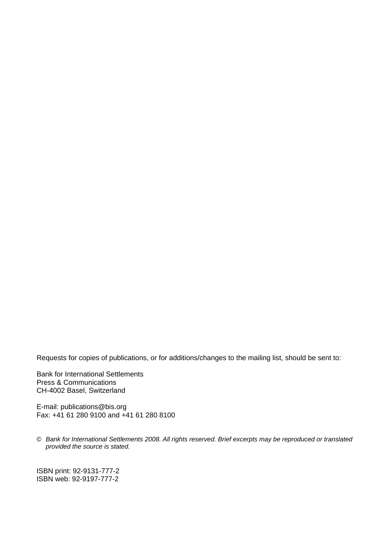Requests for copies of publications, or for additions/changes to the mailing list, should be sent to:

Bank for International Settlements Press & Communications CH-4002 Basel, Switzerland

E-mail: [publications@bis.org](mailto:publications@bis.org) Fax: +41 61 280 9100 and +41 61 280 8100

© *Bank for International Settlements 2008. All rights reserved. Brief excerpts may be reproduced or translated provided the source is stated.* 

ISBN print: 92-9131-777-2 ISBN web: 92-9197-777-2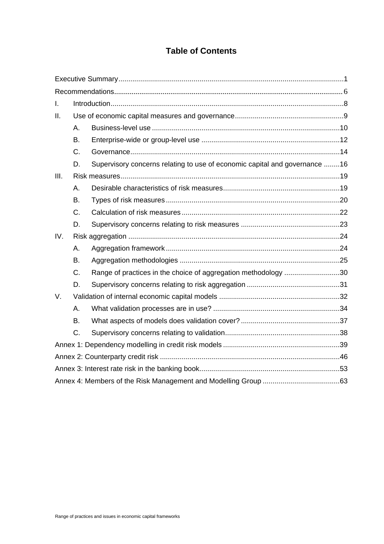# **Table of Contents**

| I.   |           |                                                                            |  |  |  |  |
|------|-----------|----------------------------------------------------------------------------|--|--|--|--|
| ΙΙ.  |           |                                                                            |  |  |  |  |
|      | Α.        |                                                                            |  |  |  |  |
|      | <b>B.</b> |                                                                            |  |  |  |  |
|      | C.        |                                                                            |  |  |  |  |
|      | D.        | Supervisory concerns relating to use of economic capital and governance 16 |  |  |  |  |
| III. |           |                                                                            |  |  |  |  |
|      | Α.        |                                                                            |  |  |  |  |
|      | <b>B.</b> |                                                                            |  |  |  |  |
|      | C.        |                                                                            |  |  |  |  |
|      | D.        |                                                                            |  |  |  |  |
| IV.  |           |                                                                            |  |  |  |  |
|      | А.        |                                                                            |  |  |  |  |
|      | <b>B.</b> |                                                                            |  |  |  |  |
|      | C.        | Range of practices in the choice of aggregation methodology 30             |  |  |  |  |
|      | D.        |                                                                            |  |  |  |  |
| V.   |           |                                                                            |  |  |  |  |
|      | Α.        |                                                                            |  |  |  |  |
|      | <b>B.</b> |                                                                            |  |  |  |  |
|      | C.        |                                                                            |  |  |  |  |
|      |           |                                                                            |  |  |  |  |
|      |           |                                                                            |  |  |  |  |
|      |           |                                                                            |  |  |  |  |
|      |           |                                                                            |  |  |  |  |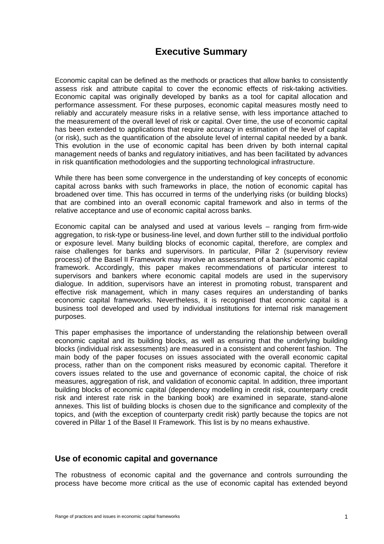# **Executive Summary**

<span id="page-6-0"></span>Economic capital can be defined as the methods or practices that allow banks to consistently assess risk and attribute capital to cover the economic effects of risk-taking activities. Economic capital was originally developed by banks as a tool for capital allocation and performance assessment. For these purposes, economic capital measures mostly need to reliably and accurately measure risks in a relative sense, with less importance attached to the measurement of the overall level of risk or capital. Over time, the use of economic capital has been extended to applications that require accuracy in estimation of the level of capital (or risk), such as the quantification of the absolute level of internal capital needed by a bank. This evolution in the use of economic capital has been driven by both internal capital management needs of banks and regulatory initiatives, and has been facilitated by advances in risk quantification methodologies and the supporting technological infrastructure.

While there has been some convergence in the understanding of key concepts of economic capital across banks with such frameworks in place, the notion of economic capital has broadened over time. This has occurred in terms of the underlying risks (or building blocks) that are combined into an overall economic capital framework and also in terms of the relative acceptance and use of economic capital across banks.

Economic capital can be analysed and used at various levels – ranging from firm-wide aggregation, to risk-type or business-line level, and down further still to the individual portfolio or exposure level. Many building blocks of economic capital, therefore, are complex and raise challenges for banks and supervisors. In particular, Pillar 2 (supervisory review process) of the Basel II Framework may involve an assessment of a banks' economic capital framework. Accordingly, this paper makes recommendations of particular interest to supervisors and bankers where economic capital models are used in the supervisory dialogue. In addition, supervisors have an interest in promoting robust, transparent and effective risk management, which in many cases requires an understanding of banks economic capital frameworks. Nevertheless, it is recognised that economic capital is a business tool developed and used by individual institutions for internal risk management purposes.

This paper emphasises the importance of understanding the relationship between overall economic capital and its building blocks, as well as ensuring that the underlying building blocks (individual risk assessments) are measured in a consistent and coherent fashion. The main body of the paper focuses on issues associated with the overall economic capital process, rather than on the component risks measured by economic capital. Therefore it covers issues related to the use and governance of economic capital, the choice of risk measures, aggregation of risk, and validation of economic capital. In addition, three important building blocks of economic capital (dependency modelling in credit risk, counterparty credit risk and interest rate risk in the banking book) are examined in separate, stand-alone annexes. This list of building blocks is chosen due to the significance and complexity of the topics, and (with the exception of counterparty credit risk) partly because the topics are not covered in Pillar 1 of the Basel II Framework. This list is by no means exhaustive.

#### **Use of economic capital and governance**

The robustness of economic capital and the governance and controls surrounding the process have become more critical as the use of economic capital has extended beyond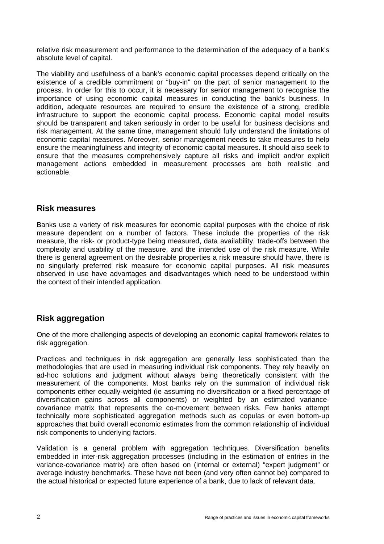relative risk measurement and performance to the determination of the adequacy of a bank's absolute level of capital.

The viability and usefulness of a bank's economic capital processes depend critically on the existence of a credible commitment or "buy-in" on the part of senior management to the process. In order for this to occur, it is necessary for senior management to recognise the importance of using economic capital measures in conducting the bank's business. In addition, adequate resources are required to ensure the existence of a strong, credible infrastructure to support the economic capital process. Economic capital model results should be transparent and taken seriously in order to be useful for business decisions and risk management. At the same time, management should fully understand the limitations of economic capital measures. Moreover, senior management needs to take measures to help ensure the meaningfulness and integrity of economic capital measures. It should also seek to ensure that the measures comprehensively capture all risks and implicit and/or explicit management actions embedded in measurement processes are both realistic and actionable.

## **Risk measures**

Banks use a variety of risk measures for economic capital purposes with the choice of risk measure dependent on a number of factors. These include the properties of the risk measure, the risk- or product-type being measured, data availability, trade-offs between the complexity and usability of the measure, and the intended use of the risk measure. While there is general agreement on the desirable properties a risk measure should have, there is no singularly preferred risk measure for economic capital purposes. All risk measures observed in use have advantages and disadvantages which need to be understood within the context of their intended application.

## **Risk aggregation**

One of the more challenging aspects of developing an economic capital framework relates to risk aggregation.

Practices and techniques in risk aggregation are generally less sophisticated than the methodologies that are used in measuring individual risk components. They rely heavily on ad-hoc solutions and judgment without always being theoretically consistent with the measurement of the components. Most banks rely on the summation of individual risk components either equally-weighted (ie assuming no diversification or a fixed percentage of diversification gains across all components) or weighted by an estimated variancecovariance matrix that represents the co-movement between risks. Few banks attempt technically more sophisticated aggregation methods such as copulas or even bottom-up approaches that build overall economic estimates from the common relationship of individual risk components to underlying factors.

Validation is a general problem with aggregation techniques. Diversification benefits embedded in inter-risk aggregation processes (including in the estimation of entries in the variance-covariance matrix) are often based on (internal or external) "expert judgment" or average industry benchmarks. These have not been (and very often cannot be) compared to the actual historical or expected future experience of a bank, due to lack of relevant data.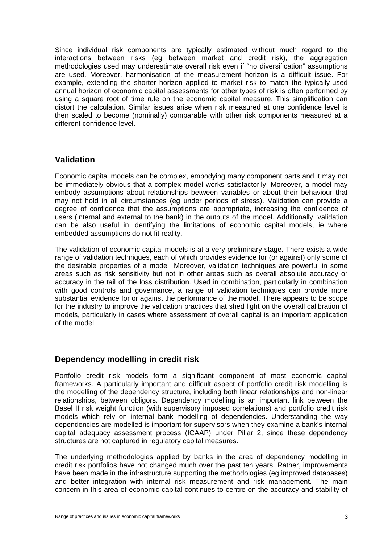Since individual risk components are typically estimated without much regard to the interactions between risks (eg between market and credit risk), the aggregation methodologies used may underestimate overall risk even if "no diversification" assumptions are used. Moreover, harmonisation of the measurement horizon is a difficult issue. For example, extending the shorter horizon applied to market risk to match the typically-used annual horizon of economic capital assessments for other types of risk is often performed by using a square root of time rule on the economic capital measure. This simplification can distort the calculation. Similar issues arise when risk measured at one confidence level is then scaled to become (nominally) comparable with other risk components measured at a different confidence level.

## **Validation**

Economic capital models can be complex, embodying many component parts and it may not be immediately obvious that a complex model works satisfactorily. Moreover, a model may embody assumptions about relationships between variables or about their behaviour that may not hold in all circumstances (eg under periods of stress). Validation can provide a degree of confidence that the assumptions are appropriate, increasing the confidence of users (internal and external to the bank) in the outputs of the model. Additionally, validation can be also useful in identifying the limitations of economic capital models, ie where embedded assumptions do not fit reality.

The validation of economic capital models is at a very preliminary stage. There exists a wide range of validation techniques, each of which provides evidence for (or against) only some of the desirable properties of a model. Moreover, validation techniques are powerful in some areas such as risk sensitivity but not in other areas such as overall absolute accuracy or accuracy in the tail of the loss distribution. Used in combination, particularly in combination with good controls and governance, a range of validation techniques can provide more substantial evidence for or against the performance of the model. There appears to be scope for the industry to improve the validation practices that shed light on the overall calibration of models, particularly in cases where assessment of overall capital is an important application of the model.

### **Dependency modelling in credit risk**

Portfolio credit risk models form a significant component of most economic capital frameworks. A particularly important and difficult aspect of portfolio credit risk modelling is the modelling of the dependency structure, including both linear relationships and non-linear relationships, between obligors. Dependency modelling is an important link between the Basel II risk weight function (with supervisory imposed correlations) and portfolio credit risk models which rely on internal bank modelling of dependencies. Understanding the way dependencies are modelled is important for supervisors when they examine a bank's internal capital adequacy assessment process (ICAAP) under Pillar 2, since these dependency structures are not captured in regulatory capital measures.

The underlying methodologies applied by banks in the area of dependency modelling in credit risk portfolios have not changed much over the past ten years. Rather, improvements have been made in the infrastructure supporting the methodologies (eg improved databases) and better integration with internal risk measurement and risk management. The main concern in this area of economic capital continues to centre on the accuracy and stability of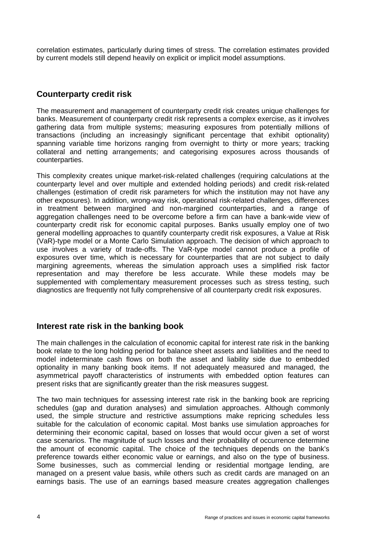correlation estimates, particularly during times of stress. The correlation estimates provided by current models still depend heavily on explicit or implicit model assumptions.

## **Counterparty credit risk**

The measurement and management of counterparty credit risk creates unique challenges for banks. Measurement of counterparty credit risk represents a complex exercise, as it involves gathering data from multiple systems; measuring exposures from potentially millions of transactions (including an increasingly significant percentage that exhibit optionality) spanning variable time horizons ranging from overnight to thirty or more years; tracking collateral and netting arrangements; and categorising exposures across thousands of counterparties.

This complexity creates unique market-risk-related challenges (requiring calculations at the counterparty level and over multiple and extended holding periods) and credit risk-related challenges (estimation of credit risk parameters for which the institution may not have any other exposures). In addition, wrong-way risk, operational risk-related challenges, differences in treatment between margined and non-margined counterparties, and a range of aggregation challenges need to be overcome before a firm can have a bank-wide view of counterparty credit risk for economic capital purposes. Banks usually employ one of two general modelling approaches to quantify counterparty credit risk exposures, a Value at Risk (VaR)-type model or a Monte Carlo Simulation approach. The decision of which approach to use involves a variety of trade-offs. The VaR-type model cannot produce a profile of exposures over time, which is necessary for counterparties that are not subject to daily margining agreements, whereas the simulation approach uses a simplified risk factor representation and may therefore be less accurate. While these models may be supplemented with complementary measurement processes such as stress testing, such diagnostics are frequently not fully comprehensive of all counterparty credit risk exposures.

## **Interest rate risk in the banking book**

The main challenges in the calculation of economic capital for interest rate risk in the banking book relate to the long holding period for balance sheet assets and liabilities and the need to model indeterminate cash flows on both the asset and liability side due to embedded optionality in many banking book items. If not adequately measured and managed, the asymmetrical payoff characteristics of instruments with embedded option features can present risks that are significantly greater than the risk measures suggest.

The two main techniques for assessing interest rate risk in the banking book are repricing schedules (gap and duration analyses) and simulation approaches. Although commonly used, the simple structure and restrictive assumptions make repricing schedules less suitable for the calculation of economic capital. Most banks use simulation approaches for determining their economic capital, based on losses that would occur given a set of worst case scenarios. The magnitude of such losses and their probability of occurrence determine the amount of economic capital. The choice of the techniques depends on the bank's preference towards either economic value or earnings, and also on the type of business. Some businesses, such as commercial lending or residential mortgage lending, are managed on a present value basis, while others such as credit cards are managed on an earnings basis. The use of an earnings based measure creates aggregation challenges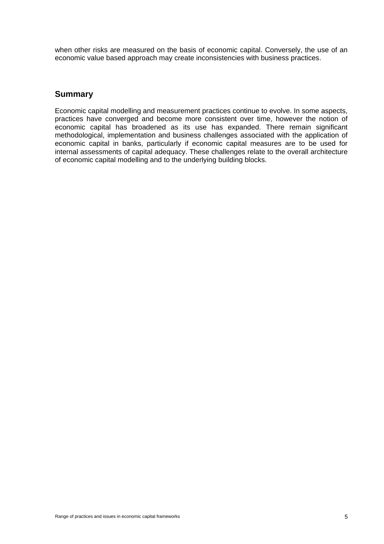when other risks are measured on the basis of economic capital. Conversely, the use of an economic value based approach may create inconsistencies with business practices.

## **Summary**

Economic capital modelling and measurement practices continue to evolve. In some aspects, practices have converged and become more consistent over time, however the notion of economic capital has broadened as its use has expanded. There remain significant methodological, implementation and business challenges associated with the application of economic capital in banks, particularly if economic capital measures are to be used for internal assessments of capital adequacy. These challenges relate to the overall architecture of economic capital modelling and to the underlying building blocks.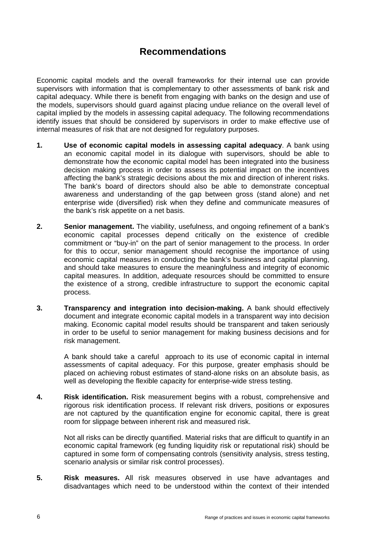# **Recommendations**

Economic capital models and the overall frameworks for their internal use can provide supervisors with information that is complementary to other assessments of bank risk and capital adequacy. While there is benefit from engaging with banks on the design and use of the models, supervisors should guard against placing undue reliance on the overall level of capital implied by the models in assessing capital adequacy. The following recommendations identify issues that should be considered by supervisors in order to make effective use of internal measures of risk that are not designed for regulatory purposes.

- **1. Use of economic capital models in assessing capital adequacy**. A bank using an economic capital model in its dialogue with supervisors, should be able to demonstrate how the economic capital model has been integrated into the business decision making process in order to assess its potential impact on the incentives affecting the bank's strategic decisions about the mix and direction of inherent risks. The bank's board of directors should also be able to demonstrate conceptual awareness and understanding of the gap between gross (stand alone) and net enterprise wide (diversified) risk when they define and communicate measures of the bank's risk appetite on a net basis.
- **2. Senior management.** The viability, usefulness, and ongoing refinement of a bank's economic capital processes depend critically on the existence of credible commitment or "buy-in" on the part of senior management to the process. In order for this to occur, senior management should recognise the importance of using economic capital measures in conducting the bank's business and capital planning, and should take measures to ensure the meaningfulness and integrity of economic capital measures. In addition, adequate resources should be committed to ensure the existence of a strong, credible infrastructure to support the economic capital process.
- **3. Transparency and integration into decision-making.** A bank should effectively document and integrate economic capital models in a transparent way into decision making. Economic capital model results should be transparent and taken seriously in order to be useful to senior management for making business decisions and for risk management.

A bank should take a careful approach to its use of economic capital in internal assessments of capital adequacy. For this purpose, greater emphasis should be placed on achieving robust estimates of stand-alone risks on an absolute basis, as well as developing the flexible capacity for enterprise-wide stress testing.

**4. Risk identification.** Risk measurement begins with a robust, comprehensive and rigorous risk identification process. If relevant risk drivers, positions or exposures are not captured by the quantification engine for economic capital, there is great room for slippage between inherent risk and measured risk.

Not all risks can be directly quantified. Material risks that are difficult to quantify in an economic capital framework (eg funding liquidity risk or reputational risk) should be captured in some form of compensating controls (sensitivity analysis, stress testing, scenario analysis or similar risk control processes).

**5. Risk measures.** All risk measures observed in use have advantages and disadvantages which need to be understood within the context of their intended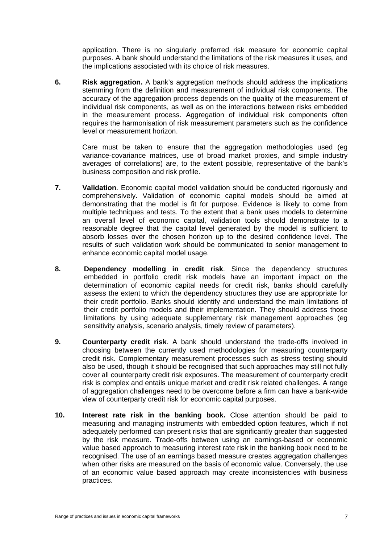application. There is no singularly preferred risk measure for economic capital purposes. A bank should understand the limitations of the risk measures it uses, and the implications associated with its choice of risk measures.

**6. Risk aggregation.** A bank's aggregation methods should address the implications stemming from the definition and measurement of individual risk components. The accuracy of the aggregation process depends on the quality of the measurement of individual risk components, as well as on the interactions between risks embedded in the measurement process. Aggregation of individual risk components often requires the harmonisation of risk measurement parameters such as the confidence level or measurement horizon.

Care must be taken to ensure that the aggregation methodologies used (eg variance-covariance matrices, use of broad market proxies, and simple industry averages of correlations) are, to the extent possible, representative of the bank's business composition and risk profile.

- **7.** Validation. Economic capital model validation should be conducted rigorously and comprehensively. Validation of economic capital models should be aimed at demonstrating that the model is fit for purpose. Evidence is likely to come from multiple techniques and tests. To the extent that a bank uses models to determine an overall level of economic capital, validation tools should demonstrate to a reasonable degree that the capital level generated by the model is sufficient to absorb losses over the chosen horizon up to the desired confidence level. The results of such validation work should be communicated to senior management to enhance economic capital model usage.
- **8. Dependency modelling in credit risk**. Since the dependency structures embedded in portfolio credit risk models have an important impact on the determination of economic capital needs for credit risk, banks should carefully assess the extent to which the dependency structures they use are appropriate for their credit portfolio. Banks should identify and understand the main limitations of their credit portfolio models and their implementation. They should address those limitations by using adequate supplementary risk management approaches (eg sensitivity analysis, scenario analysis, timely review of parameters).
- **9. Counterparty credit risk**. A bank should understand the trade-offs involved in choosing between the currently used methodologies for measuring counterparty credit risk. Complementary measurement processes such as stress testing should also be used, though it should be recognised that such approaches may still not fully cover all counterparty credit risk exposures. The measurement of counterparty credit risk is complex and entails unique market and credit risk related challenges. A range of aggregation challenges need to be overcome before a firm can have a bank-wide view of counterparty credit risk for economic capital purposes.
- **10. Interest rate risk in the banking book.** Close attention should be paid to measuring and managing instruments with embedded option features, which if not adequately performed can present risks that are significantly greater than suggested by the risk measure. Trade-offs between using an earnings-based or economic value based approach to measuring interest rate risk in the banking book need to be recognised. The use of an earnings based measure creates aggregation challenges when other risks are measured on the basis of economic value. Conversely, the use of an economic value based approach may create inconsistencies with business practices.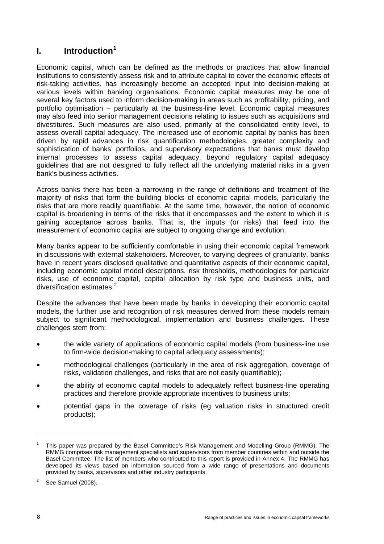## <span id="page-13-0"></span>**I. Introduction[1](#page-13-1)**

Economic capital, which can be defined as the methods or practices that allow financial institutions to consistently assess risk and to attribute capital to cover the economic effects of risk-taking activities, has increasingly become an accepted input into decision-making at various levels within banking organisations. Economic capital measures may be one of several key factors used to inform decision-making in areas such as profitability, pricing, and portfolio optimisation – particularly at the business-line level. Economic capital measures may also feed into senior management decisions relating to issues such as acquisitions and divestitures. Such measures are also used, primarily at the consolidated entity level, to assess overall capital adequacy. The increased use of economic capital by banks has been driven by rapid advances in risk quantification methodologies, greater complexity and sophistication of banks' portfolios, and supervisory expectations that banks must develop internal processes to assess capital adequacy, beyond regulatory capital adequacy guidelines that are not designed to fully reflect all the underlying material risks in a given bank's business activities.

Across banks there has been a narrowing in the range of definitions and treatment of the majority of risks that form the building blocks of economic capital models, particularly the risks that are more readily quantifiable. At the same time, however, the notion of economic capital is broadening in terms of the risks that it encompasses and the extent to which it is gaining acceptance across banks. That is, the inputs (or risks) that feed into the measurement of economic capital are subject to ongoing change and evolution.

Many banks appear to be sufficiently comfortable in using their economic capital framework in discussions with external stakeholders. Moreover, to varying degrees of granularity, banks have in recent years disclosed qualitative and quantitative aspects of their economic capital, including economic capital model descriptions, risk thresholds, methodologies for particular risks, use of economic capital, capital allocation by risk type and business units, and diversification estimates. $2$ 

Despite the advances that have been made by banks in developing their economic capital models, the further use and recognition of risk measures derived from these models remain subject to significant methodological, implementation and business challenges. These challenges stem from:

- the wide variety of applications of economic capital models (from business-line use to firm-wide decision-making to capital adequacy assessments);
- methodological challenges (particularly in the area of risk aggregation, coverage of risks, validation challenges, and risks that are not easily quantifiable);
- the ability of economic capital models to adequately reflect business-line operating practices and therefore provide appropriate incentives to business units;
- potential gaps in the coverage of risks (eg valuation risks in structured credit products);

<span id="page-13-1"></span><sup>1</sup> This paper was prepared by the Basel Committee's Risk Management and Modelling Group (RMMG). The RMMG comprises risk management specialists and supervisors from member countries within and outside the Basel Committee. The list of members who contributed to this report is provided in Annex 4. The RMMG has developed its views based on information sourced from a wide range of presentations and documents provided by banks, supervisors and other industry participants.

<span id="page-13-2"></span><sup>2</sup> See Samuel (2008).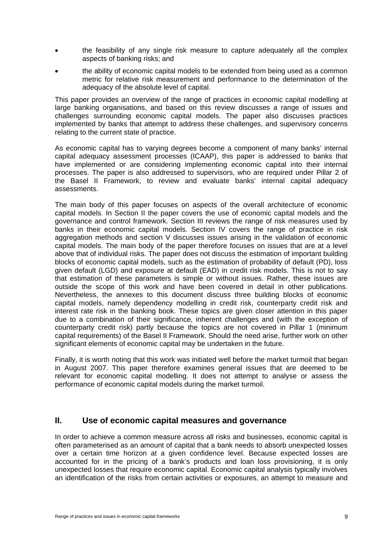- <span id="page-14-0"></span>• the feasibility of any single risk measure to capture adequately all the complex aspects of banking risks; and
- the ability of economic capital models to be extended from being used as a common metric for relative risk measurement and performance to the determination of the adequacy of the absolute level of capital.

This paper provides an overview of the range of practices in economic capital modelling at large banking organisations, and based on this review discusses a range of issues and challenges surrounding economic capital models. The paper also discusses practices implemented by banks that attempt to address these challenges, and supervisory concerns relating to the current state of practice.

As economic capital has to varying degrees become a component of many banks' internal capital adequacy assessment processes (ICAAP), this paper is addressed to banks that have implemented or are considering implementing economic capital into their internal processes. The paper is also addressed to supervisors, who are required under Pillar 2 of the Basel II Framework, to review and evaluate banks' internal capital adequacy assessments.

The main body of this paper focuses on aspects of the overall architecture of economic capital models. In Section II the paper covers the use of economic capital models and the governance and control framework. Section III reviews the range of risk measures used by banks in their economic capital models. Section IV covers the range of practice in risk aggregation methods and section V discusses issues arising in the validation of economic capital models. The main body of the paper therefore focuses on issues that are at a level above that of individual risks. The paper does not discuss the estimation of important building blocks of economic capital models, such as the estimation of probability of default (PD), loss given default (LGD) and exposure at default (EAD) in credit risk models. This is not to say that estimation of these parameters is simple or without issues. Rather, these issues are outside the scope of this work and have been covered in detail in other publications. Nevertheless, the annexes to this document discuss three building blocks of economic capital models, namely dependency modelling in credit risk, counterparty credit risk and interest rate risk in the banking book. These topics are given closer attention in this paper due to a combination of their significance, inherent challenges and (with the exception of counterparty credit risk) partly because the topics are not covered in Pillar 1 (minimum capital requirements) of the Basel II Framework. Should the need arise, further work on other significant elements of economic capital may be undertaken in the future.

Finally, it is worth noting that this work was initiated well before the market turmoil that began in August 2007. This paper therefore examines general issues that are deemed to be relevant for economic capital modelling. It does not attempt to analyse or assess the performance of economic capital models during the market turmoil.

## **II. Use of economic capital measures and governance**

In order to achieve a common measure across all risks and businesses, economic capital is often parameterised as an amount of capital that a bank needs to absorb unexpected losses over a certain time horizon at a given confidence level. Because expected losses are accounted for in the pricing of a bank's products and loan loss provisioning, it is only unexpected losses that require economic capital. Economic capital analysis typically involves an identification of the risks from certain activities or exposures, an attempt to measure and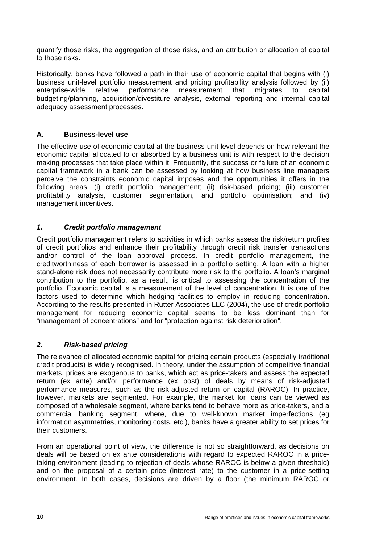<span id="page-15-0"></span>quantify those risks, the aggregation of those risks, and an attribution or allocation of capital to those risks.

Historically, banks have followed a path in their use of economic capital that begins with (i) business unit-level portfolio measurement and pricing profitability analysis followed by (ii) enterprise-wide relative performance measurement that migrates to capital budgeting/planning, acquisition/divestiture analysis, external reporting and internal capital adequacy assessment processes.

#### **A. Business-level use**

The effective use of economic capital at the business-unit level depends on how relevant the economic capital allocated to or absorbed by a business unit is with respect to the decision making processes that take place within it. Frequently, the success or failure of an economic capital framework in a bank can be assessed by looking at how business line managers perceive the constraints economic capital imposes and the opportunities it offers in the following areas: (i) credit portfolio management; (ii) risk-based pricing; (iii) customer profitability analysis, customer segmentation, and portfolio optimisation; and (iv) management incentives.

#### *1. Credit portfolio management*

Credit portfolio management refers to activities in which banks assess the risk/return profiles of credit portfolios and enhance their profitability through credit risk transfer transactions and/or control of the loan approval process. In credit portfolio management, the creditworthiness of each borrower is assessed in a portfolio setting. A loan with a higher stand-alone risk does not necessarily contribute more risk to the portfolio. A loan's marginal contribution to the portfolio, as a result, is critical to assessing the concentration of the portfolio. Economic capital is a measurement of the level of concentration. It is one of the factors used to determine which hedging facilities to employ in reducing concentration. According to the results presented in Rutter Associates LLC (2004), the use of credit portfolio management for reducing economic capital seems to be less dominant than for "management of concentrations" and for "protection against risk deterioration".

#### *2. Risk-based pricing*

The relevance of allocated economic capital for pricing certain products (especially traditional credit products) is widely recognised. In theory, under the assumption of competitive financial markets, prices are exogenous to banks, which act as price-takers and assess the expected return (ex ante) and/or performance (ex post) of deals by means of risk-adjusted performance measures, such as the risk-adjusted return on capital (RAROC). In practice, however, markets are segmented. For example, the market for loans can be viewed as composed of a wholesale segment, where banks tend to behave more as price-takers, and a commercial banking segment, where, due to well-known market imperfections (eg information asymmetries, monitoring costs, etc.), banks have a greater ability to set prices for their customers.

From an operational point of view, the difference is not so straightforward, as decisions on deals will be based on ex ante considerations with regard to expected RAROC in a pricetaking environment (leading to rejection of deals whose RAROC is below a given threshold) and on the proposal of a certain price (interest rate) to the customer in a price-setting environment. In both cases, decisions are driven by a floor (the minimum RAROC or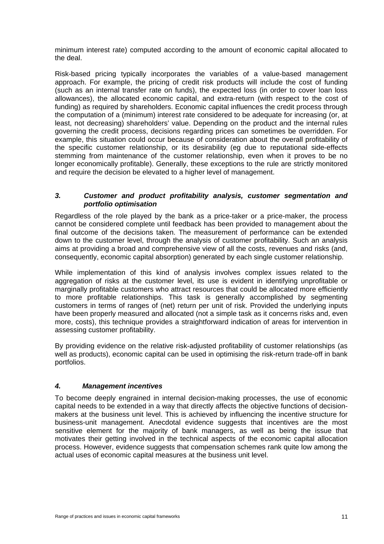minimum interest rate) computed according to the amount of economic capital allocated to the deal.

Risk-based pricing typically incorporates the variables of a value-based management approach. For example, the pricing of credit risk products will include the cost of funding (such as an internal transfer rate on funds), the expected loss (in order to cover loan loss allowances), the allocated economic capital, and extra-return (with respect to the cost of funding) as required by shareholders. Economic capital influences the credit process through the computation of a (minimum) interest rate considered to be adequate for increasing (or, at least, not decreasing) shareholders' value. Depending on the product and the internal rules governing the credit process, decisions regarding prices can sometimes be overridden. For example, this situation could occur because of consideration about the overall profitability of the specific customer relationship, or its desirability (eg due to reputational side-effects stemming from maintenance of the customer relationship, even when it proves to be no longer economically profitable). Generally, these exceptions to the rule are strictly monitored and require the decision be elevated to a higher level of management.

#### *3. Customer and product profitability analysis, customer segmentation and portfolio optimisation*

Regardless of the role played by the bank as a price-taker or a price-maker, the process cannot be considered complete until feedback has been provided to management about the final outcome of the decisions taken. The measurement of performance can be extended down to the customer level, through the analysis of customer profitability. Such an analysis aims at providing a broad and comprehensive view of all the costs, revenues and risks (and, consequently, economic capital absorption) generated by each single customer relationship.

While implementation of this kind of analysis involves complex issues related to the aggregation of risks at the customer level, its use is evident in identifying unprofitable or marginally profitable customers who attract resources that could be allocated more efficiently to more profitable relationships. This task is generally accomplished by segmenting customers in terms of ranges of (net) return per unit of risk. Provided the underlying inputs have been properly measured and allocated (not a simple task as it concerns risks and, even more, costs), this technique provides a straightforward indication of areas for intervention in assessing customer profitability.

By providing evidence on the relative risk-adjusted profitability of customer relationships (as well as products), economic capital can be used in optimising the risk-return trade-off in bank portfolios.

### *4. Management incentives*

To become deeply engrained in internal decision-making processes, the use of economic capital needs to be extended in a way that directly affects the objective functions of decisionmakers at the business unit level. This is achieved by influencing the incentive structure for business-unit management. Anecdotal evidence suggests that incentives are the most sensitive element for the majority of bank managers, as well as being the issue that motivates their getting involved in the technical aspects of the economic capital allocation process. However, evidence suggests that compensation schemes rank quite low among the actual uses of economic capital measures at the business unit level.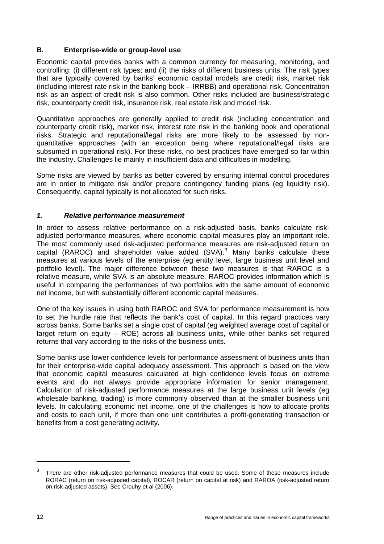#### <span id="page-17-0"></span>**B. Enterprise-wide or group-level use**

Economic capital provides banks with a common currency for measuring, monitoring, and controlling: (i) different risk types; and (ii) the risks of different business units. The risk types that are typically covered by banks' economic capital models are credit risk, market risk (including interest rate risk in the banking book – IRRBB) and operational risk. Concentration risk as an aspect of credit risk is also common. Other risks included are business/strategic risk, counterparty credit risk, insurance risk, real estate risk and model risk.

Quantitative approaches are generally applied to credit risk (including concentration and counterparty credit risk), market risk, interest rate risk in the banking book and operational risks. Strategic and reputational/legal risks are more likely to be assessed by nonquantitative approaches (with an exception being where reputational/legal risks are subsumed in operational risk). For these risks, no best practices have emerged so far within the industry. Challenges lie mainly in insufficient data and difficulties in modelling.

Some risks are viewed by banks as better covered by ensuring internal control procedures are in order to mitigate risk and/or prepare contingency funding plans (eg liquidity risk). Consequently, capital typically is not allocated for such risks.

#### *1. Relative performance measurement*

In order to assess relative performance on a risk-adjusted basis, banks calculate riskadjusted performance measures, where economic capital measures play an important role. The most commonly used risk-adjusted performance measures are risk-adjusted return on capital (RAROC) and shareholder value added  $(SVA)<sup>3</sup>$  $(SVA)<sup>3</sup>$  $(SVA)<sup>3</sup>$  Many banks calculate these measures at various levels of the enterprise (eg entity level, large business unit level and portfolio level). The major difference between these two measures is that RAROC is a relative measure, while SVA is an absolute measure. RAROC provides information which is useful in comparing the performances of two portfolios with the same amount of economic net income, but with substantially different economic capital measures.

One of the key issues in using both RAROC and SVA for performance measurement is how to set the hurdle rate that reflects the bank's cost of capital. In this regard practices vary across banks. Some banks set a single cost of capital (eg weighted average cost of capital or target return on equity – ROE) across all business units, while other banks set required returns that vary according to the risks of the business units.

Some banks use lower confidence levels for performance assessment of business units than for their enterprise-wide capital adequacy assessment. This approach is based on the view that economic capital measures calculated at high confidence levels focus on extreme events and do not always provide appropriate information for senior management. Calculation of risk-adjusted performance measures at the large business unit levels (eg wholesale banking, trading) is more commonly observed than at the smaller business unit levels. In calculating economic net income, one of the challenges is how to allocate profits and costs to each unit, if more than one unit contributes a profit-generating transaction or benefits from a cost generating activity.

 $\overline{a}$ 

<span id="page-17-1"></span><sup>3</sup> There are other risk-adjusted performance measures that could be used. Some of these measures include RORAC (return on risk-adjusted capital), ROCAR (return on capital at risk) and RAROA (risk-adjusted return on risk-adjusted assets). See Crouhy et al (2006).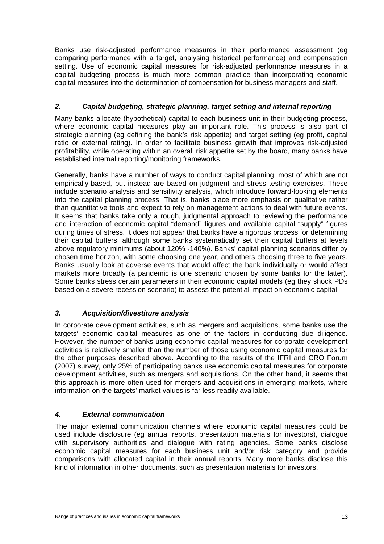Banks use risk-adjusted performance measures in their performance assessment (eg comparing performance with a target, analysing historical performance) and compensation setting. Use of economic capital measures for risk-adjusted performance measures in a capital budgeting process is much more common practice than incorporating economic capital measures into the determination of compensation for business managers and staff.

## *2. Capital budgeting, strategic planning, target setting and internal reporting*

Many banks allocate (hypothetical) capital to each business unit in their budgeting process. where economic capital measures play an important role. This process is also part of strategic planning (eg defining the bank's risk appetite) and target setting (eg profit, capital ratio or external rating). In order to facilitate business growth that improves risk-adjusted profitability, while operating within an overall risk appetite set by the board, many banks have established internal reporting/monitoring frameworks.

Generally, banks have a number of ways to conduct capital planning, most of which are not empirically-based, but instead are based on judgment and stress testing exercises. These include scenario analysis and sensitivity analysis, which introduce forward-looking elements into the capital planning process. That is, banks place more emphasis on qualitative rather than quantitative tools and expect to rely on management actions to deal with future events. It seems that banks take only a rough, judgmental approach to reviewing the performance and interaction of economic capital "demand" figures and available capital "supply" figures during times of stress. It does not appear that banks have a rigorous process for determining their capital buffers, although some banks systematically set their capital buffers at levels above regulatory minimums (about 120% -140%). Banks' capital planning scenarios differ by chosen time horizon, with some choosing one year, and others choosing three to five years. Banks usually look at adverse events that would affect the bank individually or would affect markets more broadly (a pandemic is one scenario chosen by some banks for the latter). Some banks stress certain parameters in their economic capital models (eg they shock PDs based on a severe recession scenario) to assess the potential impact on economic capital.

### *3. Acquisition/divestiture analysis*

In corporate development activities, such as mergers and acquisitions, some banks use the targets' economic capital measures as one of the factors in conducting due diligence. However, the number of banks using economic capital measures for corporate development activities is relatively smaller than the number of those using economic capital measures for the other purposes described above. According to the results of the IFRI and CRO Forum (2007) survey, only 25% of participating banks use economic capital measures for corporate development activities, such as mergers and acquisitions. On the other hand, it seems that this approach is more often used for mergers and acquisitions in emerging markets, where information on the targets' market values is far less readily available.

### *4. External communication*

The major external communication channels where economic capital measures could be used include disclosure (eg annual reports, presentation materials for investors), dialogue with supervisory authorities and dialogue with rating agencies. Some banks disclose economic capital measures for each business unit and/or risk category and provide comparisons with allocated capital in their annual reports. Many more banks disclose this kind of information in other documents, such as presentation materials for investors.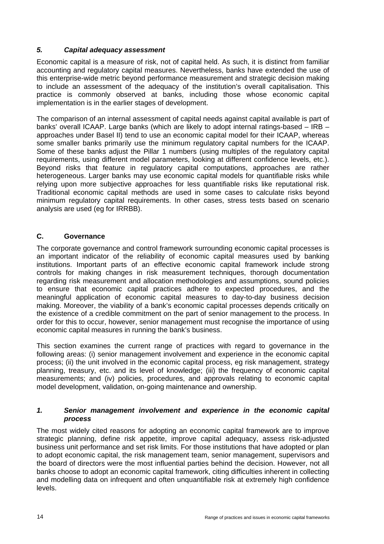#### <span id="page-19-0"></span>*5. Capital adequacy assessment*

Economic capital is a measure of risk, not of capital held. As such, it is distinct from familiar accounting and regulatory capital measures. Nevertheless, banks have extended the use of this enterprise-wide metric beyond performance measurement and strategic decision making to include an assessment of the adequacy of the institution's overall capitalisation. This practice is commonly observed at banks, including those whose economic capital implementation is in the earlier stages of development.

The comparison of an internal assessment of capital needs against capital available is part of banks' overall ICAAP. Large banks (which are likely to adopt internal ratings-based – IRB – approaches under Basel II) tend to use an economic capital model for their ICAAP, whereas some smaller banks primarily use the minimum regulatory capital numbers for the ICAAP. Some of these banks adjust the Pillar 1 numbers (using multiples of the regulatory capital requirements, using different model parameters, looking at different confidence levels, etc.). Beyond risks that feature in regulatory capital computations, approaches are rather heterogeneous. Larger banks may use economic capital models for quantifiable risks while relying upon more subjective approaches for less quantifiable risks like reputational risk. Traditional economic capital methods are used in some cases to calculate risks beyond minimum regulatory capital requirements. In other cases, stress tests based on scenario analysis are used (eg for IRRBB).

#### **C. Governance**

The corporate governance and control framework surrounding economic capital processes is an important indicator of the reliability of economic capital measures used by banking institutions. Important parts of an effective economic capital framework include strong controls for making changes in risk measurement techniques, thorough documentation regarding risk measurement and allocation methodologies and assumptions, sound policies to ensure that economic capital practices adhere to expected procedures, and the meaningful application of economic capital measures to day-to-day business decision making. Moreover, the viability of a bank's economic capital processes depends critically on the existence of a credible commitment on the part of senior management to the process. In order for this to occur, however, senior management must recognise the importance of using economic capital measures in running the bank's business.

This section examines the current range of practices with regard to governance in the following areas: (i) senior management involvement and experience in the economic capital process; (ii) the unit involved in the economic capital process, eg risk management, strategy planning, treasury, etc. and its level of knowledge; (iii) the frequency of economic capital measurements; and (iv) policies, procedures, and approvals relating to economic capital model development, validation, on-going maintenance and ownership.

#### *1. Senior management involvement and experience in the economic capital process*

The most widely cited reasons for adopting an economic capital framework are to improve strategic planning, define risk appetite, improve capital adequacy, assess risk-adjusted business unit performance and set risk limits. For those institutions that have adopted or plan to adopt economic capital, the risk management team, senior management, supervisors and the board of directors were the most influential parties behind the decision. However, not all banks choose to adopt an economic capital framework, citing difficulties inherent in collecting and modelling data on infrequent and often unquantifiable risk at extremely high confidence levels.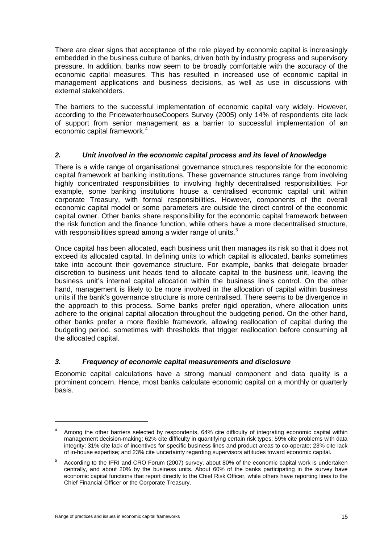There are clear signs that acceptance of the role played by economic capital is increasingly embedded in the business culture of banks, driven both by industry progress and supervisory pressure. In addition, banks now seem to be broadly comfortable with the accuracy of the economic capital measures. This has resulted in increased use of economic capital in management applications and business decisions, as well as use in discussions with external stakeholders.

The barriers to the successful implementation of economic capital vary widely. However, according to the PricewaterhouseCoopers Survey (2005) only 14% of respondents cite lack of support from senior management as a barrier to successful implementation of an economic capital framework.<sup>[4](#page-20-0)</sup>

#### *2. Unit involved in the economic capital process and its level of knowledge*

There is a wide range of organisational governance structures responsible for the economic capital framework at banking institutions. These governance structures range from involving highly concentrated responsibilities to involving highly decentralised responsibilities. For example, some banking institutions house a centralised economic capital unit within corporate Treasury, with formal responsibilities. However, components of the overall economic capital model or some parameters are outside the direct control of the economic capital owner. Other banks share responsibility for the economic capital framework between the risk function and the finance function, while others have a more decentralised structure, with responsibilities spread among a wider range of units.<sup>[5](#page-20-1)</sup>

Once capital has been allocated, each business unit then manages its risk so that it does not exceed its allocated capital. In defining units to which capital is allocated, banks sometimes take into account their governance structure. For example, banks that delegate broader discretion to business unit heads tend to allocate capital to the business unit, leaving the business unit's internal capital allocation within the business line's control. On the other hand, management is likely to be more involved in the allocation of capital within business units if the bank's governance structure is more centralised. There seems to be divergence in the approach to this process. Some banks prefer rigid operation, where allocation units adhere to the original capital allocation throughout the budgeting period. On the other hand, other banks prefer a more flexible framework, allowing reallocation of capital during the budgeting period, sometimes with thresholds that trigger reallocation before consuming all the allocated capital.

### *3. Frequency of economic capital measurements and disclosure*

Economic capital calculations have a strong manual component and data quality is a prominent concern. Hence, most banks calculate economic capital on a monthly or quarterly basis.

 $\overline{a}$ 

<span id="page-20-0"></span><sup>4</sup> Among the other barriers selected by respondents, 64% cite difficulty of integrating economic capital within management decision-making; 62% cite difficulty in quantifying certain risk types; 59% cite problems with data integrity; 31% cite lack of incentives for specific business lines and product areas to co-operate; 23% cite lack of in-house expertise; and 23% cite uncertainty regarding supervisors attitudes toward economic capital.

<span id="page-20-1"></span><sup>5</sup> According to the IFRI and CRO Forum (2007) survey, about 80% of the economic capital work is undertaken centrally, and about 20% by the business units. About 60% of the banks participating in the survey have economic capital functions that report directly to the Chief Risk Officer, while others have reporting lines to the Chief Financial Officer or the Corporate Treasury.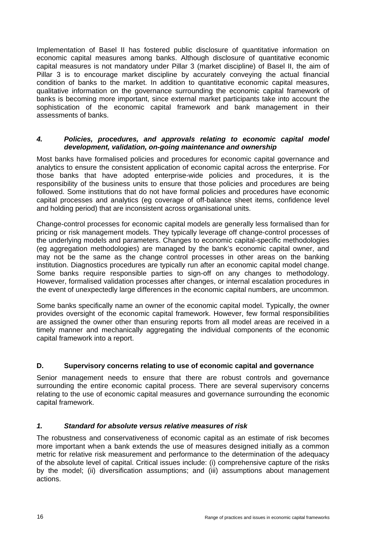<span id="page-21-0"></span>Implementation of Basel II has fostered public disclosure of quantitative information on economic capital measures among banks. Although disclosure of quantitative economic capital measures is not mandatory under Pillar 3 (market discipline) of Basel II, the aim of Pillar 3 is to encourage market discipline by accurately conveying the actual financial condition of banks to the market. In addition to quantitative economic capital measures, qualitative information on the governance surrounding the economic capital framework of banks is becoming more important, since external market participants take into account the sophistication of the economic capital framework and bank management in their assessments of banks.

#### *4. Policies, procedures, and approvals relating to economic capital model development, validation, on-going maintenance and ownership*

Most banks have formalised policies and procedures for economic capital governance and analytics to ensure the consistent application of economic capital across the enterprise. For those banks that have adopted enterprise-wide policies and procedures, it is the responsibility of the business units to ensure that those policies and procedures are being followed. Some institutions that do not have formal policies and procedures have economic capital processes and analytics (eg coverage of off-balance sheet items, confidence level and holding period) that are inconsistent across organisational units.

Change-control processes for economic capital models are generally less formalised than for pricing or risk management models. They typically leverage off change-control processes of the underlying models and parameters. Changes to economic capital-specific methodologies (eg aggregation methodologies) are managed by the bank's economic capital owner, and may not be the same as the change control processes in other areas on the banking institution. Diagnostics procedures are typically run after an economic capital model change. Some banks require responsible parties to sign-off on any changes to methodology. However, formalised validation processes after changes, or internal escalation procedures in the event of unexpectedly large differences in the economic capital numbers, are uncommon.

Some banks specifically name an owner of the economic capital model. Typically, the owner provides oversight of the economic capital framework. However, few formal responsibilities are assigned the owner other than ensuring reports from all model areas are received in a timely manner and mechanically aggregating the individual components of the economic capital framework into a report.

#### **D. Supervisory concerns relating to use of economic capital and governance**

Senior management needs to ensure that there are robust controls and governance surrounding the entire economic capital process. There are several supervisory concerns relating to the use of economic capital measures and governance surrounding the economic capital framework.

#### *1. Standard for absolute versus relative measures of risk*

The robustness and conservativeness of economic capital as an estimate of risk becomes more important when a bank extends the use of measures designed initially as a common metric for relative risk measurement and performance to the determination of the adequacy of the absolute level of capital. Critical issues include: (i) comprehensive capture of the risks by the model; (ii) diversification assumptions; and (iii) assumptions about management actions.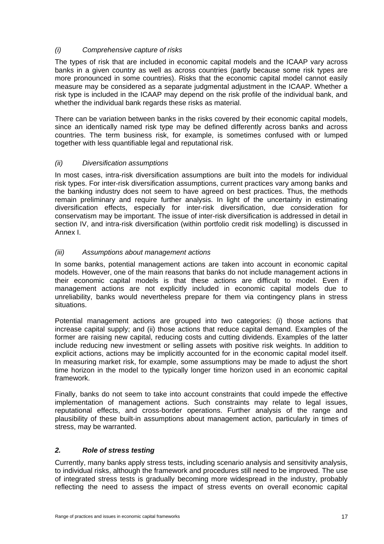## *(i) Comprehensive capture of risks*

The types of risk that are included in economic capital models and the ICAAP vary across banks in a given country as well as across countries (partly because some risk types are more pronounced in some countries). Risks that the economic capital model cannot easily measure may be considered as a separate judgmental adjustment in the ICAAP. Whether a risk type is included in the ICAAP may depend on the risk profile of the individual bank, and whether the individual bank regards these risks as material.

There can be variation between banks in the risks covered by their economic capital models, since an identically named risk type may be defined differently across banks and across countries. The term business risk, for example, is sometimes confused with or lumped together with less quantifiable legal and reputational risk.

### *(ii) Diversification assumptions*

In most cases, intra-risk diversification assumptions are built into the models for individual risk types. For inter-risk diversification assumptions, current practices vary among banks and the banking industry does not seem to have agreed on best practices. Thus, the methods remain preliminary and require further analysis. In light of the uncertainty in estimating diversification effects, especially for inter-risk diversification, due consideration for conservatism may be important. The issue of inter-risk diversification is addressed in detail in section IV, and intra-risk diversification (within portfolio credit risk modelling) is discussed in Annex I.

#### *(iii) Assumptions about management actions*

In some banks, potential management actions are taken into account in economic capital models. However, one of the main reasons that banks do not include management actions in their economic capital models is that these actions are difficult to model. Even if management actions are not explicitly included in economic capital models due to unreliability, banks would nevertheless prepare for them via contingency plans in stress situations.

Potential management actions are grouped into two categories: (i) those actions that increase capital supply; and (ii) those actions that reduce capital demand. Examples of the former are raising new capital, reducing costs and cutting dividends. Examples of the latter include reducing new investment or selling assets with positive risk weights. In addition to explicit actions, actions may be implicitly accounted for in the economic capital model itself. In measuring market risk, for example, some assumptions may be made to adjust the short time horizon in the model to the typically longer time horizon used in an economic capital framework.

Finally, banks do not seem to take into account constraints that could impede the effective implementation of management actions. Such constraints may relate to legal issues, reputational effects, and cross-border operations. Further analysis of the range and plausibility of these built-in assumptions about management action, particularly in times of stress, may be warranted.

#### *2. Role of stress testing*

Currently, many banks apply stress tests, including scenario analysis and sensitivity analysis, to individual risks, although the framework and procedures still need to be improved. The use of integrated stress tests is gradually becoming more widespread in the industry, probably reflecting the need to assess the impact of stress events on overall economic capital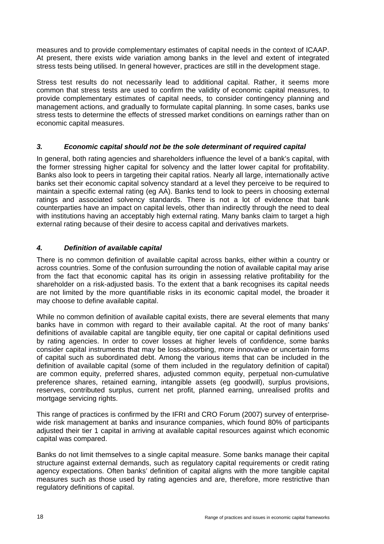measures and to provide complementary estimates of capital needs in the context of ICAAP. At present, there exists wide variation among banks in the level and extent of integrated stress tests being utilised. In general however, practices are still in the development stage.

Stress test results do not necessarily lead to additional capital. Rather, it seems more common that stress tests are used to confirm the validity of economic capital measures, to provide complementary estimates of capital needs, to consider contingency planning and management actions, and gradually to formulate capital planning. In some cases, banks use stress tests to determine the effects of stressed market conditions on earnings rather than on economic capital measures.

### *3. Economic capital should not be the sole determinant of required capital*

In general, both rating agencies and shareholders influence the level of a bank's capital, with the former stressing higher capital for solvency and the latter lower capital for profitability. Banks also look to peers in targeting their capital ratios. Nearly all large, internationally active banks set their economic capital solvency standard at a level they perceive to be required to maintain a specific external rating (eg AA). Banks tend to look to peers in choosing external ratings and associated solvency standards. There is not a lot of evidence that bank counterparties have an impact on capital levels, other than indirectly through the need to deal with institutions having an acceptably high external rating. Many banks claim to target a high external rating because of their desire to access capital and derivatives markets.

## *4. Definition of available capital*

There is no common definition of available capital across banks, either within a country or across countries. Some of the confusion surrounding the notion of available capital may arise from the fact that economic capital has its origin in assessing relative profitability for the shareholder on a risk-adjusted basis. To the extent that a bank recognises its capital needs are not limited by the more quantifiable risks in its economic capital model, the broader it may choose to define available capital.

While no common definition of available capital exists, there are several elements that many banks have in common with regard to their available capital. At the root of many banks' definitions of available capital are tangible equity, tier one capital or capital definitions used by rating agencies. In order to cover losses at higher levels of confidence, some banks consider capital instruments that may be loss-absorbing, more innovative or uncertain forms of capital such as subordinated debt. Among the various items that can be included in the definition of available capital (some of them included in the regulatory definition of capital) are common equity, preferred shares, adjusted common equity, perpetual non-cumulative preference shares, retained earning, intangible assets (eg goodwill), surplus provisions, reserves, contributed surplus, current net profit, planned earning, unrealised profits and mortgage servicing rights.

This range of practices is confirmed by the IFRI and CRO Forum (2007) survey of enterprisewide risk management at banks and insurance companies, which found 80% of participants adjusted their tier 1 capital in arriving at available capital resources against which economic capital was compared.

Banks do not limit themselves to a single capital measure. Some banks manage their capital structure against external demands, such as regulatory capital requirements or credit rating agency expectations. Often banks' definition of capital aligns with the more tangible capital measures such as those used by rating agencies and are, therefore, more restrictive than regulatory definitions of capital.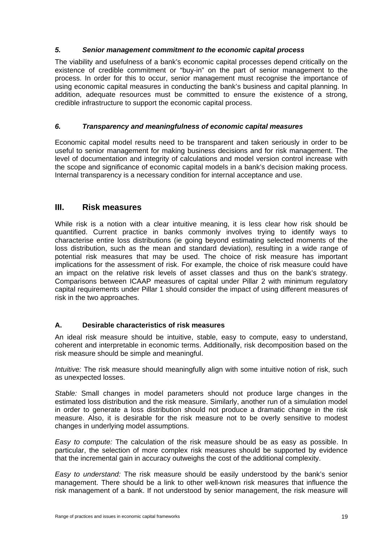#### <span id="page-24-0"></span>*5. Senior management commitment to the economic capital process*

The viability and usefulness of a bank's economic capital processes depend critically on the existence of credible commitment or "buy-in" on the part of senior management to the process. In order for this to occur, senior management must recognise the importance of using economic capital measures in conducting the bank's business and capital planning. In addition, adequate resources must be committed to ensure the existence of a strong, credible infrastructure to support the economic capital process.

#### *6. Transparency and meaningfulness of economic capital measures*

Economic capital model results need to be transparent and taken seriously in order to be useful to senior management for making business decisions and for risk management. The level of documentation and integrity of calculations and model version control increase with the scope and significance of economic capital models in a bank's decision making process. Internal transparency is a necessary condition for internal acceptance and use.

## **III. Risk measures**

While risk is a notion with a clear intuitive meaning, it is less clear how risk should be quantified. Current practice in banks commonly involves trying to identify ways to characterise entire loss distributions (ie going beyond estimating selected moments of the loss distribution, such as the mean and standard deviation), resulting in a wide range of potential risk measures that may be used. The choice of risk measure has important implications for the assessment of risk. For example, the choice of risk measure could have an impact on the relative risk levels of asset classes and thus on the bank's strategy. Comparisons between ICAAP measures of capital under Pillar 2 with minimum regulatory capital requirements under Pillar 1 should consider the impact of using different measures of risk in the two approaches.

### **A. Desirable characteristics of risk measures**

An ideal risk measure should be intuitive, stable, easy to compute, easy to understand, coherent and interpretable in economic terms. Additionally, risk decomposition based on the risk measure should be simple and meaningful.

*Intuitive:* The risk measure should meaningfully align with some intuitive notion of risk, such as unexpected losses.

*Stable:* Small changes in model parameters should not produce large changes in the estimated loss distribution and the risk measure. Similarly, another run of a simulation model in order to generate a loss distribution should not produce a dramatic change in the risk measure. Also, it is desirable for the risk measure not to be overly sensitive to modest changes in underlying model assumptions.

*Easy to compute:* The calculation of the risk measure should be as easy as possible. In particular, the selection of more complex risk measures should be supported by evidence that the incremental gain in accuracy outweighs the cost of the additional complexity.

*Easy to understand:* The risk measure should be easily understood by the bank's senior management. There should be a link to other well-known risk measures that influence the risk management of a bank. If not understood by senior management, the risk measure will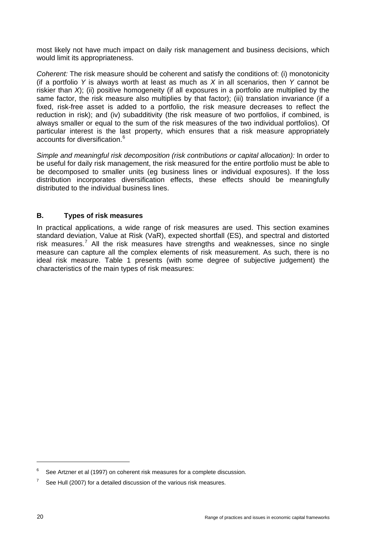<span id="page-25-0"></span>most likely not have much impact on daily risk management and business decisions, which would limit its appropriateness.

*Coherent:* The risk measure should be coherent and satisfy the conditions of: (i) monotonicity (if a portfolio *Y* is always worth at least as much as *X* in all scenarios, then *Y* cannot be riskier than *X*); (ii) positive homogeneity (if all exposures in a portfolio are multiplied by the same factor, the risk measure also multiplies by that factor); (iii) translation invariance (if a fixed, risk-free asset is added to a portfolio, the risk measure decreases to reflect the reduction in risk); and (iv) subadditivity (the risk measure of two portfolios, if combined, is always smaller or equal to the sum of the risk measures of the two individual portfolios). Of particular interest is the last property, which ensures that a risk measure appropriately accounts for diversification.<sup>[6](#page-25-1)</sup>

*Simple and meaningful risk decomposition (risk contributions or capital allocation):* In order to be useful for daily risk management, the risk measured for the entire portfolio must be able to be decomposed to smaller units (eg business lines or individual exposures). If the loss distribution incorporates diversification effects, these effects should be meaningfully distributed to the individual business lines.

### **B. Types of risk measures**

In practical applications, a wide range of risk measures are used. This section examines standard deviation, Value at Risk (VaR), expected shortfall (ES), and spectral and distorted risk measures.<sup>[7](#page-25-2)</sup> All the risk measures have strengths and weaknesses, since no single measure can capture all the complex elements of risk measurement. As such, there is no ideal risk measure. Table 1 presents (with some degree of subjective judgement) the characteristics of the main types of risk measures:

<span id="page-25-1"></span><sup>6</sup> See Artzner et al (1997) on coherent risk measures for a complete discussion.

<span id="page-25-2"></span><sup>7</sup> See Hull (2007) for a detailed discussion of the various risk measures.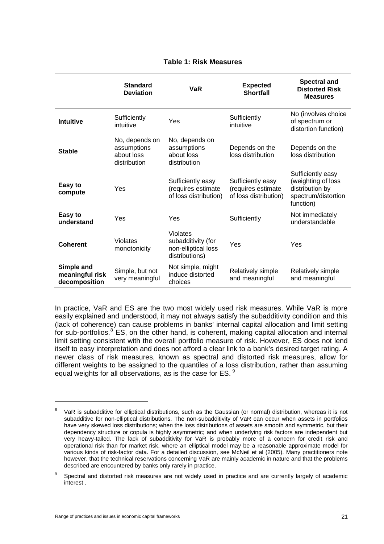#### **Table 1: Risk Measures**

|                                                | <b>Standard</b><br><b>Deviation</b>                         | <b>VaR</b>                                                              | <b>Expected</b><br>Shortfall                                     | <b>Spectral and</b><br><b>Distorted Risk</b><br><b>Measures</b>                                |
|------------------------------------------------|-------------------------------------------------------------|-------------------------------------------------------------------------|------------------------------------------------------------------|------------------------------------------------------------------------------------------------|
| Intuitive                                      | Sufficiently<br>intuitive                                   | Yes                                                                     | Sufficiently<br>intuitive                                        | No (involves choice<br>of spectrum or<br>distortion function)                                  |
| <b>Stable</b>                                  | No, depends on<br>assumptions<br>about loss<br>distribution | No, depends on<br>assumptions<br>about loss<br>distribution             | Depends on the<br>loss distribution                              | Depends on the<br>loss distribution                                                            |
| Easy to<br>compute                             | Yes                                                         | Sufficiently easy<br>(requires estimate<br>of loss distribution)        | Sufficiently easy<br>(requires estimate<br>of loss distribution) | Sufficiently easy<br>(weighting of loss<br>distribution by<br>spectrum/distortion<br>function) |
| Easy to<br>understand                          | Yes                                                         | Yes                                                                     | Sufficiently                                                     | Not immediately<br>understandable                                                              |
| <b>Coherent</b>                                | <b>Violates</b><br>monotonicity                             | Violates<br>subadditivity (for<br>non-elliptical loss<br>distributions) | Yes                                                              | Yes                                                                                            |
| Simple and<br>meaningful risk<br>decomposition | Simple, but not<br>very meaningful                          | Not simple, might<br>induce distorted<br>choices                        | Relatively simple<br>and meaningful                              | Relatively simple<br>and meaningful                                                            |

In practice, VaR and ES are the two most widely used risk measures. While VaR is more easily explained and understood, it may not always satisfy the subadditivity condition and this (lack of coherence) can cause problems in banks' internal capital allocation and limit setting for sub-portfolios.<sup>[8](#page-26-0)</sup> ES, on the other hand, is coherent, making capital allocation and internal limit setting consistent with the overall portfolio measure of risk. However, ES does not lend itself to easy interpretation and does not afford a clear link to a bank's desired target rating. A newer class of risk measures, known as spectral and distorted risk measures, allow for different weights to be assigned to the quantiles of a loss distribution, rather than assuming equal weights for all observations, as is the case for ES. [9](#page-26-1)

<span id="page-26-0"></span><sup>8</sup> VaR is subadditive for elliptical distributions, such as the Gaussian (or normal) distribution, whereas it is not subadditive for non-elliptical distributions. The non-subadditivity of VaR can occur when assets in portfolios have very skewed loss distributions; when the loss distributions of assets are smooth and symmetric, but their dependency structure or copula is highly asymmetric; and when underlying risk factors are independent but very heavy-tailed. The lack of subadditivity for VaR is probably more of a concern for credit risk and operational risk than for market risk, where an elliptical model may be a reasonable approximate model for various kinds of risk-factor data. For a detailed discussion, see McNeil et al (2005). Many practitioners note however, that the technical reservations concerning VaR are mainly academic in nature and that the problems described are encountered by banks only rarely in practice.

<span id="page-26-1"></span><sup>9</sup> Spectral and distorted risk measures are not widely used in practice and are currently largely of academic interest .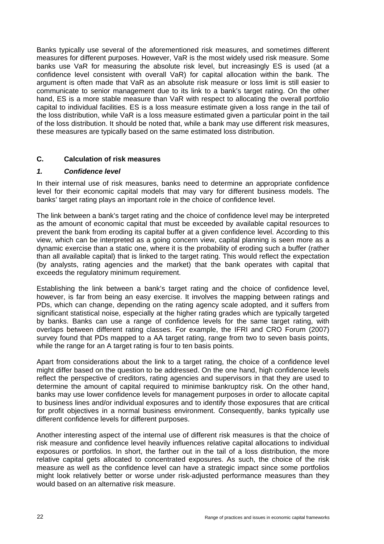<span id="page-27-0"></span>Banks typically use several of the aforementioned risk measures, and sometimes different measures for different purposes. However, VaR is the most widely used risk measure. Some banks use VaR for measuring the absolute risk level, but increasingly ES is used (at a confidence level consistent with overall VaR) for capital allocation within the bank. The argument is often made that VaR as an absolute risk measure or loss limit is still easier to communicate to senior management due to its link to a bank's target rating. On the other hand, ES is a more stable measure than VaR with respect to allocating the overall portfolio capital to individual facilities. ES is a loss measure estimate given a loss range in the tail of the loss distribution, while VaR is a loss measure estimated given a particular point in the tail of the loss distribution. It should be noted that, while a bank may use different risk measures, these measures are typically based on the same estimated loss distribution.

#### **C. Calculation of risk measures**

#### *1. Confidence level*

In their internal use of risk measures, banks need to determine an appropriate confidence level for their economic capital models that may vary for different business models. The banks' target rating plays an important role in the choice of confidence level.

The link between a bank's target rating and the choice of confidence level may be interpreted as the amount of economic capital that must be exceeded by available capital resources to prevent the bank from eroding its capital buffer at a given confidence level. According to this view, which can be interpreted as a going concern view, capital planning is seen more as a dynamic exercise than a static one, where it is the probability of eroding such a buffer (rather than all available capital) that is linked to the target rating. This would reflect the expectation (by analysts, rating agencies and the market) that the bank operates with capital that exceeds the regulatory minimum requirement.

Establishing the link between a bank's target rating and the choice of confidence level, however, is far from being an easy exercise. It involves the mapping between ratings and PDs, which can change, depending on the rating agency scale adopted, and it suffers from significant statistical noise, especially at the higher rating grades which are typically targeted by banks. Banks can use a range of confidence levels for the same target rating, with overlaps between different rating classes. For example, the IFRI and CRO Forum (2007) survey found that PDs mapped to a AA target rating, range from two to seven basis points, while the range for an A target rating is four to ten basis points.

Apart from considerations about the link to a target rating, the choice of a confidence level might differ based on the question to be addressed. On the one hand, high confidence levels reflect the perspective of creditors, rating agencies and supervisors in that they are used to determine the amount of capital required to minimise bankruptcy risk. On the other hand, banks may use lower confidence levels for management purposes in order to allocate capital to business lines and/or individual exposures and to identify those exposures that are critical for profit objectives in a normal business environment. Consequently, banks typically use different confidence levels for different purposes.

Another interesting aspect of the internal use of different risk measures is that the choice of risk measure and confidence level heavily influences relative capital allocations to individual exposures or portfolios. In short, the farther out in the tail of a loss distribution, the more relative capital gets allocated to concentrated exposures. As such, the choice of the risk measure as well as the confidence level can have a strategic impact since some portfolios might look relatively better or worse under risk-adjusted performance measures than they would based on an alternative risk measure.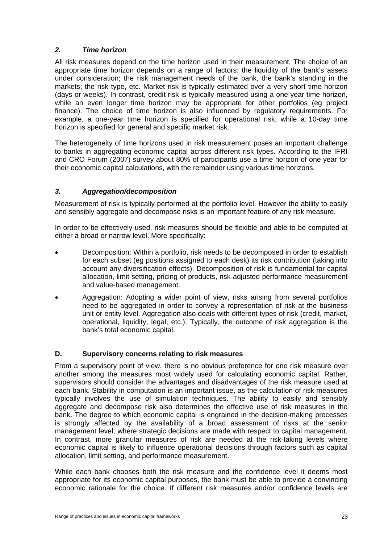## <span id="page-28-0"></span>*2. Time horizon*

All risk measures depend on the time horizon used in their measurement. The choice of an appropriate time horizon depends on a range of factors: the liquidity of the bank's assets under consideration; the risk management needs of the bank, the bank's standing in the markets; the risk type, etc. Market risk is typically estimated over a very short time horizon (days or weeks). In contrast, credit risk is typically measured using a one-year time horizon, while an even longer time horizon may be appropriate for other portfolios (eg project finance). The choice of time horizon is also influenced by regulatory requirements. For example, a one-year time horizon is specified for operational risk, while a 10-day time horizon is specified for general and specific market risk.

The heterogeneity of time horizons used in risk measurement poses an important challenge to banks in aggregating economic capital across different risk types. According to the IFRI and CRO Forum (2007) survey about 80% of participants use a time horizon of one year for their economic capital calculations, with the remainder using various time horizons.

## *3. Aggregation/decomposition*

Measurement of risk is typically performed at the portfolio level. However the ability to easily and sensibly aggregate and decompose risks is an important feature of any risk measure.

In order to be effectively used, risk measures should be flexible and able to be computed at either a broad or narrow level. More specifically:

- Decomposition: Within a portfolio, risk needs to be decomposed in order to establish for each subset (eg positions assigned to each desk) its risk contribution (taking into account any diversification effects). Decomposition of risk is fundamental for capital allocation, limit setting, pricing of products, risk-adjusted performance measurement and value-based management.
- Aggregation: Adopting a wider point of view, risks arising from several portfolios need to be aggregated in order to convey a representation of risk at the business unit or entity level. Aggregation also deals with different types of risk (credit, market, operational, liquidity, legal, etc.). Typically, the outcome of risk aggregation is the bank's total economic capital.

### **D. Supervisory concerns relating to risk measures**

From a supervisory point of view, there is no obvious preference for one risk measure over another among the measures most widely used for calculating economic capital. Rather, supervisors should consider the advantages and disadvantages of the risk measure used at each bank. Stability in computation is an important issue, as the calculation of risk measures typically involves the use of simulation techniques. The ability to easily and sensibly aggregate and decompose risk also determines the effective use of risk measures in the bank. The degree to which economic capital is engrained in the decision-making processes is strongly affected by the availability of a broad assessment of risks at the senior management level, where strategic decisions are made with respect to capital management. In contrast, more granular measures of risk are needed at the risk-taking levels where economic capital is likely to influence operational decisions through factors such as capital allocation, limit setting, and performance measurement.

While each bank chooses both the risk measure and the confidence level it deems most appropriate for its economic capital purposes, the bank must be able to provide a convincing economic rationale for the choice. If different risk measures and/or confidence levels are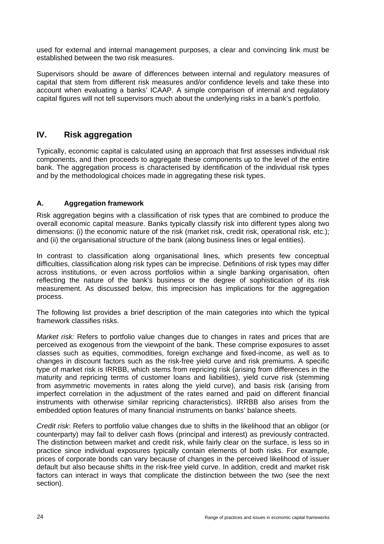<span id="page-29-0"></span>used for external and internal management purposes, a clear and convincing link must be established between the two risk measures.

Supervisors should be aware of differences between internal and regulatory measures of capital that stem from different risk measures and/or confidence levels and take these into account when evaluating a banks' ICAAP. A simple comparison of internal and regulatory capital figures will not tell supervisors much about the underlying risks in a bank's portfolio.

## **IV. Risk aggregation**

Typically, economic capital is calculated using an approach that first assesses individual risk components, and then proceeds to aggregate these components up to the level of the entire bank. The aggregation process is characterised by identification of the individual risk types and by the methodological choices made in aggregating these risk types.

### **A. Aggregation framework**

Risk aggregation begins with a classification of risk types that are combined to produce the overall economic capital measure. Banks typically classify risk into different types along two dimensions: (i) the economic nature of the risk (market risk, credit risk, operational risk, etc.); and (ii) the organisational structure of the bank (along business lines or legal entities).

In contrast to classification along organisational lines, which presents few conceptual difficulties, classification along risk types can be imprecise. Definitions of risk types may differ across institutions, or even across portfolios within a single banking organisation, often reflecting the nature of the bank's business or the degree of sophistication of its risk measurement. As discussed below, this imprecision has implications for the aggregation process.

The following list provides a brief description of the main categories into which the typical framework classifies risks.

*Market risk:* Refers to portfolio value changes due to changes in rates and prices that are perceived as exogenous from the viewpoint of the bank. These comprise exposures to asset classes such as equities, commodities, foreign exchange and fixed-income, as well as to changes in discount factors such as the risk-free yield curve and risk premiums. A specific type of market risk is IRRBB, which stems from repricing risk (arising from differences in the maturity and repricing terms of customer loans and liabilities), yield curve risk (stemming from asymmetric movements in rates along the yield curve), and basis risk (arising from imperfect correlation in the adjustment of the rates earned and paid on different financial instruments with otherwise similar repricing characteristics). IRRBB also arises from the embedded option features of many financial instruments on banks' balance sheets.

*Credit risk*: Refers to portfolio value changes due to shifts in the likelihood that an obligor (or counterparty) may fail to deliver cash flows (principal and interest) as previously contracted. The distinction between market and credit risk, while fairly clear on the surface, is less so in practice since individual exposures typically contain elements of both risks. For example, prices of corporate bonds can vary because of changes in the perceived likelihood of issuer default but also because shifts in the risk-free yield curve. In addition, credit and market risk factors can interact in ways that complicate the distinction between the two (see the next section).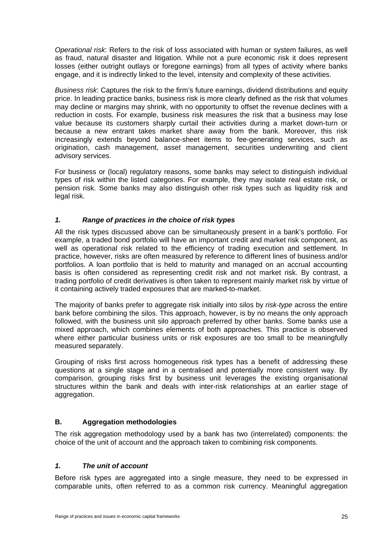<span id="page-30-0"></span>*Operational risk*: Refers to the risk of loss associated with human or system failures, as well as fraud, natural disaster and litigation. While not a pure economic risk it does represent losses (either outright outlays or foregone earnings) from all types of activity where banks engage, and it is indirectly linked to the level, intensity and complexity of these activities.

*Business risk*: Captures the risk to the firm's future earnings, dividend distributions and equity price. In leading practice banks, business risk is more clearly defined as the risk that volumes may decline or margins may shrink, with no opportunity to offset the revenue declines with a reduction in costs. For example, business risk measures the risk that a business may lose value because its customers sharply curtail their activities during a market down-turn or because a new entrant takes market share away from the bank. Moreover, this risk increasingly extends beyond balance-sheet items to fee-generating services, such as origination, cash management, asset management, securities underwriting and client advisory services.

For business or (local) regulatory reasons, some banks may select to distinguish individual types of risk within the listed categories. For example, they may isolate real estate risk, or pension risk. Some banks may also distinguish other risk types such as liquidity risk and legal risk.

### *1. Range of practices in the choice of risk types*

All the risk types discussed above can be simultaneously present in a bank's portfolio. For example, a traded bond portfolio will have an important credit and market risk component, as well as operational risk related to the efficiency of trading execution and settlement. In practice, however, risks are often measured by reference to different lines of business and/or portfolios. A loan portfolio that is held to maturity and managed on an accrual accounting basis is often considered as representing credit risk and not market risk. By contrast, a trading portfolio of credit derivatives is often taken to represent mainly market risk by virtue of it containing actively traded exposures that are marked-to-market.

The majority of banks prefer to aggregate risk initially into silos by *risk-type* across the entire bank before combining the silos. This approach, however, is by no means the only approach followed, with the business unit silo approach preferred by other banks. Some banks use a mixed approach, which combines elements of both approaches. This practice is observed where either particular business units or risk exposures are too small to be meaningfully measured separately.

Grouping of risks first across homogeneous risk types has a benefit of addressing these questions at a single stage and in a centralised and potentially more consistent way. By comparison, grouping risks first by business unit leverages the existing organisational structures within the bank and deals with inter-risk relationships at an earlier stage of aggregation.

### **B. Aggregation methodologies**

The risk aggregation methodology used by a bank has two (interrelated) components: the choice of the unit of account and the approach taken to combining risk components.

#### *1. The unit of account*

Before risk types are aggregated into a single measure, they need to be expressed in comparable units, often referred to as a common risk currency. Meaningful aggregation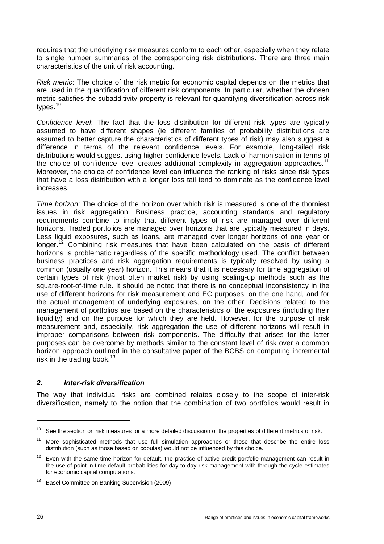requires that the underlying risk measures conform to each other, especially when they relate to single number summaries of the corresponding risk distributions. There are three main characteristics of the unit of risk accounting.

*Risk metric*: The choice of the risk metric for economic capital depends on the metrics that are used in the quantification of different risk components. In particular, whether the chosen metric satisfies the subadditivity property is relevant for quantifying diversification across risk types.<sup>[10](#page-31-0)</sup>

*Confidence level*: The fact that the loss distribution for different risk types are typically assumed to have different shapes (ie different families of probability distributions are assumed to better capture the characteristics of different types of risk) may also suggest a difference in terms of the relevant confidence levels. For example, long-tailed risk distributions would suggest using higher confidence levels. Lack of harmonisation in terms of the choice of confidence level creates additional complexity in aggregation approaches.<sup>[11](#page-31-1)</sup> Moreover, the choice of confidence level can influence the ranking of risks since risk types that have a loss distribution with a longer loss tail tend to dominate as the confidence level increases.

*Time horizon*: The choice of the horizon over which risk is measured is one of the thorniest issues in risk aggregation. Business practice, accounting standards and regulatory requirements combine to imply that different types of risk are managed over different horizons. Traded portfolios are managed over horizons that are typically measured in days. Less liquid exposures, such as loans, are managed over longer horizons of one year or longer.[12](#page-31-2) Combining risk measures that have been calculated on the basis of different horizons is problematic regardless of the specific methodology used. The conflict between business practices and risk aggregation requirements is typically resolved by using a common (usually one year) horizon. This means that it is necessary for time aggregation of certain types of risk (most often market risk) by using scaling-up methods such as the square-root-of-time rule. It should be noted that there is no conceptual inconsistency in the use of different horizons for risk measurement and EC purposes, on the one hand, and for the actual management of underlying exposures, on the other. Decisions related to the management of portfolios are based on the characteristics of the exposures (including their liquidity) and on the purpose for which they are held. However, for the purpose of risk measurement and, especially, risk aggregation the use of different horizons will result in improper comparisons between risk components. The difficulty that arises for the latter purposes can be overcome by methods similar to the constant level of risk over a common horizon approach outlined in the consultative paper of the BCBS on computing incremental risk in the trading book. $13$ 

#### *2. Inter-risk diversification*

The way that individual risks are combined relates closely to the scope of inter-risk diversification, namely to the notion that the combination of two portfolios would result in

<span id="page-31-0"></span> $10<sup>-10</sup>$  See the section on risk measures for a more detailed discussion of the properties of different metrics of risk.

<span id="page-31-1"></span><sup>&</sup>lt;sup>11</sup> More sophisticated methods that use full simulation approaches or those that describe the entire loss distribution (such as those based on copulas) would not be influenced by this choice.

<span id="page-31-2"></span> $12$  Even with the same time horizon for default, the practice of active credit portfolio management can result in the use of point-in-time default probabilities for day-to-day risk management with through-the-cycle estimates for economic capital computations.

<span id="page-31-3"></span><sup>&</sup>lt;sup>13</sup> Basel Committee on Banking Supervision (2009)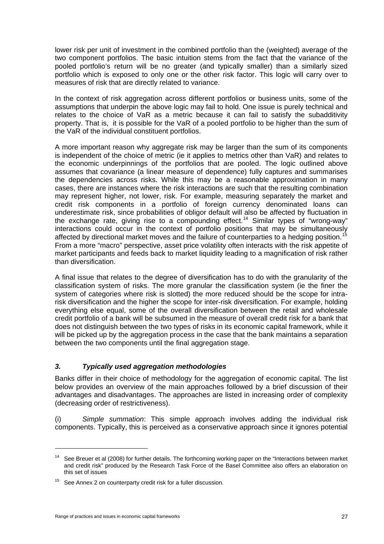lower risk per unit of investment in the combined portfolio than the (weighted) average of the two component portfolios. The basic intuition stems from the fact that the variance of the pooled portfolio's return will be no greater (and typically smaller) than a similarly sized portfolio which is exposed to only one or the other risk factor. This logic will carry over to measures of risk that are directly related to variance.

In the context of risk aggregation across different portfolios or business units, some of the assumptions that underpin the above logic may fail to hold. One issue is purely technical and relates to the choice of VaR as a metric because it can fail to satisfy the subadditivity property. That is, it is possible for the VaR of a pooled portfolio to be higher than the sum of the VaR of the individual constituent portfolios.

A more important reason why aggregate risk may be larger than the sum of its components is independent of the choice of metric (ie it applies to metrics other than VaR) and relates to the economic underpinnings of the portfolios that are pooled. The logic outlined above assumes that covariance (a linear measure of dependence) fully captures and summarises the dependencies across risks. While this may be a reasonable approximation in many cases, there are instances where the risk interactions are such that the resulting combination may represent higher, not lower, risk. For example, measuring separately the market and credit risk components in a portfolio of foreign currency denominated loans can underestimate risk, since probabilities of obligor default will also be affected by fluctuation in the exchange rate, giving rise to a compounding effect.<sup>[14](#page-32-0)</sup> Similar types of "wrong-way" interactions could occur in the context of portfolio positions that may be simultaneously affected by directional market moves and the failure of counterparties to a hedging position.<sup>[15](#page-32-1)</sup> From a more "macro" perspective, asset price volatility often interacts with the risk appetite of market participants and feeds back to market liquidity leading to a magnification of risk rather than diversification.

A final issue that relates to the degree of diversification has to do with the granularity of the classification system of risks. The more granular the classification system (ie the finer the system of categories where risk is slotted) the more reduced should be the scope for intrarisk diversification and the higher the scope for inter-risk diversification. For example, holding everything else equal, some of the overall diversification between the retail and wholesale credit portfolio of a bank will be subsumed in the measure of overall credit risk for a bank that does not distinguish between the two types of risks in its economic capital framework, while it will be picked up by the aggregation process in the case that the bank maintains a separation between the two components until the final aggregation stage.

### *3. Typically used aggregation methodologies*

Banks differ in their choice of methodology for the aggregation of economic capital. The list below provides an overview of the main approaches followed by a brief discussion of their advantages and disadvantages. The approaches are listed in increasing order of complexity (decreasing order of restrictiveness).

(i) *Simple summation*: This simple approach involves adding the individual risk components. Typically, this is perceived as a conservative approach since it ignores potential

<span id="page-32-0"></span><sup>&</sup>lt;sup>14</sup> See Breuer et al (2008) for further details. The forthcoming working paper on the "Interactions between market and credit risk" produced by the Research Task Force of the Basel Committee also offers an elaboration on this set of issues

<span id="page-32-1"></span><sup>&</sup>lt;sup>15</sup> See Annex 2 on counterparty credit risk for a fuller discussion.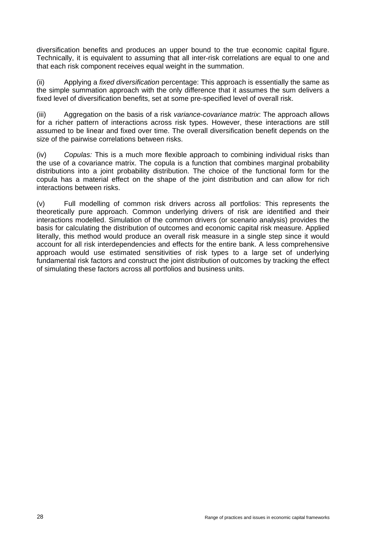diversification benefits and produces an upper bound to the true economic capital figure. Technically, it is equivalent to assuming that all inter-risk correlations are equal to one and that each risk component receives equal weight in the summation.

(ii) Applying a *fixed diversification* percentage: This approach is essentially the same as the simple summation approach with the only difference that it assumes the sum delivers a fixed level of diversification benefits, set at some pre-specified level of overall risk.

(iii) Aggregation on the basis of a risk *variance-covariance matrix*: The approach allows for a richer pattern of interactions across risk types. However, these interactions are still assumed to be linear and fixed over time. The overall diversification benefit depends on the size of the pairwise correlations between risks.

(iv) *Copulas:* This is a much more flexible approach to combining individual risks than the use of a covariance matrix. The copula is a function that combines marginal probability distributions into a joint probability distribution. The choice of the functional form for the copula has a material effect on the shape of the joint distribution and can allow for rich interactions between risks.

(v) Full modelling of common risk drivers across all portfolios: This represents the theoretically pure approach. Common underlying drivers of risk are identified and their interactions modelled. Simulation of the common drivers (or scenario analysis) provides the basis for calculating the distribution of outcomes and economic capital risk measure. Applied literally, this method would produce an overall risk measure in a single step since it would account for all risk interdependencies and effects for the entire bank. A less comprehensive approach would use estimated sensitivities of risk types to a large set of underlying fundamental risk factors and construct the joint distribution of outcomes by tracking the effect of simulating these factors across all portfolios and business units.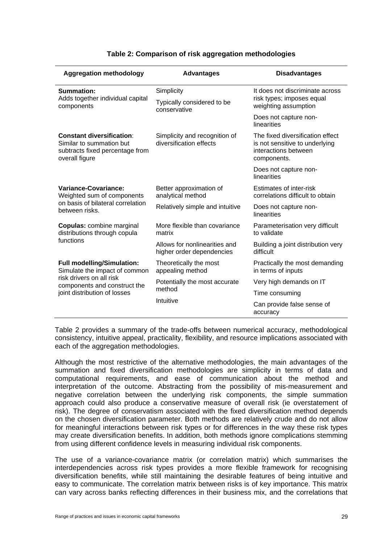| <b>Aggregation methodology</b>                                                                                    | <b>Advantages</b>                                          | <b>Disadvantages</b>                                                                                      |
|-------------------------------------------------------------------------------------------------------------------|------------------------------------------------------------|-----------------------------------------------------------------------------------------------------------|
| Summation:<br>Adds together individual capital<br>components                                                      | Simplicity<br>Typically considered to be<br>conservative   | It does not discriminate across<br>risk types; imposes equal<br>weighting assumption                      |
|                                                                                                                   |                                                            | Does not capture non-<br>linearities                                                                      |
| <b>Constant diversification:</b><br>Similar to summation but<br>subtracts fixed percentage from<br>overall figure | Simplicity and recognition of<br>diversification effects   | The fixed diversification effect<br>is not sensitive to underlying<br>interactions between<br>components. |
|                                                                                                                   |                                                            | Does not capture non-<br>linearities                                                                      |
| Variance-Covariance:<br>Weighted sum of components                                                                | Better approximation of<br>analytical method               | Estimates of inter-risk<br>correlations difficult to obtain                                               |
| on basis of bilateral correlation<br>between risks.                                                               | Relatively simple and intuitive                            | Does not capture non-<br>linearities                                                                      |
| <b>Copulas:</b> combine marginal<br>distributions through copula                                                  | More flexible than covariance<br>matrix                    | Parameterisation very difficult<br>to validate                                                            |
| functions                                                                                                         | Allows for nonlinearities and<br>higher order dependencies | Building a joint distribution very<br>difficult                                                           |
| <b>Full modelling/Simulation:</b><br>Simulate the impact of common                                                | Theoretically the most<br>appealing method                 | Practically the most demanding<br>in terms of inputs                                                      |
| risk drivers on all risk<br>components and construct the                                                          | Potentially the most accurate                              | Very high demands on IT                                                                                   |
| joint distribution of losses                                                                                      | method                                                     | Time consuming                                                                                            |
|                                                                                                                   | Intuitive                                                  | Can provide false sense of<br>accuracy                                                                    |

#### **Table 2: Comparison of risk aggregation methodologies**

Table 2 provides a summary of the trade-offs between numerical accuracy, methodological consistency, intuitive appeal, practicality, flexibility, and resource implications associated with each of the aggregation methodologies.

Although the most restrictive of the alternative methodologies, the main advantages of the summation and fixed diversification methodologies are simplicity in terms of data and computational requirements, and ease of communication about the method and interpretation of the outcome. Abstracting from the possibility of mis-measurement and negative correlation between the underlying risk components, the simple summation approach could also produce a conservative measure of overall risk (ie overstatement of risk). The degree of conservatism associated with the fixed diversification method depends on the chosen diversification parameter. Both methods are relatively crude and do not allow for meaningful interactions between risk types or for differences in the way these risk types may create diversification benefits. In addition, both methods ignore complications stemming from using different confidence levels in measuring individual risk components.

The use of a variance-covariance matrix (or correlation matrix) which summarises the interdependencies across risk types provides a more flexible framework for recognising diversification benefits, while still maintaining the desirable features of being intuitive and easy to communicate. The correlation matrix between risks is of key importance. This matrix can vary across banks reflecting differences in their business mix, and the correlations that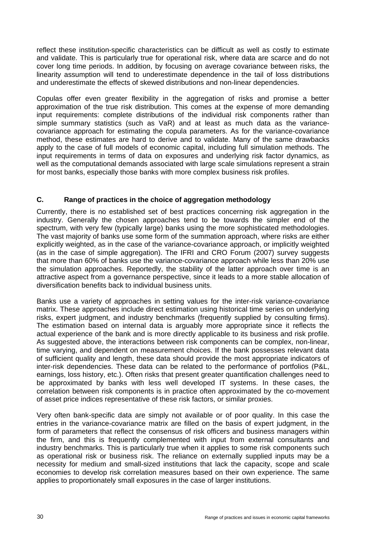<span id="page-35-0"></span>reflect these institution-specific characteristics can be difficult as well as costly to estimate and validate. This is particularly true for operational risk, where data are scarce and do not cover long time periods. In addition, by focusing on average covariance between risks, the linearity assumption will tend to underestimate dependence in the tail of loss distributions and underestimate the effects of skewed distributions and non-linear dependencies.

Copulas offer even greater flexibility in the aggregation of risks and promise a better approximation of the true risk distribution. This comes at the expense of more demanding input requirements: complete distributions of the individual risk components rather than simple summary statistics (such as VaR) and at least as much data as the variancecovariance approach for estimating the copula parameters. As for the variance-covariance method, these estimates are hard to derive and to validate. Many of the same drawbacks apply to the case of full models of economic capital, including full simulation methods. The input requirements in terms of data on exposures and underlying risk factor dynamics, as well as the computational demands associated with large scale simulations represent a strain for most banks, especially those banks with more complex business risk profiles.

#### **C. Range of practices in the choice of aggregation methodology**

Currently, there is no established set of best practices concerning risk aggregation in the industry. Generally the chosen approaches tend to be towards the simpler end of the spectrum, with very few (typically large) banks using the more sophisticated methodologies. The vast majority of banks use some form of the summation approach, where risks are either explicitly weighted, as in the case of the variance-covariance approach, or implicitly weighted (as in the case of simple aggregation). The IFRI and CRO Forum (2007) survey suggests that more than 60% of banks use the variance-covariance approach while less than 20% use the simulation approaches. Reportedly, the stability of the latter approach over time is an attractive aspect from a governance perspective, since it leads to a more stable allocation of diversification benefits back to individual business units.

Banks use a variety of approaches in setting values for the inter-risk variance-covariance matrix. These approaches include direct estimation using historical time series on underlying risks, expert judgment, and industry benchmarks (frequently supplied by consulting firms). The estimation based on internal data is arguably more appropriate since it reflects the actual experience of the bank and is more directly applicable to its business and risk profile. As suggested above, the interactions between risk components can be complex, non-linear, time varying, and dependent on measurement choices. If the bank possesses relevant data of sufficient quality and length, these data should provide the most appropriate indicators of inter-risk dependencies. These data can be related to the performance of portfolios (P&L, earnings, loss history, etc.). Often risks that present greater quantification challenges need to be approximated by banks with less well developed IT systems. In these cases, the correlation between risk components is in practice often approximated by the co-movement of asset price indices representative of these risk factors, or similar proxies.

Very often bank-specific data are simply not available or of poor quality. In this case the entries in the variance-covariance matrix are filled on the basis of expert judgment, in the form of parameters that reflect the consensus of risk officers and business managers within the firm, and this is frequently complemented with input from external consultants and industry benchmarks. This is particularly true when it applies to some risk components such as operational risk or business risk. The reliance on externally supplied inputs may be a necessity for medium and small-sized institutions that lack the capacity, scope and scale economies to develop risk correlation measures based on their own experience. The same applies to proportionately small exposures in the case of larger institutions.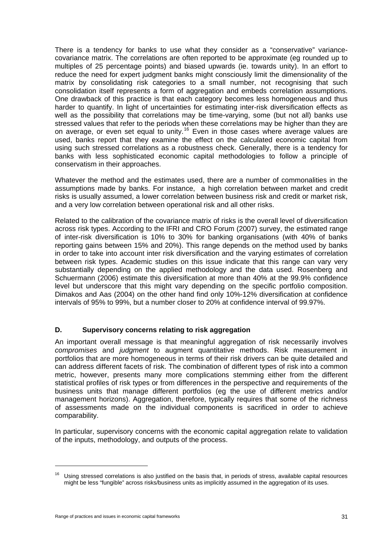There is a tendency for banks to use what they consider as a "conservative" variancecovariance matrix. The correlations are often reported to be approximate (eg rounded up to multiples of 25 percentage points) and biased upwards (ie. towards unity). In an effort to reduce the need for expert judgment banks might consciously limit the dimensionality of the matrix by consolidating risk categories to a small number, not recognising that such consolidation itself represents a form of aggregation and embeds correlation assumptions. One drawback of this practice is that each category becomes less homogeneous and thus harder to quantify. In light of uncertainties for estimating inter-risk diversification effects as well as the possibility that correlations may be time-varying, some (but not all) banks use stressed values that refer to the periods when these correlations may be higher than they are on average, or even set equal to unity.<sup>[16](#page-36-0)</sup> Even in those cases where average values are used, banks report that they examine the effect on the calculated economic capital from using such stressed correlations as a robustness check. Generally, there is a tendency for banks with less sophisticated economic capital methodologies to follow a principle of conservatism in their approaches.

Whatever the method and the estimates used, there are a number of commonalities in the assumptions made by banks. For instance, a high correlation between market and credit risks is usually assumed, a lower correlation between business risk and credit or market risk, and a very low correlation between operational risk and all other risks.

Related to the calibration of the covariance matrix of risks is the overall level of diversification across risk types. According to the IFRI and CRO Forum (2007) survey, the estimated range of inter-risk diversification is 10% to 30% for banking organisations (with 40% of banks reporting gains between 15% and 20%). This range depends on the method used by banks in order to take into account inter risk diversification and the varying estimates of correlation between risk types. Academic studies on this issue indicate that this range can vary very substantially depending on the applied methodology and the data used. Rosenberg and Schuermann (2006) estimate this diversification at more than 40% at the 99.9% confidence level but underscore that this might vary depending on the specific portfolio composition. Dimakos and Aas (2004) on the other hand find only 10%-12% diversification at confidence intervals of 95% to 99%, but a number closer to 20% at confidence interval of 99.97%.

#### **D. Supervisory concerns relating to risk aggregation**

An important overall message is that meaningful aggregation of risk necessarily involves *compromises* and *judgment* to augment quantitative methods. Risk measurement in portfolios that are more homogeneous in terms of their risk drivers can be quite detailed and can address different facets of risk. The combination of different types of risk into a common metric, however, presents many more complications stemming either from the different statistical profiles of risk types or from differences in the perspective and requirements of the business units that manage different portfolios (eg the use of different metrics and/or management horizons). Aggregation, therefore, typically requires that some of the richness of assessments made on the individual components is sacrificed in order to achieve comparability.

In particular, supervisory concerns with the economic capital aggregation relate to validation of the inputs, methodology, and outputs of the process.

 $\overline{a}$ 

<span id="page-36-0"></span> $16$  Using stressed correlations is also justified on the basis that, in periods of stress, available capital resources might be less "fungible" across risks/business units as implicitly assumed in the aggregation of its uses.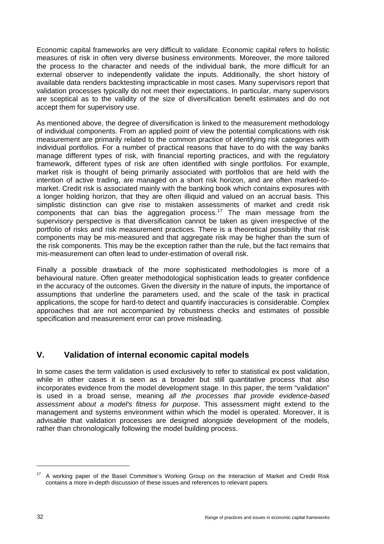Economic capital frameworks are very difficult to validate. Economic capital refers to holistic measures of risk in often very diverse business environments. Moreover, the more tailored the process to the character and needs of the individual bank, the more difficult for an external observer to independently validate the inputs. Additionally, the short history of available data renders backtesting impracticable in most cases. Many supervisors report that validation processes typically do not meet their expectations. In particular, many supervisors are sceptical as to the validity of the size of diversification benefit estimates and do not accept them for supervisory use.

As mentioned above, the degree of diversification is linked to the measurement methodology of individual components. From an applied point of view the potential complications with risk measurement are primarily related to the common practice of identifying risk categories with individual portfolios. For a number of practical reasons that have to do with the way banks manage different types of risk, with financial reporting practices, and with the regulatory framework, different types of risk are often identified with single portfolios. For example, market risk is thought of being primarily associated with portfolios that are held with the intention of active trading, are managed on a short risk horizon, and are often marked-tomarket. Credit risk is associated mainly with the banking book which contains exposures with a longer holding horizon, that they are often illiquid and valued on an accrual basis. This simplistic distinction can give rise to mistaken assessments of market and credit risk components that can bias the aggregation process.<sup>[17](#page-37-0)</sup> The main message from the supervisory perspective is that diversification cannot be taken as given irrespective of the portfolio of risks and risk measurement practices. There is a theoretical possibility that risk components may be mis-measured and that aggregate risk may be higher than the sum of the risk components. This may be the exception rather than the rule, but the fact remains that mis-measurement can often lead to under-estimation of overall risk.

Finally a possible drawback of the more sophisticated methodologies is more of a behavioural nature. Often greater methodological sophistication leads to greater confidence in the accuracy of the outcomes. Given the diversity in the nature of inputs, the importance of assumptions that underline the parameters used, and the scale of the task in practical applications, the scope for hard-to detect and quantify inaccuracies is considerable. Complex approaches that are not accompanied by robustness checks and estimates of possible specification and measurement error can prove misleading.

# **V. Validation of internal economic capital models**

In some cases the term validation is used exclusively to refer to statistical ex post validation, while in other cases it is seen as a broader but still quantitative process that also incorporates evidence from the model development stage. In this paper, the term "validation" is used in a broad sense, meaning *all the processes that provide evidence-based assessment about a model's fitness for purpose*. This assessment might extend to the management and systems environment within which the model is operated. Moreover, it is advisable that validation processes are designed alongside development of the models, rather than chronologically following the model building process.

<span id="page-37-0"></span><sup>&</sup>lt;sup>17</sup> A working paper of the Basel Committee's Working Group on the Interaction of Market and Credit Risk contains a more in-depth discussion of these issues and references to relevant papers.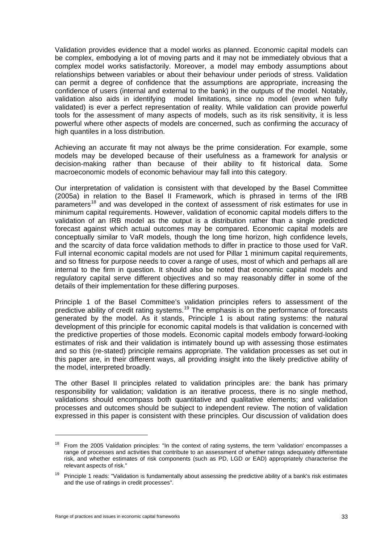Validation provides evidence that a model works as planned. Economic capital models can be complex, embodying a lot of moving parts and it may not be immediately obvious that a complex model works satisfactorily. Moreover, a model may embody assumptions about relationships between variables or about their behaviour under periods of stress. Validation can permit a degree of confidence that the assumptions are appropriate, increasing the confidence of users (internal and external to the bank) in the outputs of the model. Notably, validation also aids in identifying model limitations, since no model (even when fully validated) is ever a perfect representation of reality. While validation can provide powerful tools for the assessment of many aspects of models, such as its risk sensitivity, it is less powerful where other aspects of models are concerned, such as confirming the accuracy of high quantiles in a loss distribution.

Achieving an accurate fit may not always be the prime consideration. For example, some models may be developed because of their usefulness as a framework for analysis or decision-making rather than because of their ability to fit historical data. Some macroeconomic models of economic behaviour may fall into this category.

Our interpretation of validation is consistent with that developed by the Basel Committee (2005a) in relation to the Basel II Framework, which is phrased in terms of the IRB parameters<sup>[18](#page-38-0)</sup> and was developed in the context of assessment of risk estimates for use in minimum capital requirements. However, validation of economic capital models differs to the validation of an IRB model as the output is a distribution rather than a single predicted forecast against which actual outcomes may be compared. Economic capital models are conceptually similar to VaR models, though the long time horizon, high confidence levels, and the scarcity of data force validation methods to differ in practice to those used for VaR. Full internal economic capital models are not used for Pillar 1 minimum capital requirements, and so fitness for purpose needs to cover a range of uses, most of which and perhaps all are internal to the firm in question. It should also be noted that economic capital models and regulatory capital serve different objectives and so may reasonably differ in some of the details of their implementation for these differing purposes.

Principle 1 of the Basel Committee's validation principles refers to assessment of the predictive ability of credit rating systems.<sup>[19](#page-38-1)</sup> The emphasis is on the performance of forecasts generated by the model. As it stands, Principle 1 is about rating systems: the natural development of this principle for economic capital models is that validation is concerned with the predictive properties of those models. Economic capital models embody forward-looking estimates of risk and their validation is intimately bound up with assessing those estimates and so this (re-stated) principle remains appropriate. The validation processes as set out in this paper are, in their different ways, all providing insight into the likely predictive ability of the model, interpreted broadly.

The other Basel II principles related to validation principles are: the bank has primary responsibility for validation; validation is an iterative process, there is no single method, validations should encompass both quantitative and qualitative elements; and validation processes and outcomes should be subject to independent review. The notion of validation expressed in this paper is consistent with these principles. Our discussion of validation does

<span id="page-38-0"></span><sup>&</sup>lt;sup>18</sup> From the 2005 Validation principles: "In the context of rating systems, the term 'validation' encompasses a range of processes and activities that contribute to an assessment of whether ratings adequately differentiate risk, and whether estimates of risk components (such as PD, LGD or EAD) appropriately characterise the relevant aspects of risk."

<span id="page-38-1"></span> $19$  Principle 1 reads: "Validation is fundamentally about assessing the predictive ability of a bank's risk estimates and the use of ratings in credit processes".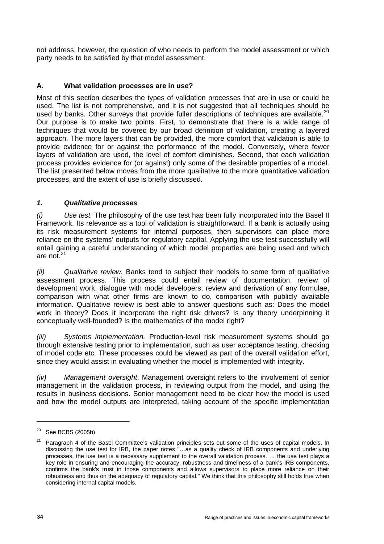not address, however, the question of who needs to perform the model assessment or which party needs to be satisfied by that model assessment.

### **A. What validation processes are in use?**

Most of this section describes the types of validation processes that are in use or could be used. The list is not comprehensive, and it is not suggested that all techniques should be used by banks. Other surveys that provide fuller descriptions of techniques are available.<sup>[20](#page-39-0)</sup> Our purpose is to make two points. First, to demonstrate that there is a wide range of techniques that would be covered by our broad definition of validation, creating a layered approach. The more layers that can be provided, the more comfort that validation is able to provide evidence for or against the performance of the model. Conversely, where fewer layers of validation are used, the level of comfort diminishes. Second, that each validation process provides evidence for (or against) only some of the desirable properties of a model. The list presented below moves from the more qualitative to the more quantitative validation processes, and the extent of use is briefly discussed.

#### *1. Qualitative processes*

*(i) Use test.* The philosophy of the use test has been fully incorporated into the Basel II Framework. Its relevance as a tool of validation is straightforward. If a bank is actually using its risk measurement systems for internal purposes, then supervisors can place more reliance on the systems' outputs for regulatory capital. Applying the use test successfully will entail gaining a careful understanding of which model properties are being used and which are not.[21](#page-39-1)

*(ii) Qualitative review.* Banks tend to subject their models to some form of qualitative assessment process. This process could entail review of documentation, review of development work, dialogue with model developers, review and derivation of any formulae, comparison with what other firms are known to do, comparison with publicly available information. Qualitative review is best able to answer questions such as: Does the model work in theory? Does it incorporate the right risk drivers? Is any theory underpinning it conceptually well-founded? Is the mathematics of the model right?

*(iii) Systems implementation.* Production-level risk measurement systems should go through extensive testing prior to implementation, such as user acceptance testing, checking of model code etc. These processes could be viewed as part of the overall validation effort, since they would assist in evaluating whether the model is implemented with integrity.

*(iv) Management oversight*. Management oversight refers to the involvement of senior management in the validation process, in reviewing output from the model, and using the results in business decisions. Senior management need to be clear how the model is used and how the model outputs are interpreted, taking account of the specific implementation

 $\overline{a}$ 

<span id="page-39-0"></span> $20$  See BCBS (2005b)

<span id="page-39-1"></span><sup>21</sup> Paragraph 4 of the Basel Committee's validation principles sets out some of the uses of capital models. In discussing the use test for IRB, the paper notes "…as a quality check of IRB components and underlying processes, the use test is a necessary supplement to the overall validation process. ... the use test plays a key role in ensuring and encouraging the accuracy, robustness and timeliness of a bank's IRB components, confirms the bank's trust in those components and allows supervisors to place more reliance on their robustness and thus on the adequacy of regulatory capital." We think that this philosophy still holds true when considering internal capital models.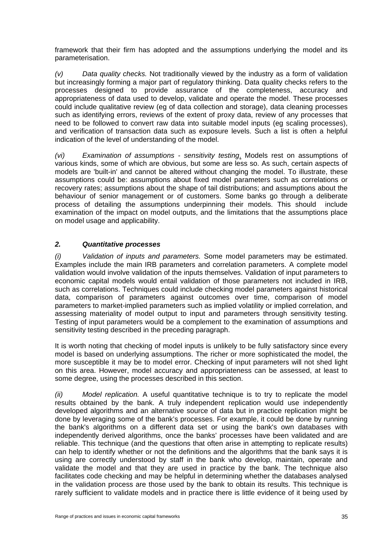framework that their firm has adopted and the assumptions underlying the model and its parameterisation.

*(v) Data quality checks.* Not traditionally viewed by the industry as a form of validation but increasingly forming a major part of regulatory thinking. Data quality checks refers to the processes designed to provide assurance of the completeness, accuracy and appropriateness of data used to develop, validate and operate the model. These processes could include qualitative review (eg of data collection and storage), data cleaning processes such as identifying errors, reviews of the extent of proxy data, review of any processes that need to be followed to convert raw data into suitable model inputs (eg scaling processes), and verification of transaction data such as exposure levels. Such a list is often a helpful indication of the level of understanding of the model.

*(vi) Examination of assumptions - sensitivity testing*. Models rest on assumptions of various kinds, some of which are obvious, but some are less so. As such, certain aspects of models are 'built-in' and cannot be altered without changing the model. To illustrate, these assumptions could be: assumptions about fixed model parameters such as correlations or recovery rates; assumptions about the shape of tail distributions; and assumptions about the behaviour of senior management or of customers. Some banks go through a deliberate process of detailing the assumptions underpinning their models. This should include examination of the impact on model outputs, and the limitations that the assumptions place on model usage and applicability.

#### *2. Quantitative processes*

*(i) Validation of inputs and parameters.* Some model parameters may be estimated. Examples include the main IRB parameters and correlation parameters. A complete model validation would involve validation of the inputs themselves. Validation of input parameters to economic capital models would entail validation of those parameters not included in IRB, such as correlations. Techniques could include checking model parameters against historical data, comparison of parameters against outcomes over time, comparison of model parameters to market-implied parameters such as implied volatility or implied correlation, and assessing materiality of model output to input and parameters through sensitivity testing. Testing of input parameters would be a complement to the examination of assumptions and sensitivity testing described in the preceding paragraph.

It is worth noting that checking of model inputs is unlikely to be fully satisfactory since every model is based on underlying assumptions. The richer or more sophisticated the model, the more susceptible it may be to model error. Checking of input parameters will not shed light on this area. However, model accuracy and appropriateness can be assessed, at least to some degree, using the processes described in this section.

*(ii) Model replication.* A useful quantitative technique is to try to replicate the model results obtained by the bank. A truly independent replication would use independently developed algorithms and an alternative source of data but in practice replication might be done by leveraging some of the bank's processes. For example, it could be done by running the bank's algorithms on a different data set or using the bank's own databases with independently derived algorithms, once the banks' processes have been validated and are reliable. This technique (and the questions that often arise in attempting to replicate results) can help to identify whether or not the definitions and the algorithms that the bank says it is using are correctly understood by staff in the bank who develop, maintain, operate and validate the model and that they are used in practice by the bank. The technique also facilitates code checking and may be helpful in determining whether the databases analysed in the validation process are those used by the bank to obtain its results. This technique is rarely sufficient to validate models and in practice there is little evidence of it being used by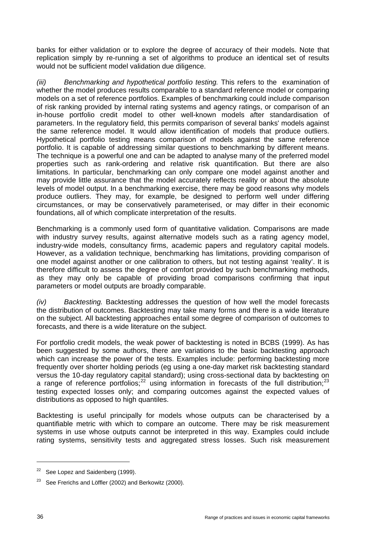banks for either validation or to explore the degree of accuracy of their models. Note that replication simply by re-running a set of algorithms to produce an identical set of results would not be sufficient model validation due diligence.

*(iii) Benchmarking and hypothetical portfolio testing.* This refers to the examination of whether the model produces results comparable to a standard reference model or comparing models on a set of reference portfolios. Examples of benchmarking could include comparison of risk ranking provided by internal rating systems and agency ratings, or comparison of an in-house portfolio credit model to other well-known models after standardisation of parameters. In the regulatory field, this permits comparison of several banks' models against the same reference model. It would allow identification of models that produce outliers. Hypothetical portfolio testing means comparison of models against the same reference portfolio. It is capable of addressing similar questions to benchmarking by different means. The technique is a powerful one and can be adapted to analyse many of the preferred model properties such as rank-ordering and relative risk quantification. But there are also limitations. In particular, benchmarking can only compare one model against another and may provide little assurance that the model accurately reflects reality or about the absolute levels of model output. In a benchmarking exercise, there may be good reasons why models produce outliers. They may, for example, be designed to perform well under differing circumstances, or may be conservatively parameterised, or may differ in their economic foundations, all of which complicate interpretation of the results.

Benchmarking is a commonly used form of quantitative validation. Comparisons are made with industry survey results, against alternative models such as a rating agency model, industry-wide models, consultancy firms, academic papers and regulatory capital models. However, as a validation technique, benchmarking has limitations, providing comparison of one model against another or one calibration to others, but not testing against 'reality'. It is therefore difficult to assess the degree of comfort provided by such benchmarking methods, as they may only be capable of providing broad comparisons confirming that input parameters or model outputs are broadly comparable.

*(iv) Backtesting.* Backtesting addresses the question of how well the model forecasts the distribution of outcomes. Backtesting may take many forms and there is a wide literature on the subject. All backtesting approaches entail some degree of comparison of outcomes to forecasts, and there is a wide literature on the subject.

For portfolio credit models, the weak power of backtesting is noted in BCBS (1999). As has been suggested by some authors, there are variations to the basic backtesting approach which can increase the power of the tests. Examples include: performing backtesting more frequently over shorter holding periods (eg using a one-day market risk backtesting standard versus the 10-day regulatory capital standard); using cross-sectional data by backtesting on a range of reference portfolios;<sup>[22](#page-41-0)</sup> using information in forecasts of the full distribution;<sup>[23](#page-41-1)</sup> testing expected losses only; and comparing outcomes against the expected values of distributions as opposed to high quantiles.

Backtesting is useful principally for models whose outputs can be characterised by a quantifiable metric with which to compare an outcome. There may be risk measurement systems in use whose outputs cannot be interpreted in this way. Examples could include rating systems, sensitivity tests and aggregated stress losses. Such risk measurement

<span id="page-41-0"></span><sup>&</sup>lt;sup>22</sup> See Lopez and Saidenberg (1999).

<span id="page-41-1"></span><sup>&</sup>lt;sup>23</sup> See Frerichs and Löffler (2002) and Berkowitz (2000).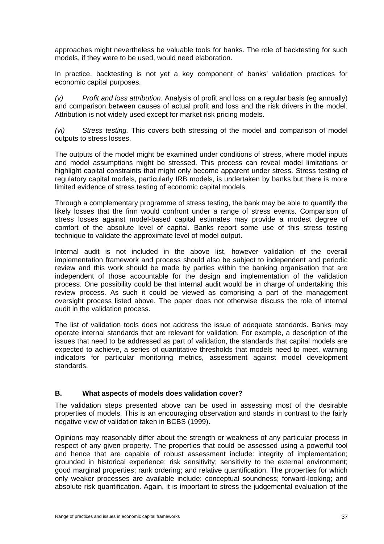approaches might nevertheless be valuable tools for banks. The role of backtesting for such models, if they were to be used, would need elaboration.

In practice, backtesting is not yet a key component of banks' validation practices for economic capital purposes.

*(v) Profit and loss attribution*. Analysis of profit and loss on a regular basis (eg annually) and comparison between causes of actual profit and loss and the risk drivers in the model. Attribution is not widely used except for market risk pricing models.

*(vi) Stress testing.* This covers both stressing of the model and comparison of model outputs to stress losses.

The outputs of the model might be examined under conditions of stress, where model inputs and model assumptions might be stressed. This process can reveal model limitations or highlight capital constraints that might only become apparent under stress. Stress testing of regulatory capital models, particularly IRB models, is undertaken by banks but there is more limited evidence of stress testing of economic capital models.

Through a complementary programme of stress testing, the bank may be able to quantify the likely losses that the firm would confront under a range of stress events. Comparison of stress losses against model-based capital estimates may provide a modest degree of comfort of the absolute level of capital. Banks report some use of this stress testing technique to validate the approximate level of model output.

Internal audit is not included in the above list, however validation of the overall implementation framework and process should also be subject to independent and periodic review and this work should be made by parties within the banking organisation that are independent of those accountable for the design and implementation of the validation process. One possibility could be that internal audit would be in charge of undertaking this review process. As such it could be viewed as comprising a part of the management oversight process listed above. The paper does not otherwise discuss the role of internal audit in the validation process.

The list of validation tools does not address the issue of adequate standards. Banks may operate internal standards that are relevant for validation. For example, a description of the issues that need to be addressed as part of validation, the standards that capital models are expected to achieve, a series of quantitative thresholds that models need to meet, warning indicators for particular monitoring metrics, assessment against model development standards.

#### **B. What aspects of models does validation cover?**

The validation steps presented above can be used in assessing most of the desirable properties of models. This is an encouraging observation and stands in contrast to the fairly negative view of validation taken in BCBS (1999).

Opinions may reasonably differ about the strength or weakness of any particular process in respect of any given property. The properties that could be assessed using a powerful tool and hence that are capable of robust assessment include: integrity of implementation; grounded in historical experience; risk sensitivity; sensitivity to the external environment; good marginal properties; rank ordering; and relative quantification. The properties for which only weaker processes are available include: conceptual soundness; forward-looking; and absolute risk quantification. Again, it is important to stress the judgemental evaluation of the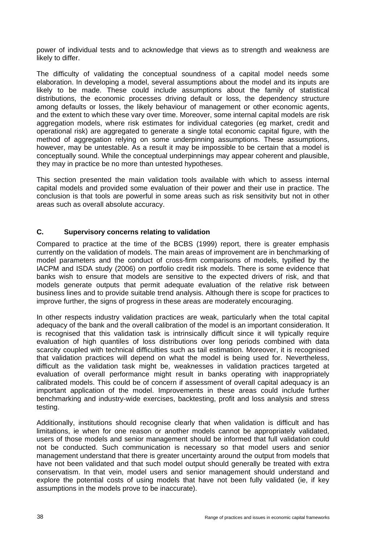power of individual tests and to acknowledge that views as to strength and weakness are likely to differ.

The difficulty of validating the conceptual soundness of a capital model needs some elaboration. In developing a model, several assumptions about the model and its inputs are likely to be made. These could include assumptions about the family of statistical distributions, the economic processes driving default or loss, the dependency structure among defaults or losses, the likely behaviour of management or other economic agents, and the extent to which these vary over time. Moreover, some internal capital models are risk aggregation models, where risk estimates for individual categories (eg market, credit and operational risk) are aggregated to generate a single total economic capital figure, with the method of aggregation relying on some underpinning assumptions. These assumptions, however, may be untestable. As a result it may be impossible to be certain that a model is conceptually sound. While the conceptual underpinnings may appear coherent and plausible, they may in practice be no more than untested hypotheses.

This section presented the main validation tools available with which to assess internal capital models and provided some evaluation of their power and their use in practice. The conclusion is that tools are powerful in some areas such as risk sensitivity but not in other areas such as overall absolute accuracy.

#### **C. Supervisory concerns relating to validation**

Compared to practice at the time of the BCBS (1999) report, there is greater emphasis currently on the validation of models. The main areas of improvement are in benchmarking of model parameters and the conduct of cross-firm comparisons of models, typified by the IACPM and ISDA study (2006) on portfolio credit risk models. There is some evidence that banks wish to ensure that models are sensitive to the expected drivers of risk, and that models generate outputs that permit adequate evaluation of the relative risk between business lines and to provide suitable trend analysis. Although there is scope for practices to improve further, the signs of progress in these areas are moderately encouraging.

In other respects industry validation practices are weak, particularly when the total capital adequacy of the bank and the overall calibration of the model is an important consideration. It is recognised that this validation task is intrinsically difficult since it will typically require evaluation of high quantiles of loss distributions over long periods combined with data scarcity coupled with technical difficulties such as tail estimation. Moreover, it is recognised that validation practices will depend on what the model is being used for. Nevertheless, difficult as the validation task might be, weaknesses in validation practices targeted at evaluation of overall performance might result in banks operating with inappropriately calibrated models. This could be of concern if assessment of overall capital adequacy is an important application of the model. Improvements in these areas could include further benchmarking and industry-wide exercises, backtesting, profit and loss analysis and stress testing.

Additionally, institutions should recognise clearly that when validation is difficult and has limitations, ie when for one reason or another models cannot be appropriately validated, users of those models and senior management should be informed that full validation could not be conducted. Such communication is necessary so that model users and senior management understand that there is greater uncertainty around the output from models that have not been validated and that such model output should generally be treated with extra conservatism. In that vein, model users and senior management should understand and explore the potential costs of using models that have not been fully validated (ie, if key assumptions in the models prove to be inaccurate).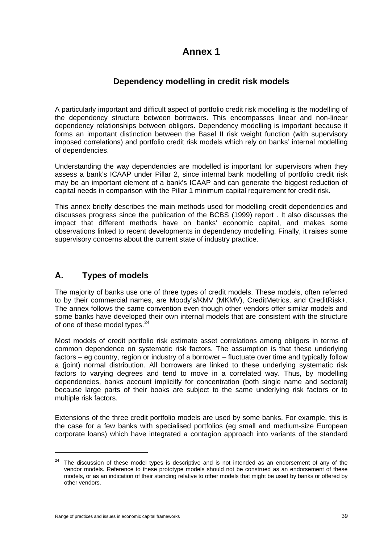# **Annex 1**

# **Dependency modelling in credit risk models**

A particularly important and difficult aspect of portfolio credit risk modelling is the modelling of the dependency structure between borrowers. This encompasses linear and non-linear dependency relationships between obligors. Dependency modelling is important because it forms an important distinction between the Basel II risk weight function (with supervisory imposed correlations) and portfolio credit risk models which rely on banks' internal modelling of dependencies.

Understanding the way dependencies are modelled is important for supervisors when they assess a bank's ICAAP under Pillar 2, since internal bank modelling of portfolio credit risk may be an important element of a bank's ICAAP and can generate the biggest reduction of capital needs in comparison with the Pillar 1 minimum capital requirement for credit risk.

This annex briefly describes the main methods used for modelling credit dependencies and discusses progress since the publication of the BCBS (1999) report . It also discusses the impact that different methods have on banks' economic capital, and makes some observations linked to recent developments in dependency modelling. Finally, it raises some supervisory concerns about the current state of industry practice.

# **A. Types of models**

The majority of banks use one of three types of credit models. These models, often referred to by their commercial names, are Moody's/KMV (MKMV), CreditMetrics, and CreditRisk+. The annex follows the same convention even though other vendors offer similar models and some banks have developed their own internal models that are consistent with the structure of one of these model types.<sup>[24](#page-44-0)</sup>

Most models of credit portfolio risk estimate asset correlations among obligors in terms of common dependence on systematic risk factors. The assumption is that these underlying factors – eg country, region or industry of a borrower – fluctuate over time and typically follow a (joint) normal distribution. All borrowers are linked to these underlying systematic risk factors to varying degrees and tend to move in a correlated way. Thus, by modelling dependencies, banks account implicitly for concentration (both single name and sectoral) because large parts of their books are subject to the same underlying risk factors or to multiple risk factors.

Extensions of the three credit portfolio models are used by some banks. For example, this is the case for a few banks with specialised portfolios (eg small and medium-size European corporate loans) which have integrated a contagion approach into variants of the standard

<span id="page-44-0"></span><sup>&</sup>lt;sup>24</sup> The discussion of these model types is descriptive and is not intended as an endorsement of any of the vendor models. Reference to these prototype models should not be construed as an endorsement of these models, or as an indication of their standing relative to other models that might be used by banks or offered by other vendors.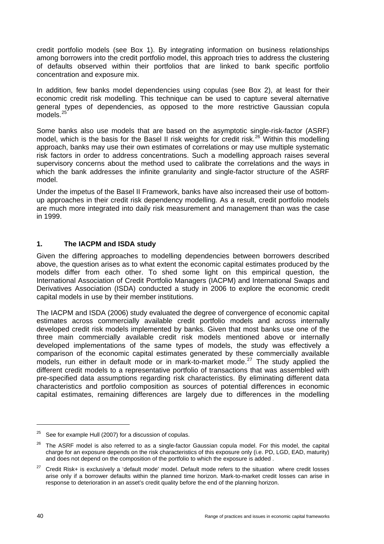credit portfolio models (see Box 1). By integrating information on business relationships among borrowers into the credit portfolio model, this approach tries to address the clustering of defaults observed within their portfolios that are linked to bank specific portfolio concentration and exposure mix.

In addition, few banks model dependencies using copulas (see Box 2), at least for their economic credit risk modelling. This technique can be used to capture several alternative general types of dependencies, as opposed to the more restrictive Gaussian copula  $models<sup>25</sup>$  $models<sup>25</sup>$  $models<sup>25</sup>$ 

Some banks also use models that are based on the asymptotic single-risk-factor (ASRF) model, which is the basis for the Basel II risk weights for credit risk.<sup>[26](#page-45-1)</sup> Within this modelling approach, banks may use their own estimates of correlations or may use multiple systematic risk factors in order to address concentrations. Such a modelling approach raises several supervisory concerns about the method used to calibrate the correlations and the ways in which the bank addresses the infinite granularity and single-factor structure of the ASRF model.

Under the impetus of the Basel II Framework, banks have also increased their use of bottomup approaches in their credit risk dependency modelling. As a result, credit portfolio models are much more integrated into daily risk measurement and management than was the case in 1999.

#### **1. The IACPM and ISDA study**

Given the differing approaches to modelling dependencies between borrowers described above, the question arises as to what extent the economic capital estimates produced by the models differ from each other. To shed some light on this empirical question, the International Association of Credit Portfolio Managers (IACPM) and International Swaps and Derivatives Association (ISDA) conducted a study in 2006 to explore the economic credit capital models in use by their member institutions.

The IACPM and ISDA (2006) study evaluated the degree of convergence of economic capital estimates across commercially available credit portfolio models and across internally developed credit risk models implemented by banks. Given that most banks use one of the three main commercially available credit risk models mentioned above or internally developed implementations of the same types of models, the study was effectively a comparison of the economic capital estimates generated by these commercially available models, run either in default mode or in mark-to-market mode.<sup>[27](#page-45-2)</sup> The study applied the different credit models to a representative portfolio of transactions that was assembled with pre-specified data assumptions regarding risk characteristics. By eliminating different data characteristics and portfolio composition as sources of potential differences in economic capital estimates, remaining differences are largely due to differences in the modelling

<span id="page-45-0"></span>See for example Hull (2007) for a discussion of copulas.

<span id="page-45-1"></span><sup>&</sup>lt;sup>26</sup> The ASRF model is also referred to as a single-factor Gaussian copula model. For this model, the capital charge for an exposure depends on the risk characteristics of this exposure only (i.e. PD, LGD, EAD, maturity) and does not depend on the composition of the portfolio to which the exposure is added .

<span id="page-45-2"></span><sup>27</sup> Credit Risk+ is exclusively a 'default mode' model. Default mode refers to the situation where credit losses arise only if a borrower defaults within the planned time horizon. Mark-to-market credit losses can arise in response to deterioration in an asset's credit quality before the end of the planning horizon.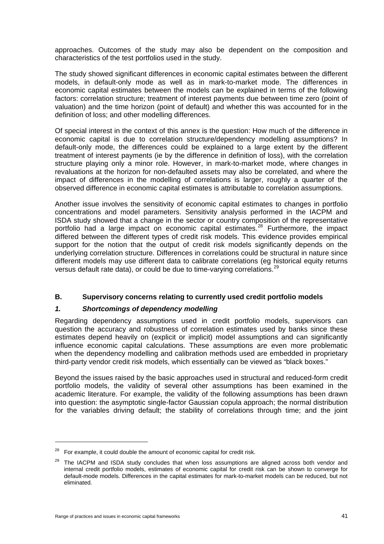approaches. Outcomes of the study may also be dependent on the composition and characteristics of the test portfolios used in the study.

The study showed significant differences in economic capital estimates between the different models, in default-only mode as well as in mark-to-market mode. The differences in economic capital estimates between the models can be explained in terms of the following factors: correlation structure; treatment of interest payments due between time zero (point of valuation) and the time horizon (point of default) and whether this was accounted for in the definition of loss; and other modelling differences.

Of special interest in the context of this annex is the question: How much of the difference in economic capital is due to correlation structure/dependency modelling assumptions? In default-only mode, the differences could be explained to a large extent by the different treatment of interest payments (ie by the difference in definition of loss), with the correlation structure playing only a minor role. However, in mark-to-market mode, where changes in revaluations at the horizon for non-defaulted assets may also be correlated, and where the impact of differences in the modelling of correlations is larger, roughly a quarter of the observed difference in economic capital estimates is attributable to correlation assumptions.

Another issue involves the sensitivity of economic capital estimates to changes in portfolio concentrations and model parameters. Sensitivity analysis performed in the IACPM and ISDA study showed that a change in the sector or country composition of the representative portfolio had a large impact on economic capital estimates.<sup>[28](#page-46-0)</sup> Furthermore, the impact differed between the different types of credit risk models. This evidence provides empirical support for the notion that the output of credit risk models significantly depends on the underlying correlation structure. Differences in correlations could be structural in nature since different models may use different data to calibrate correlations (eg historical equity returns versus default rate data), or could be due to time-varying correlations.<sup>[29](#page-46-1)</sup>

#### **B. Supervisory concerns relating to currently used credit portfolio models**

#### *1. Shortcomings of dependency modelling*

Regarding dependency assumptions used in credit portfolio models, supervisors can question the accuracy and robustness of correlation estimates used by banks since these estimates depend heavily on (explicit or implicit) model assumptions and can significantly influence economic capital calculations. These assumptions are even more problematic when the dependency modelling and calibration methods used are embedded in proprietary third-party vendor credit risk models, which essentially can be viewed as "black boxes."

Beyond the issues raised by the basic approaches used in structural and reduced-form credit portfolio models, the validity of several other assumptions has been examined in the academic literature. For example, the validity of the following assumptions has been drawn into question: the asymptotic single-factor Gaussian copula approach; the normal distribution for the variables driving default; the stability of correlations through time; and the joint

 $\overline{a}$ 

<span id="page-46-0"></span> $28$  For example, it could double the amount of economic capital for credit risk.

<span id="page-46-1"></span> $29$  The IACPM and ISDA study concludes that when loss assumptions are aligned across both vendor and internal credit portfolio models, estimates of economic capital for credit risk can be shown to converge for default-mode models. Differences in the capital estimates for mark-to-market models can be reduced, but not eliminated.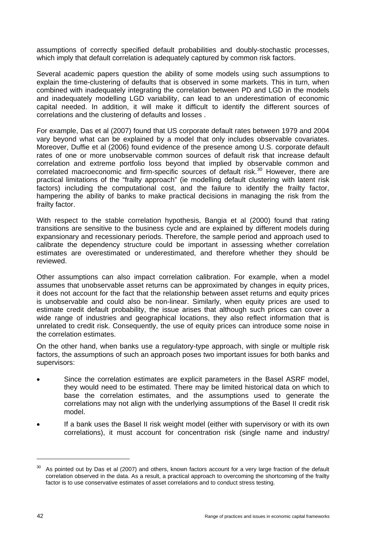assumptions of correctly specified default probabilities and doubly-stochastic processes, which imply that default correlation is adequately captured by common risk factors.

Several academic papers question the ability of some models using such assumptions to explain the time-clustering of defaults that is observed in some markets. This in turn, when combined with inadequately integrating the correlation between PD and LGD in the models and inadequately modelling LGD variability, can lead to an underestimation of economic capital needed. In addition, it will make it difficult to identify the different sources of correlations and the clustering of defaults and losses .

For example, Das et al (2007) found that US corporate default rates between 1979 and 2004 vary beyond what can be explained by a model that only includes observable covariates. Moreover, Duffie et al (2006) found evidence of the presence among U.S. corporate default rates of one or more unobservable common sources of default risk that increase default correlation and extreme portfolio loss beyond that implied by observable common and correlated macroeconomic and firm-specific sources of default risk.<sup>[30](#page-47-0)</sup> However, there are practical limitations of the "frailty approach" (ie modelling default clustering with latent risk factors) including the computational cost, and the failure to identify the frailty factor, hampering the ability of banks to make practical decisions in managing the risk from the frailty factor.

With respect to the stable correlation hypothesis, Bangia et al (2000) found that rating transitions are sensitive to the business cycle and are explained by different models during expansionary and recessionary periods. Therefore, the sample period and approach used to calibrate the dependency structure could be important in assessing whether correlation estimates are overestimated or underestimated, and therefore whether they should be reviewed.

Other assumptions can also impact correlation calibration. For example, when a model assumes that unobservable asset returns can be approximated by changes in equity prices, it does not account for the fact that the relationship between asset returns and equity prices is unobservable and could also be non-linear. Similarly, when equity prices are used to estimate credit default probability, the issue arises that although such prices can cover a wide range of industries and geographical locations, they also reflect information that is unrelated to credit risk. Consequently, the use of equity prices can introduce some noise in the correlation estimates.

On the other hand, when banks use a regulatory-type approach, with single or multiple risk factors, the assumptions of such an approach poses two important issues for both banks and supervisors:

- Since the correlation estimates are explicit parameters in the Basel ASRF model, they would need to be estimated. There may be limited historical data on which to base the correlation estimates, and the assumptions used to generate the correlations may not align with the underlying assumptions of the Basel II credit risk model.
- If a bank uses the Basel II risk weight model (either with supervisory or with its own correlations), it must account for concentration risk (single name and industry/

<span id="page-47-0"></span>As pointed out by Das et al (2007) and others, known factors account for a very large fraction of the default correlation observed in the data. As a result, a practical approach to overcoming the shortcoming of the frailty factor is to use conservative estimates of asset correlations and to conduct stress testing.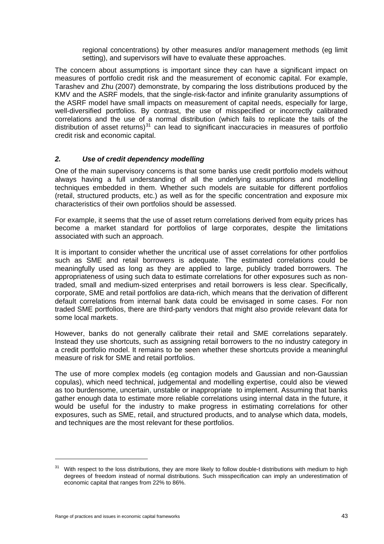regional concentrations) by other measures and/or management methods (eg limit setting), and supervisors will have to evaluate these approaches.

The concern about assumptions is important since they can have a significant impact on measures of portfolio credit risk and the measurement of economic capital. For example, Tarashev and Zhu (2007) demonstrate, by comparing the loss distributions produced by the KMV and the ASRF models, that the single-risk-factor and infinite granularity assumptions of the ASRF model have small impacts on measurement of capital needs, especially for large, well-diversified portfolios. By contrast, the use of misspecified or incorrectly calibrated correlations and the use of a normal distribution (which fails to replicate the tails of the distribution of asset returns) $31$  can lead to significant inaccuracies in measures of portfolio credit risk and economic capital.

#### *2. Use of credit dependency modelling*

One of the main supervisory concerns is that some banks use credit portfolio models without always having a full understanding of all the underlying assumptions and modelling techniques embedded in them. Whether such models are suitable for different portfolios (retail, structured products, etc.) as well as for the specific concentration and exposure mix characteristics of their own portfolios should be assessed.

For example, it seems that the use of asset return correlations derived from equity prices has become a market standard for portfolios of large corporates, despite the limitations associated with such an approach.

It is important to consider whether the uncritical use of asset correlations for other portfolios such as SME and retail borrowers is adequate. The estimated correlations could be meaningfully used as long as they are applied to large, publicly traded borrowers. The appropriateness of using such data to estimate correlations for other exposures such as nontraded, small and medium-sized enterprises and retail borrowers is less clear. Specifically, corporate, SME and retail portfolios are data-rich, which means that the derivation of different default correlations from internal bank data could be envisaged in some cases. For non traded SME portfolios, there are third-party vendors that might also provide relevant data for some local markets.

However, banks do not generally calibrate their retail and SME correlations separately. Instead they use shortcuts, such as assigning retail borrowers to the no industry category in a credit portfolio model. It remains to be seen whether these shortcuts provide a meaningful measure of risk for SME and retail portfolios.

The use of more complex models (eg contagion models and Gaussian and non-Gaussian copulas), which need technical, judgemental and modelling expertise, could also be viewed as too burdensome, uncertain, unstable or inappropriate to implement. Assuming that banks gather enough data to estimate more reliable correlations using internal data in the future, it would be useful for the industry to make progress in estimating correlations for other exposures, such as SME, retail, and structured products, and to analyse which data, models, and techniques are the most relevant for these portfolios.

<span id="page-48-0"></span><sup>&</sup>lt;sup>31</sup> With respect to the loss distributions, they are more likely to follow double-t distributions with medium to high degrees of freedom instead of normal distributions. Such misspecification can imply an underestimation of economic capital that ranges from 22% to 86%.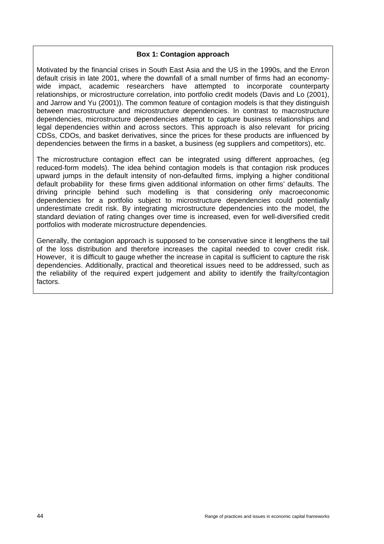#### **Box 1: Contagion approach**

Motivated by the financial crises in South East Asia and the US in the 1990s, and the Enron default crisis in late 2001, where the downfall of a small number of firms had an economywide impact, academic researchers have attempted to incorporate counterparty relationships, or microstructure correlation, into portfolio credit models (Davis and Lo (2001), and Jarrow and Yu (2001)). The common feature of contagion models is that they distinguish between macrostructure and microstructure dependencies. In contrast to macrostructure dependencies, microstructure dependencies attempt to capture business relationships and legal dependencies within and across sectors. This approach is also relevant for pricing CDSs, CDOs, and basket derivatives, since the prices for these products are influenced by dependencies between the firms in a basket, a business (eg suppliers and competitors), etc.

The microstructure contagion effect can be integrated using different approaches, (eg reduced-form models). The idea behind contagion models is that contagion risk produces upward jumps in the default intensity of non-defaulted firms, implying a higher conditional default probability for these firms given additional information on other firms' defaults. The driving principle behind such modelling is that considering only macroeconomic dependencies for a portfolio subject to microstructure dependencies could potentially underestimate credit risk. By integrating microstructure dependencies into the model, the standard deviation of rating changes over time is increased, even for well-diversified credit portfolios with moderate microstructure dependencies.

Generally, the contagion approach is supposed to be conservative since it lengthens the tail of the loss distribution and therefore increases the capital needed to cover credit risk. However, it is difficult to gauge whether the increase in capital is sufficient to capture the risk dependencies. Additionally, practical and theoretical issues need to be addressed, such as the reliability of the required expert judgement and ability to identify the frailty/contagion factors.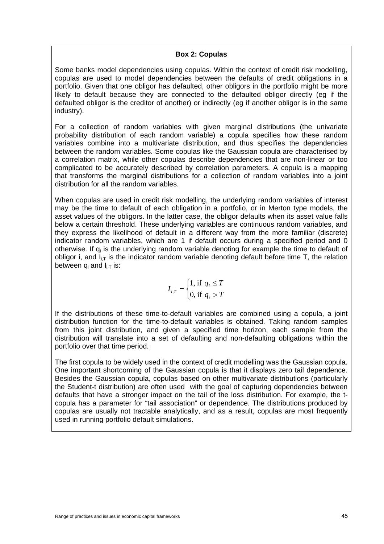#### **Box 2: Copulas**

Some banks model dependencies using copulas. Within the context of credit risk modelling, copulas are used to model dependencies between the defaults of credit obligations in a portfolio. Given that one obligor has defaulted, other obligors in the portfolio might be more likely to default because they are connected to the defaulted obligor directly (eg if the defaulted obligor is the creditor of another) or indirectly (eg if another obligor is in the same industry).

For a collection of random variables with given marginal distributions (the univariate probability distribution of each random variable) a copula specifies how these random variables combine into a multivariate distribution, and thus specifies the dependencies between the random variables. Some copulas like the Gaussian copula are characterised by a correlation matrix, while other copulas describe dependencies that are non-linear or too complicated to be accurately described by correlation parameters. A copula is a mapping that transforms the marginal distributions for a collection of random variables into a joint distribution for all the random variables.

When copulas are used in credit risk modelling, the underlying random variables of interest may be the time to default of each obligation in a portfolio, or in Merton type models, the asset values of the obligors. In the latter case, the obligor defaults when its asset value falls below a certain threshold. These underlying variables are continuous random variables, and they express the likelihood of default in a different way from the more familiar (discrete) indicator random variables, which are 1 if default occurs during a specified period and 0 otherwise. If  $q_i$  is the underlying random variable denoting for example the time to default of obligor i, and  $I_{i,T}$  is the indicator random variable denoting default before time T, the relation between  $q_i$  and  $I_{iT}$  is:

$$
I_{i,T} = \begin{cases} 1, \text{ if } q_i \le T \\ 0, \text{ if } q_i > T \end{cases}
$$

If the distributions of these time-to-default variables are combined using a copula, a joint distribution function for the time-to-default variables is obtained. Taking random samples from this joint distribution, and given a specified time horizon, each sample from the distribution will translate into a set of defaulting and non-defaulting obligations within the portfolio over that time period.

The first copula to be widely used in the context of credit modelling was the Gaussian copula. One important shortcoming of the Gaussian copula is that it displays zero tail dependence. Besides the Gaussian copula, copulas based on other multivariate distributions (particularly the Student-t distribution) are often used with the goal of capturing dependencies between defaults that have a stronger impact on the tail of the loss distribution. For example, the tcopula has a parameter for "tail association" or dependence. The distributions produced by copulas are usually not tractable analytically, and as a result, copulas are most frequently used in running portfolio default simulations.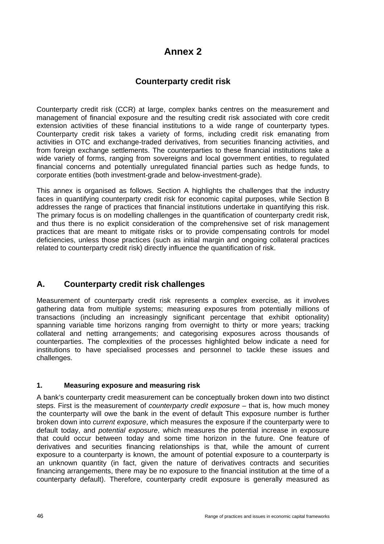# **Annex 2**

# **Counterparty credit risk**

Counterparty credit risk (CCR) at large, complex banks centres on the measurement and management of financial exposure and the resulting credit risk associated with core credit extension activities of these financial institutions to a wide range of counterparty types. Counterparty credit risk takes a variety of forms, including credit risk emanating from activities in OTC and exchange-traded derivatives, from securities financing activities, and from foreign exchange settlements. The counterparties to these financial institutions take a wide variety of forms, ranging from sovereigns and local government entities, to regulated financial concerns and potentially unregulated financial parties such as hedge funds, to corporate entities (both investment-grade and below-investment-grade).

This annex is organised as follows. Section A highlights the challenges that the industry faces in quantifying counterparty credit risk for economic capital purposes, while Section B addresses the range of practices that financial institutions undertake in quantifying this risk. The primary focus is on modelling challenges in the quantification of counterparty credit risk, and thus there is no explicit consideration of the comprehensive set of risk management practices that are meant to mitigate risks or to provide compensating controls for model deficiencies, unless those practices (such as initial margin and ongoing collateral practices related to counterparty credit risk) directly influence the quantification of risk.

# **A. Counterparty credit risk challenges**

Measurement of counterparty credit risk represents a complex exercise, as it involves gathering data from multiple systems; measuring exposures from potentially millions of transactions (including an increasingly significant percentage that exhibit optionality) spanning variable time horizons ranging from overnight to thirty or more years; tracking collateral and netting arrangements; and categorising exposures across thousands of counterparties. The complexities of the processes highlighted below indicate a need for institutions to have specialised processes and personnel to tackle these issues and challenges.

#### **1. Measuring exposure and measuring risk**

A bank's counterparty credit measurement can be conceptually broken down into two distinct steps. First is the measurement of *counterparty credit exposure* – that is, how much money the counterparty will owe the bank in the event of default This exposure number is further broken down into *current exposure*, which measures the exposure if the counterparty were to default today, and *potential exposure*, which measures the potential increase in exposure that could occur between today and some time horizon in the future. One feature of derivatives and securities financing relationships is that, while the amount of current exposure to a counterparty is known, the amount of potential exposure to a counterparty is an unknown quantity (in fact, given the nature of derivatives contracts and securities financing arrangements, there may be no exposure to the financial institution at the time of a counterparty default). Therefore, counterparty credit exposure is generally measured as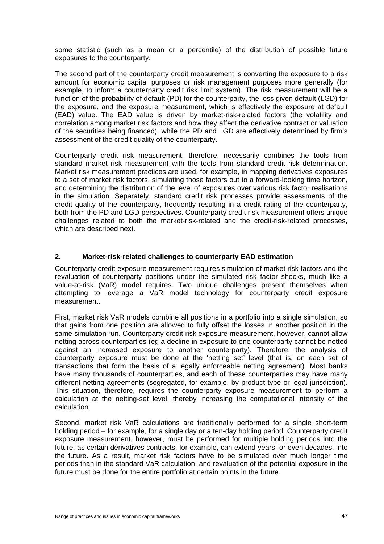some statistic (such as a mean or a percentile) of the distribution of possible future exposures to the counterparty.

The second part of the counterparty credit measurement is converting the exposure to a risk amount for economic capital purposes or risk management purposes more generally (for example, to inform a counterparty credit risk limit system). The risk measurement will be a function of the probability of default (PD) for the counterparty, the loss given default (LGD) for the exposure, and the exposure measurement, which is effectively the exposure at default (EAD) value. The EAD value is driven by market-risk-related factors (the volatility and correlation among market risk factors and how they affect the derivative contract or valuation of the securities being financed), while the PD and LGD are effectively determined by firm's assessment of the credit quality of the counterparty.

Counterparty credit risk measurement, therefore, necessarily combines the tools from standard market risk measurement with the tools from standard credit risk determination. Market risk measurement practices are used, for example, in mapping derivatives exposures to a set of market risk factors, simulating those factors out to a forward-looking time horizon, and determining the distribution of the level of exposures over various risk factor realisations in the simulation. Separately, standard credit risk processes provide assessments of the credit quality of the counterparty, frequently resulting in a credit rating of the counterparty, both from the PD and LGD perspectives. Counterparty credit risk measurement offers unique challenges related to both the market-risk-related and the credit-risk-related processes, which are described next.

#### **2. Market-risk-related challenges to counterparty EAD estimation**

Counterparty credit exposure measurement requires simulation of market risk factors and the revaluation of counterparty positions under the simulated risk factor shocks, much like a value-at-risk (VaR) model requires. Two unique challenges present themselves when attempting to leverage a VaR model technology for counterparty credit exposure measurement.

First, market risk VaR models combine all positions in a portfolio into a single simulation, so that gains from one position are allowed to fully offset the losses in another position in the same simulation run. Counterparty credit risk exposure measurement, however, cannot allow netting across counterparties (eg a decline in exposure to one counterparty cannot be netted against an increased exposure to another counterparty). Therefore, the analysis of counterparty exposure must be done at the 'netting set' level (that is, on each set of transactions that form the basis of a legally enforceable netting agreement). Most banks have many thousands of counterparties, and each of these counterparties may have many different netting agreements (segregated, for example, by product type or legal jurisdiction). This situation, therefore, requires the counterparty exposure measurement to perform a calculation at the netting-set level, thereby increasing the computational intensity of the calculation.

Second, market risk VaR calculations are traditionally performed for a single short-term holding period – for example, for a single day or a ten-day holding period. Counterparty credit exposure measurement, however, must be performed for multiple holding periods into the future, as certain derivatives contracts, for example, can extend years, or even decades, into the future. As a result, market risk factors have to be simulated over much longer time periods than in the standard VaR calculation, and revaluation of the potential exposure in the future must be done for the entire portfolio at certain points in the future.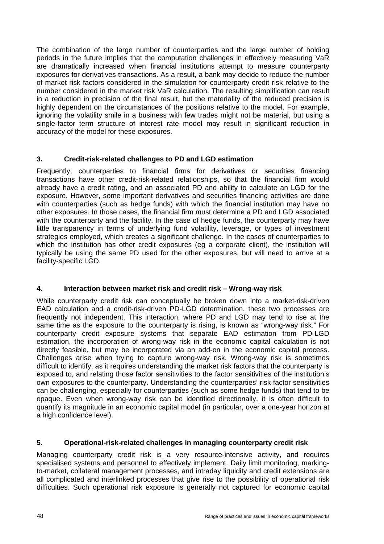The combination of the large number of counterparties and the large number of holding periods in the future implies that the computation challenges in effectively measuring VaR are dramatically increased when financial institutions attempt to measure counterparty exposures for derivatives transactions. As a result, a bank may decide to reduce the number of market risk factors considered in the simulation for counterparty credit risk relative to the number considered in the market risk VaR calculation. The resulting simplification can result in a reduction in precision of the final result, but the materiality of the reduced precision is highly dependent on the circumstances of the positions relative to the model. For example, ignoring the volatility smile in a business with few trades might not be material, but using a single-factor term structure of interest rate model may result in significant reduction in accuracy of the model for these exposures.

#### **3. Credit-risk-related challenges to PD and LGD estimation**

Frequently, counterparties to financial firms for derivatives or securities financing transactions have other credit-risk-related relationships, so that the financial firm would already have a credit rating, and an associated PD and ability to calculate an LGD for the exposure. However, some important derivatives and securities financing activities are done with counterparties (such as hedge funds) with which the financial institution may have no other exposures. In those cases, the financial firm must determine a PD and LGD associated with the counterparty and the facility. In the case of hedge funds, the counterparty may have little transparency in terms of underlying fund volatility, leverage, or types of investment strategies employed, which creates a significant challenge. In the cases of counterparties to which the institution has other credit exposures (eq a corporate client), the institution will typically be using the same PD used for the other exposures, but will need to arrive at a facility-specific LGD.

#### **4. Interaction between market risk and credit risk – Wrong-way risk**

While counterparty credit risk can conceptually be broken down into a market-risk-driven EAD calculation and a credit-risk-driven PD-LGD determination, these two processes are frequently not independent. This interaction, where PD and LGD may tend to rise at the same time as the exposure to the counterparty is rising, is known as "wrong-way risk." For counterparty credit exposure systems that separate EAD estimation from PD-LGD estimation, the incorporation of wrong-way risk in the economic capital calculation is not directly feasible, but may be incorporated via an add-on in the economic capital process. Challenges arise when trying to capture wrong-way risk. Wrong-way risk is sometimes difficult to identify, as it requires understanding the market risk factors that the counterparty is exposed to, and relating those factor sensitivities to the factor sensitivities of the institution's own exposures to the counterparty. Understanding the counterparties' risk factor sensitivities can be challenging, especially for counterparties (such as some hedge funds) that tend to be opaque. Even when wrong-way risk can be identified directionally, it is often difficult to quantify its magnitude in an economic capital model (in particular, over a one-year horizon at a high confidence level).

#### **5. Operational-risk-related challenges in managing counterparty credit risk**

Managing counterparty credit risk is a very resource-intensive activity, and requires specialised systems and personnel to effectively implement. Daily limit monitoring, markingto-market, collateral management processes, and intraday liquidity and credit extensions are all complicated and interlinked processes that give rise to the possibility of operational risk difficulties. Such operational risk exposure is generally not captured for economic capital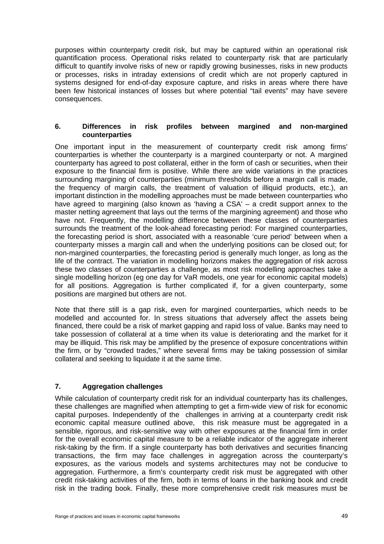purposes within counterparty credit risk, but may be captured within an operational risk quantification process. Operational risks related to counterparty risk that are particularly difficult to quantify involve risks of new or rapidly growing businesses, risks in new products or processes, risks in intraday extensions of credit which are not properly captured in systems designed for end-of-day exposure capture, and risks in areas where there have been few historical instances of losses but where potential "tail events" may have severe consequences.

#### **6. Differences in risk profiles between margined and non-margined counterparties**

One important input in the measurement of counterparty credit risk among firms' counterparties is whether the counterparty is a margined counterparty or not. A margined counterparty has agreed to post collateral, either in the form of cash or securities, when their exposure to the financial firm is positive. While there are wide variations in the practices surrounding margining of counterparties (minimum thresholds before a margin call is made, the frequency of margin calls, the treatment of valuation of illiquid products, etc.), an important distinction in the modelling approaches must be made between counterparties who have agreed to margining (also known as 'having a CSA' – a credit support annex to the master netting agreement that lays out the terms of the margining agreement) and those who have not. Frequently, the modelling difference between these classes of counterparties surrounds the treatment of the look-ahead forecasting period: For margined counterparties, the forecasting period is short, associated with a reasonable 'cure period' between when a counterparty misses a margin call and when the underlying positions can be closed out; for non-margined counterparties, the forecasting period is generally much longer, as long as the life of the contract. The variation in modelling horizons makes the aggregation of risk across these two classes of counterparties a challenge, as most risk modelling approaches take a single modelling horizon (eg one day for VaR models, one year for economic capital models) for all positions. Aggregation is further complicated if, for a given counterparty, some positions are margined but others are not.

Note that there still is a gap risk, even for margined counterparties, which needs to be modelled and accounted for. In stress situations that adversely affect the assets being financed, there could be a risk of market gapping and rapid loss of value. Banks may need to take possession of collateral at a time when its value is deteriorating and the market for it may be illiquid. This risk may be amplified by the presence of exposure concentrations within the firm, or by "crowded trades," where several firms may be taking possession of similar collateral and seeking to liquidate it at the same time.

#### **7. Aggregation challenges**

While calculation of counterparty credit risk for an individual counterparty has its challenges, these challenges are magnified when attempting to get a firm-wide view of risk for economic capital purposes. Independently of the challenges in arriving at a counterparty credit risk economic capital measure outlined above, this risk measure must be aggregated in a sensible, rigorous, and risk-sensitive way with other exposures at the financial firm in order for the overall economic capital measure to be a reliable indicator of the aggregate inherent risk-taking by the firm. If a single counterparty has both derivatives and securities financing transactions, the firm may face challenges in aggregation across the counterparty's exposures, as the various models and systems architectures may not be conducive to aggregation. Furthermore, a firm's counterparty credit risk must be aggregated with other credit risk-taking activities of the firm, both in terms of loans in the banking book and credit risk in the trading book. Finally, these more comprehensive credit risk measures must be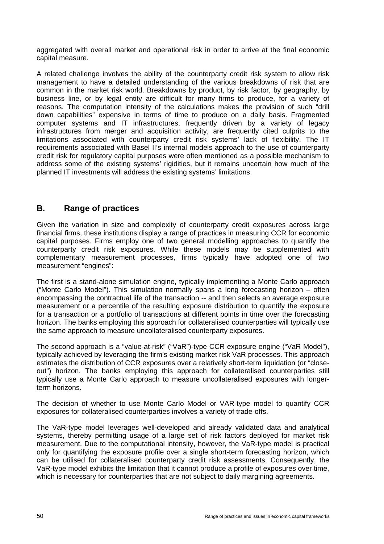aggregated with overall market and operational risk in order to arrive at the final economic capital measure.

A related challenge involves the ability of the counterparty credit risk system to allow risk management to have a detailed understanding of the various breakdowns of risk that are common in the market risk world. Breakdowns by product, by risk factor, by geography, by business line, or by legal entity are difficult for many firms to produce, for a variety of reasons. The computation intensity of the calculations makes the provision of such "drill down capabilities" expensive in terms of time to produce on a daily basis. Fragmented computer systems and IT infrastructures, frequently driven by a variety of legacy infrastructures from merger and acquisition activity, are frequently cited culprits to the limitations associated with counterparty credit risk systems' lack of flexibility. The IT requirements associated with Basel II's internal models approach to the use of counterparty credit risk for regulatory capital purposes were often mentioned as a possible mechanism to address some of the existing systems' rigidities, but it remains uncertain how much of the planned IT investments will address the existing systems' limitations.

## **B. Range of practices**

Given the variation in size and complexity of counterparty credit exposures across large financial firms, these institutions display a range of practices in measuring CCR for economic capital purposes. Firms employ one of two general modelling approaches to quantify the counterparty credit risk exposures. While these models may be supplemented with complementary measurement processes, firms typically have adopted one of two measurement "engines":

The first is a stand-alone simulation engine, typically implementing a Monte Carlo approach ("Monte Carlo Model"). This simulation normally spans a long forecasting horizon – often encompassing the contractual life of the transaction -- and then selects an average exposure measurement or a percentile of the resulting exposure distribution to quantify the exposure for a transaction or a portfolio of transactions at different points in time over the forecasting horizon. The banks employing this approach for collateralised counterparties will typically use the same approach to measure uncollateralised counterparty exposures.

The second approach is a "value-at-risk" ("VaR")-type CCR exposure engine ("VaR Model"), typically achieved by leveraging the firm's existing market risk VaR processes. This approach estimates the distribution of CCR exposures over a relatively short-term liquidation (or "closeout") horizon. The banks employing this approach for collateralised counterparties still typically use a Monte Carlo approach to measure uncollateralised exposures with longerterm horizons.

The decision of whether to use Monte Carlo Model or VAR-type model to quantify CCR exposures for collateralised counterparties involves a variety of trade-offs.

The VaR-type model leverages well-developed and already validated data and analytical systems, thereby permitting usage of a large set of risk factors deployed for market risk measurement. Due to the computational intensity, however, the VaR-type model is practical only for quantifying the exposure profile over a single short-term forecasting horizon, which can be utilised for collateralised counterparty credit risk assessments. Consequently, the VaR-type model exhibits the limitation that it cannot produce a profile of exposures over time, which is necessary for counterparties that are not subject to daily margining agreements.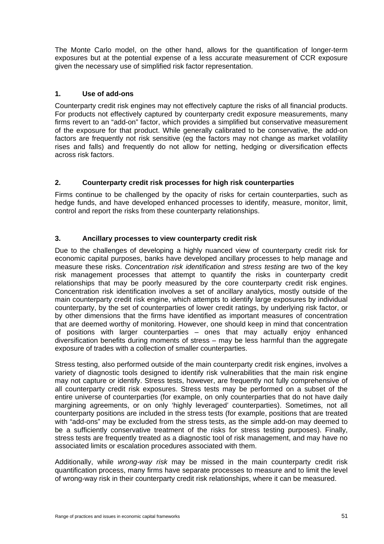The Monte Carlo model, on the other hand, allows for the quantification of longer-term exposures but at the potential expense of a less accurate measurement of CCR exposure given the necessary use of simplified risk factor representation.

#### **1. Use of add-ons**

Counterparty credit risk engines may not effectively capture the risks of all financial products. For products not effectively captured by counterparty credit exposure measurements, many firms revert to an "add-on" factor, which provides a simplified but conservative measurement of the exposure for that product. While generally calibrated to be conservative, the add-on factors are frequently not risk sensitive (eg the factors may not change as market volatility rises and falls) and frequently do not allow for netting, hedging or diversification effects across risk factors.

#### **2. Counterparty credit risk processes for high risk counterparties**

Firms continue to be challenged by the opacity of risks for certain counterparties, such as hedge funds, and have developed enhanced processes to identify, measure, monitor, limit, control and report the risks from these counterparty relationships.

#### **3. Ancillary processes to view counterparty credit risk**

Due to the challenges of developing a highly nuanced view of counterparty credit risk for economic capital purposes, banks have developed ancillary processes to help manage and measure these risks. *Concentration risk identification* and *stress testing* are two of the key risk management processes that attempt to quantify the risks in counterparty credit relationships that may be poorly measured by the core counterparty credit risk engines. Concentration risk identification involves a set of ancillary analytics, mostly outside of the main counterparty credit risk engine, which attempts to identify large exposures by individual counterparty, by the set of counterparties of lower credit ratings, by underlying risk factor, or by other dimensions that the firms have identified as important measures of concentration that are deemed worthy of monitoring. However, one should keep in mind that concentration of positions with larger counterparties – ones that may actually enjoy enhanced diversification benefits during moments of stress – may be less harmful than the aggregate exposure of trades with a collection of smaller counterparties.

Stress testing, also performed outside of the main counterparty credit risk engines, involves a variety of diagnostic tools designed to identify risk vulnerabilities that the main risk engine may not capture or identify. Stress tests, however, are frequently not fully comprehensive of all counterparty credit risk exposures. Stress tests may be performed on a subset of the entire universe of counterparties (for example, on only counterparties that do not have daily margining agreements, or on only 'highly leveraged' counterparties). Sometimes, not all counterparty positions are included in the stress tests (for example, positions that are treated with "add-ons" may be excluded from the stress tests, as the simple add-on may deemed to be a sufficiently conservative treatment of the risks for stress testing purposes). Finally, stress tests are frequently treated as a diagnostic tool of risk management, and may have no associated limits or escalation procedures associated with them.

Additionally, while *wrong-way risk* may be missed in the main counterparty credit risk quantification process, many firms have separate processes to measure and to limit the level of wrong-way risk in their counterparty credit risk relationships, where it can be measured.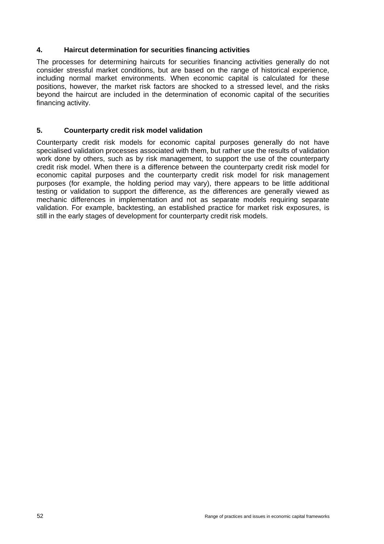#### **4. Haircut determination for securities financing activities**

The processes for determining haircuts for securities financing activities generally do not consider stressful market conditions, but are based on the range of historical experience, including normal market environments. When economic capital is calculated for these positions, however, the market risk factors are shocked to a stressed level, and the risks beyond the haircut are included in the determination of economic capital of the securities financing activity.

#### **5. Counterparty credit risk model validation**

Counterparty credit risk models for economic capital purposes generally do not have specialised validation processes associated with them, but rather use the results of validation work done by others, such as by risk management, to support the use of the counterparty credit risk model. When there is a difference between the counterparty credit risk model for economic capital purposes and the counterparty credit risk model for risk management purposes (for example, the holding period may vary), there appears to be little additional testing or validation to support the difference, as the differences are generally viewed as mechanic differences in implementation and not as separate models requiring separate validation. For example, backtesting, an established practice for market risk exposures, is still in the early stages of development for counterparty credit risk models.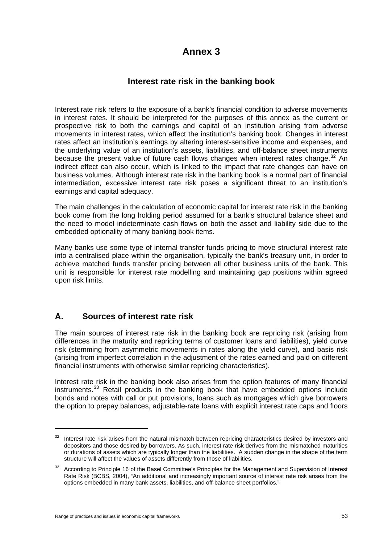# **Annex 3**

### **Interest rate risk in the banking book**

Interest rate risk refers to the exposure of a bank's financial condition to adverse movements in interest rates. It should be interpreted for the purposes of this annex as the current or prospective risk to both the earnings and capital of an institution arising from adverse movements in interest rates, which affect the institution's banking book. Changes in interest rates affect an institution's earnings by altering interest-sensitive income and expenses, and the underlying value of an institution's assets, liabilities, and off-balance sheet instruments because the present value of future cash flows changes when interest rates change.<sup>[32](#page-58-0)</sup> An indirect effect can also occur, which is linked to the impact that rate changes can have on business volumes. Although interest rate risk in the banking book is a normal part of financial intermediation, excessive interest rate risk poses a significant threat to an institution's earnings and capital adequacy.

The main challenges in the calculation of economic capital for interest rate risk in the banking book come from the long holding period assumed for a bank's structural balance sheet and the need to model indeterminate cash flows on both the asset and liability side due to the embedded optionality of many banking book items.

Many banks use some type of internal transfer funds pricing to move structural interest rate into a centralised place within the organisation, typically the bank's treasury unit, in order to achieve matched funds transfer pricing between all other business units of the bank. This unit is responsible for interest rate modelling and maintaining gap positions within agreed upon risk limits.

# **A. Sources of interest rate risk**

The main sources of interest rate risk in the banking book are repricing risk (arising from differences in the maturity and repricing terms of customer loans and liabilities), yield curve risk (stemming from asymmetric movements in rates along the yield curve), and basis risk (arising from imperfect correlation in the adjustment of the rates earned and paid on different financial instruments with otherwise similar repricing characteristics).

Interest rate risk in the banking book also arises from the option features of many financial instruments.<sup>[33](#page-58-1)</sup> Retail products in the banking book that have embedded options include bonds and notes with call or put provisions, loans such as mortgages which give borrowers the option to prepay balances, adjustable-rate loans with explicit interest rate caps and floors

 $\overline{a}$ 

<span id="page-58-0"></span><sup>&</sup>lt;sup>32</sup> Interest rate risk arises from the natural mismatch between repricing characteristics desired by investors and depositors and those desired by borrowers. As such, interest rate risk derives from the mismatched maturities or durations of assets which are typically longer than the liabilities. A sudden change in the shape of the term structure will affect the values of assets differently from those of liabilities.

<span id="page-58-1"></span><sup>&</sup>lt;sup>33</sup> According to Principle 16 of the Basel Committee's Principles for the Management and Supervision of Interest Rate Risk (BCBS, 2004), "An additional and increasingly important source of interest rate risk arises from the options embedded in many bank assets, liabilities, and off-balance sheet portfolios."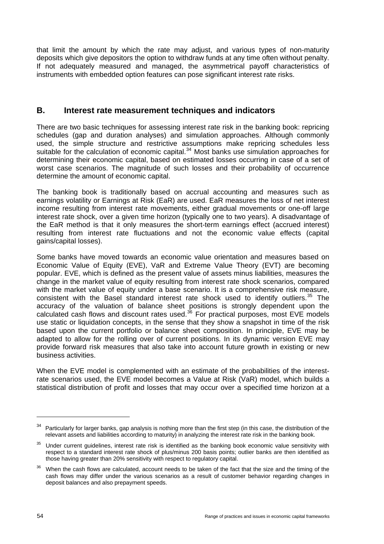that limit the amount by which the rate may adjust, and various types of non-maturity deposits which give depositors the option to withdraw funds at any time often without penalty. If not adequately measured and managed, the asymmetrical payoff characteristics of instruments with embedded option features can pose significant interest rate risks.

### **B. Interest rate measurement techniques and indicators**

There are two basic techniques for assessing interest rate risk in the banking book: repricing schedules (gap and duration analyses) and simulation approaches. Although commonly used, the simple structure and restrictive assumptions make repricing schedules less suitable for the calculation of economic capital.<sup>[34](#page-59-0)</sup> Most banks use simulation approaches for determining their economic capital, based on estimated losses occurring in case of a set of worst case scenarios. The magnitude of such losses and their probability of occurrence determine the amount of economic capital.

The banking book is traditionally based on accrual accounting and measures such as earnings volatility or Earnings at Risk (EaR) are used. EaR measures the loss of net interest income resulting from interest rate movements, either gradual movements or one-off large interest rate shock, over a given time horizon (typically one to two years). A disadvantage of the EaR method is that it only measures the short-term earnings effect (accrued interest) resulting from interest rate fluctuations and not the economic value effects (capital gains/capital losses).

Some banks have moved towards an economic value orientation and measures based on Economic Value of Equity (EVE), VaR and Extreme Value Theory (EVT) are becoming popular. EVE, which is defined as the present value of assets minus liabilities, measures the change in the market value of equity resulting from interest rate shock scenarios, compared with the market value of equity under a base scenario. It is a comprehensive risk measure, consistent with the Basel standard interest rate shock used to identify outliers.<sup>[35](#page-59-1)</sup> The accuracy of the valuation of balance sheet positions is strongly dependent upon the calculated cash flows and discount rates used.<sup>[36](#page-59-2)</sup> For practical purposes, most EVE models use static or liquidation concepts, in the sense that they show a snapshot in time of the risk based upon the current portfolio or balance sheet composition. In principle, EVE may be adapted to allow for the rolling over of current positions. In its dynamic version EVE may provide forward risk measures that also take into account future growth in existing or new business activities.

When the EVE model is complemented with an estimate of the probabilities of the interestrate scenarios used, the EVE model becomes a Value at Risk (VaR) model, which builds a statistical distribution of profit and losses that may occur over a specified time horizon at a

 $\overline{a}$ 

<span id="page-59-0"></span>Particularly for larger banks, gap analysis is nothing more than the first step (in this case, the distribution of the relevant assets and liabilities according to maturity) in analyzing the interest rate risk in the banking book.

<span id="page-59-1"></span> $35$  Under current guidelines, interest rate risk is identified as the banking book economic value sensitivity with respect to a standard interest rate shock of plus/minus 200 basis points; outlier banks are then identified as those having greater than 20% sensitivity with respect to regulatory capital.

<span id="page-59-2"></span><sup>&</sup>lt;sup>36</sup> When the cash flows are calculated, account needs to be taken of the fact that the size and the timing of the cash flows may differ under the various scenarios as a result of customer behavior regarding changes in deposit balances and also prepayment speeds.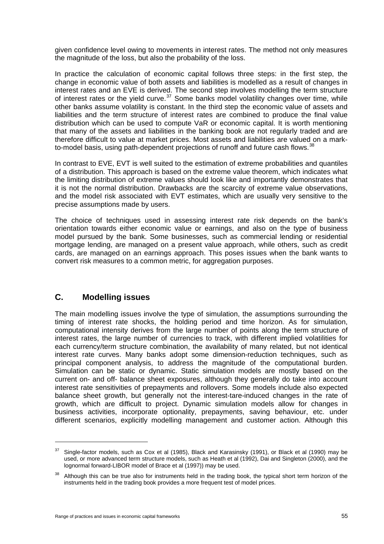given confidence level owing to movements in interest rates. The method not only measures the magnitude of the loss, but also the probability of the loss.

In practice the calculation of economic capital follows three steps: in the first step, the change in economic value of both assets and liabilities is modelled as a result of changes in interest rates and an EVE is derived. The second step involves modelling the term structure of interest rates or the yield curve.<sup>[37](#page-60-0)</sup> Some banks model volatility changes over time, while other banks assume volatility is constant. In the third step the economic value of assets and liabilities and the term structure of interest rates are combined to produce the final value distribution which can be used to compute VaR or economic capital. It is worth mentioning that many of the assets and liabilities in the banking book are not regularly traded and are therefore difficult to value at market prices. Most assets and liabilities are valued on a markto-model basis, using path-dependent projections of runoff and future cash flows.  $38$ 

In contrast to EVE, EVT is well suited to the estimation of extreme probabilities and quantiles of a distribution. This approach is based on the extreme value theorem, which indicates what the limiting distribution of extreme values should look like and importantly demonstrates that it is not the normal distribution. Drawbacks are the scarcity of extreme value observations, and the model risk associated with EVT estimates, which are usually very sensitive to the precise assumptions made by users.

The choice of techniques used in assessing interest rate risk depends on the bank's orientation towards either economic value or earnings, and also on the type of business model pursued by the bank. Some businesses, such as commercial lending or residential mortgage lending, are managed on a present value approach, while others, such as credit cards, are managed on an earnings approach. This poses issues when the bank wants to convert risk measures to a common metric, for aggregation purposes.

### **C. Modelling issues**

 $\overline{a}$ 

The main modelling issues involve the type of simulation, the assumptions surrounding the timing of interest rate shocks, the holding period and time horizon. As for simulation, computational intensity derives from the large number of points along the term structure of interest rates, the large number of currencies to track, with different implied volatilities for each currency/term structure combination, the availability of many related, but not identical interest rate curves. Many banks adopt some dimension-reduction techniques, such as principal component analysis, to address the magnitude of the computational burden. Simulation can be static or dynamic. Static simulation models are mostly based on the current on- and off- balance sheet exposures, although they generally do take into account interest rate sensitivities of prepayments and rollovers. Some models include also expected balance sheet growth, but generally not the interest-tare-induced changes in the rate of growth, which are difficult to project. Dynamic simulation models allow for changes in business activities, incorporate optionality, prepayments, saving behaviour, etc. under different scenarios, explicitly modelling management and customer action. Although this

<span id="page-60-0"></span> $37$  Single-factor models, such as Cox et al (1985), Black and Karasinsky (1991), or Black et al (1990) may be used, or more advanced term structure models, such as Heath et al (1992), Dai and Singleton (2000), and the lognormal forward-LIBOR model of Brace et al (1997)) may be used.

<span id="page-60-1"></span>Although this can be true also for instruments held in the trading book, the typical short term horizon of the instruments held in the trading book provides a more frequent test of model prices.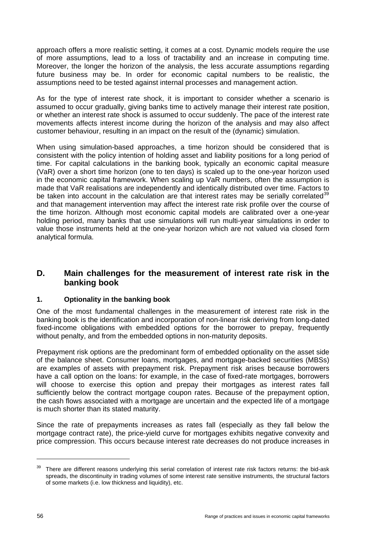approach offers a more realistic setting, it comes at a cost. Dynamic models require the use of more assumptions, lead to a loss of tractability and an increase in computing time. Moreover, the longer the horizon of the analysis, the less accurate assumptions regarding future business may be. In order for economic capital numbers to be realistic, the assumptions need to be tested against internal processes and management action.

As for the type of interest rate shock, it is important to consider whether a scenario is assumed to occur gradually, giving banks time to actively manage their interest rate position, or whether an interest rate shock is assumed to occur suddenly. The pace of the interest rate movements affects interest income during the horizon of the analysis and may also affect customer behaviour, resulting in an impact on the result of the (dynamic) simulation.

When using simulation-based approaches, a time horizon should be considered that is consistent with the policy intention of holding asset and liability positions for a long period of time. For capital calculations in the banking book, typically an economic capital measure (VaR) over a short time horizon (one to ten days) is scaled up to the one-year horizon used in the economic capital framework. When scaling up VaR numbers, often the assumption is made that VaR realisations are independently and identically distributed over time. Factors to be taken into account in the calculation are that interest rates may be serially correlated $39$ and that management intervention may affect the interest rate risk profile over the course of the time horizon. Although most economic capital models are calibrated over a one-year holding period, many banks that use simulations will run multi-year simulations in order to value those instruments held at the one-year horizon which are not valued via closed form analytical formula.

### **D. Main challenges for the measurement of interest rate risk in the banking book**

#### **1. Optionality in the banking book**

One of the most fundamental challenges in the measurement of interest rate risk in the banking book is the identification and incorporation of non-linear risk deriving from long-dated fixed-income obligations with embedded options for the borrower to prepay, frequently without penalty, and from the embedded options in non-maturity deposits.

Prepayment risk options are the predominant form of embedded optionality on the asset side of the balance sheet. Consumer loans, mortgages, and mortgage-backed securities (MBSs) are examples of assets with prepayment risk. Prepayment risk arises because borrowers have a call option on the loans: for example, in the case of fixed-rate mortgages, borrowers will choose to exercise this option and prepay their mortgages as interest rates fall sufficiently below the contract mortgage coupon rates. Because of the prepayment option, the cash flows associated with a mortgage are uncertain and the expected life of a mortgage is much shorter than its stated maturity.

Since the rate of prepayments increases as rates fall (especially as they fall below the mortgage contract rate), the price-yield curve for mortgages exhibits negative convexity and price compression. This occurs because interest rate decreases do not produce increases in

<span id="page-61-0"></span><sup>&</sup>lt;sup>39</sup> There are different reasons underlying this serial correlation of interest rate risk factors returns: the bid-ask spreads, the discontinuity in trading volumes of some interest rate sensitive instruments, the structural factors of some markets (i.e. low thickness and liquidity), etc.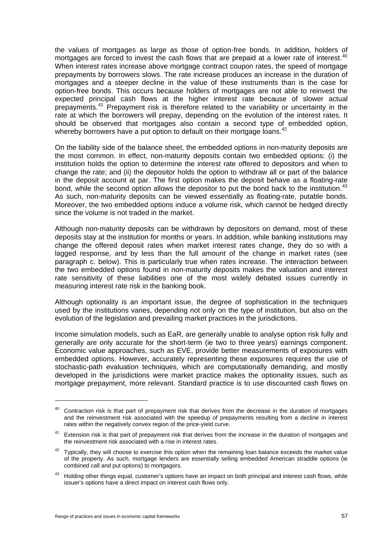the values of mortgages as large as those of option-free bonds. In addition, holders of mortgages are forced to invest the cash flows that are prepaid at a lower rate of interest.<sup>[40](#page-62-0)</sup> When interest rates increase above mortgage contract coupon rates, the speed of mortgage prepayments by borrowers slows. The rate increase produces an increase in the duration of mortgages and a steeper decline in the value of these instruments than is the case for option-free bonds. This occurs because holders of mortgages are not able to reinvest the expected principal cash flows at the higher interest rate because of slower actual prepayments.[41](#page-62-1) Prepayment risk is therefore related to the variability or uncertainty in the rate at which the borrowers will prepay, depending on the evolution of the interest rates. It should be observed that mortgages also contain a second type of embedded option, whereby borrowers have a put option to default on their mortgage loans.  $42$ 

On the liability side of the balance sheet, the embedded options in non-maturity deposits are the most common. In effect, non-maturity deposits contain two embedded options: (i) the institution holds the option to determine the interest rate offered to depositors and when to change the rate; and (ii) the depositor holds the option to withdraw all or part of the balance in the deposit account at par. The first option makes the deposit behave as a floating-rate bond, while the second option allows the depositor to put the bond back to the institution.<sup>[43](#page-62-3)</sup> As such, non-maturity deposits can be viewed essentially as floating-rate, putable bonds. Moreover, the two embedded options induce a volume risk, which cannot be hedged directly since the volume is not traded in the market.

Although non-maturity deposits can be withdrawn by depositors on demand, most of these deposits stay at the institution for months or years. In addition, while banking institutions may change the offered deposit rates when market interest rates change, they do so with a lagged response, and by less than the full amount of the change in market rates (see paragraph c. below). This is particularly true when rates increase. The interaction between the two embedded options found in non-maturity deposits makes the valuation and interest rate sensitivity of these liabilities one of the most widely debated issues currently in measuring interest rate risk in the banking book.

Although optionality is an important issue, the degree of sophistication in the techniques used by the institutions varies, depending not only on the type of institution, but also on the evolution of the legislation and prevailing market practices in the jurisdictions.

Income simulation models, such as EaR, are generally unable to analyse option risk fully and generally are only accurate for the short-term (ie two to three years) earnings component. Economic value approaches, such as EVE, provide better measurements of exposures with embedded options. However, accurately representing these exposures requires the use of stochastic-path evaluation techniques, which are computationally demanding, and mostly developed in the jurisdictions were market practice makes the optionality issues, such as mortgage prepayment, more relevant. Standard practice is to use discounted cash flows on

 $\overline{a}$ 

<span id="page-62-0"></span><sup>&</sup>lt;sup>40</sup> Contraction risk is that part of prepayment risk that derives from the decrease in the duration of mortgages and the reinvestment risk associated with the speedup of prepayments resulting from a decline in interest rates within the negatively convex region of the price-yield curve.

<span id="page-62-1"></span><sup>&</sup>lt;sup>41</sup> Extension risk is that part of prepayment risk that derives from the increase in the duration of mortgages and the reinvestment risk associated with a rise in interest rates.

<span id="page-62-2"></span> $42$  Typically, they will choose to exercise this option when the remaining loan balance exceeds the market value of the property. As such, mortgage lenders are essentially selling embedded American straddle options (ie combined call and put options) to mortgagors.

<span id="page-62-3"></span><sup>&</sup>lt;sup>43</sup> Holding other things equal, customer's options have an impact on both principal and interest cash flows, while issuer's options have a direct impact on interest cash flows only.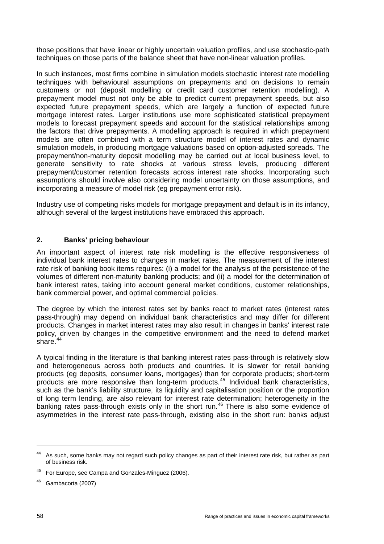those positions that have linear or highly uncertain valuation profiles, and use stochastic-path techniques on those parts of the balance sheet that have non-linear valuation profiles.

In such instances, most firms combine in simulation models stochastic interest rate modelling techniques with behavioural assumptions on prepayments and on decisions to remain customers or not (deposit modelling or credit card customer retention modelling). A prepayment model must not only be able to predict current prepayment speeds, but also expected future prepayment speeds, which are largely a function of expected future mortgage interest rates. Larger institutions use more sophisticated statistical prepayment models to forecast prepayment speeds and account for the statistical relationships among the factors that drive prepayments. A modelling approach is required in which prepayment models are often combined with a term structure model of interest rates and dynamic simulation models, in producing mortgage valuations based on option-adjusted spreads. The prepayment/non-maturity deposit modelling may be carried out at local business level, to generate sensitivity to rate shocks at various stress levels, producing different prepayment/customer retention forecasts across interest rate shocks. Incorporating such assumptions should involve also considering model uncertainty on those assumptions, and incorporating a measure of model risk (eg prepayment error risk).

Industry use of competing risks models for mortgage prepayment and default is in its infancy, although several of the largest institutions have embraced this approach.

#### **2. Banks' pricing behaviour**

An important aspect of interest rate risk modelling is the effective responsiveness of individual bank interest rates to changes in market rates. The measurement of the interest rate risk of banking book items requires: (i) a model for the analysis of the persistence of the volumes of different non-maturity banking products; and (ii) a model for the determination of bank interest rates, taking into account general market conditions, customer relationships, bank commercial power, and optimal commercial policies.

The degree by which the interest rates set by banks react to market rates (interest rates pass-through) may depend on individual bank characteristics and may differ for different products. Changes in market interest rates may also result in changes in banks' interest rate policy, driven by changes in the competitive environment and the need to defend market share. $44$ 

A typical finding in the literature is that banking interest rates pass-through is relatively slow and heterogeneous across both products and countries. It is slower for retail banking products (eg deposits, consumer loans, mortgages) than for corporate products; short-term products are more responsive than long-term products.<sup>[45](#page-63-1)</sup> Individual bank characteristics, such as the bank's liability structure, its liquidity and capitalisation position or the proportion of long term lending, are also relevant for interest rate determination; heterogeneity in the banking rates pass-through exists only in the short run.<sup>[46](#page-63-2)</sup> There is also some evidence of asymmetries in the interest rate pass-through, existing also in the short run: banks adjust

<span id="page-63-0"></span><sup>&</sup>lt;sup>44</sup> As such, some banks may not regard such policy changes as part of their interest rate risk, but rather as part of business risk.

<span id="page-63-1"></span><sup>45</sup> For Europe, see Campa and Gonzales-Minguez (2006).

<span id="page-63-2"></span><sup>46</sup> Gambacorta (2007)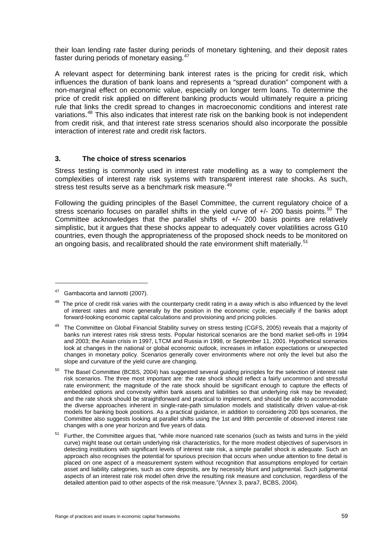their loan lending rate faster during periods of monetary tightening, and their deposit rates faster during periods of monetary easing.<sup>[47](#page-64-0)</sup>

A relevant aspect for determining bank interest rates is the pricing for credit risk, which influences the duration of bank loans and represents a "spread duration" component with a non-marginal effect on economic value, especially on longer term loans. To determine the price of credit risk applied on different banking products would ultimately require a pricing rule that links the credit spread to changes in macroeconomic conditions and interest rate variations.<sup>[48](#page-64-1)</sup> This also indicates that interest rate risk on the banking book is not independent from credit risk, and that interest rate stress scenarios should also incorporate the possible interaction of interest rate and credit risk factors.

#### **3. The choice of stress scenarios**

Stress testing is commonly used in interest rate modelling as a way to complement the complexities of interest rate risk systems with transparent interest rate shocks. As such, stress test results serve as a benchmark risk measure.<sup>[49](#page-64-2)</sup>

Following the guiding principles of the Basel Committee, the current regulatory choice of a stress scenario focuses on parallel shifts in the yield curve of  $+/- 200$  basis points.<sup>[50](#page-64-3)</sup> The Committee acknowledges that the parallel shifts of +/- 200 basis points are relatively simplistic, but it argues that these shocks appear to adequately cover volatilities across G10 countries, even though the appropriateness of the proposed shock needs to be monitored on an ongoing basis, and recalibrated should the rate environment shift materially.<sup>[51](#page-64-4)</sup>

<span id="page-64-0"></span><sup>&</sup>lt;sup>47</sup> Gambacorta and Iannotti (2007).

<span id="page-64-1"></span> $48$  The price of credit risk varies with the counterparty credit rating in a away which is also influenced by the level of interest rates and more generally by the position in the economic cycle, especially if the banks adopt forward-looking economic capital calculations and provisioning and pricing policies.

<span id="page-64-2"></span><sup>&</sup>lt;sup>49</sup> The Committee on Global Financial Stability survey on stress testing (CGFS, 2005) reveals that a majority of banks run interest rates risk stress tests. Popular historical scenarios are the bond market sell-offs in 1994 and 2003; the Asian crisis in 1997, LTCM and Russia in 1998, or September 11, 2001. Hypothetical scenarios look at changes in the national or global economic outlook, increases in inflation expectations or unexpected changes in monetary policy. Scenarios generally cover environments where not only the level but also the slope and curvature of the yield curve are changing.

<span id="page-64-3"></span> $50$  The Basel Committee (BCBS, 2004) has suggested several guiding principles for the selection of interest rate risk scenarios. The three most important are: the rate shock should reflect a fairly uncommon and stressful rate environment; the magnitude of the rate shock should be significant enough to capture the effects of embedded options and convexity within bank assets and liabilities so that underlying risk may be revealed; and the rate shock should be straightforward and practical to implement, and should be able to accommodate the diverse approaches inherent in single-rate-path simulation models and statistically driven value-at-risk models for banking book positions. As a practical guidance, in addition to considering 200 bps scenarios, the Committee also suggests looking at parallel shifts using the 1st and 99th percentile of observed interest rate changes with a one year horizon and five years of data.

<span id="page-64-4"></span><sup>&</sup>lt;sup>51</sup> Further, the Committee argues that, "while more nuanced rate scenarios (such as twists and turns in the yield curve) might tease out certain underlying risk characteristics, for the more modest objectives of supervisors in detecting institutions with significant levels of interest rate risk, a simple parallel shock is adequate. Such an approach also recognises the potential for spurious precision that occurs when undue attention to fine detail is placed on one aspect of a measurement system without recognition that assumptions employed for certain asset and liability categories, such as core deposits, are by necessity blunt and judgmental. Such judgmental aspects of an interest rate risk model often drive the resulting risk measure and conclusion, regardless of the detailed attention paid to other aspects of the risk measure."(Annex 3, para7, BCBS, 2004).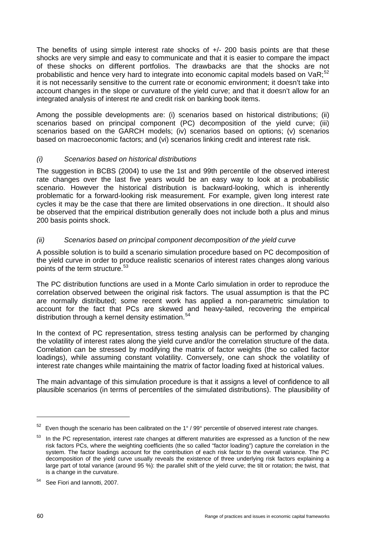The benefits of using simple interest rate shocks of +/- 200 basis points are that these shocks are very simple and easy to communicate and that it is easier to compare the impact of these shocks on different portfolios. The drawbacks are that the shocks are not probabilistic and hence very hard to integrate into economic capital models based on  $VaR$ ;<sup>[52](#page-65-0)</sup> it is not necessarily sensitive to the current rate or economic environment; it doesn't take into account changes in the slope or curvature of the yield curve; and that it doesn't allow for an integrated analysis of interest rte and credit risk on banking book items.

Among the possible developments are: (i) scenarios based on historical distributions; (ii) scenarios based on principal component (PC) decomposition of the yield curve; (iii) scenarios based on the GARCH models; (iv) scenarios based on options; (v) scenarios based on macroeconomic factors; and (vi) scenarios linking credit and interest rate risk.

#### *(i) Scenarios based on historical distributions*

The suggestion in BCBS (2004) to use the 1st and 99th percentile of the observed interest rate changes over the last five years would be an easy way to look at a probabilistic scenario. However the historical distribution is backward-looking, which is inherently problematic for a forward-looking risk measurement. For example, given long interest rate cycles it may be the case that there are limited observations in one direction.. It should also be observed that the empirical distribution generally does not include both a plus and minus 200 basis points shock.

#### *(ii) Scenarios based on principal component decomposition of the yield curve*

A possible solution is to build a scenario simulation procedure based on PC decomposition of the yield curve in order to produce realistic scenarios of interest rates changes along various points of the term structure.<sup>[53](#page-65-1)</sup>

The PC distribution functions are used in a Monte Carlo simulation in order to reproduce the correlation observed between the original risk factors. The usual assumption is that the PC are normally distributed; some recent work has applied a non-parametric simulation to account for the fact that PCs are skewed and heavy-tailed, recovering the empirical distribution through a kernel density estimation.<sup>[54](#page-65-2)</sup>

In the context of PC representation, stress testing analysis can be performed by changing the volatility of interest rates along the yield curve and/or the correlation structure of the data. Correlation can be stressed by modifying the matrix of factor weights (the so called factor loadings), while assuming constant volatility. Conversely, one can shock the volatility of interest rate changes while maintaining the matrix of factor loading fixed at historical values.

The main advantage of this simulation procedure is that it assigns a level of confidence to all plausible scenarios (in terms of percentiles of the simulated distributions). The plausibility of

 $\overline{a}$ 

<span id="page-65-0"></span>Even though the scenario has been calibrated on the 1° / 99° percentile of observed interest rate changes.

<span id="page-65-1"></span>In the PC representation, interest rate changes at different maturities are expressed as a function of the new risk factors PCs, where the weighting coefficients (the so called "factor loading") capture the correlation in the system. The factor loadings account for the contribution of each risk factor to the overall variance. The PC decomposition of the yield curve usually reveals the existence of three underlying risk factors explaining a large part of total variance (around 95 %): the parallel shift of the yield curve; the tilt or rotation; the twist, that is a change in the curvature.

<span id="page-65-2"></span><sup>54</sup> See Fiori and Iannotti, 2007.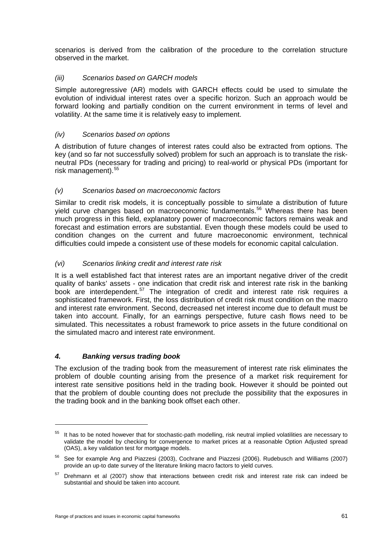scenarios is derived from the calibration of the procedure to the correlation structure observed in the market.

#### *(iii) Scenarios based on GARCH models*

Simple autoregressive (AR) models with GARCH effects could be used to simulate the evolution of individual interest rates over a specific horizon. Such an approach would be forward looking and partially condition on the current environment in terms of level and volatility. At the same time it is relatively easy to implement.

#### *(iv) Scenarios based on options*

A distribution of future changes of interest rates could also be extracted from options. The key (and so far not successfully solved) problem for such an approach is to translate the riskneutral PDs (necessary for trading and pricing) to real-world or physical PDs (important for risk management).<sup>[55](#page-66-0)</sup>

#### *(v) Scenarios based on macroeconomic factors*

Similar to credit risk models, it is conceptually possible to simulate a distribution of future yield curve changes based on macroeconomic fundamentals.<sup>[56](#page-66-1)</sup> Whereas there has been much progress in this field, explanatory power of macroeconomic factors remains weak and forecast and estimation errors are substantial. Even though these models could be used to condition changes on the current and future macroeconomic environment, technical difficulties could impede a consistent use of these models for economic capital calculation.

#### *(vi) Scenarios linking credit and interest rate risk*

It is a well established fact that interest rates are an important negative driver of the credit quality of banks' assets - one indication that credit risk and interest rate risk in the banking  $\overline{b}$ ook are interdependent.<sup>[57](#page-66-2)</sup> The integration of credit and interest rate risk requires a sophisticated framework. First, the loss distribution of credit risk must condition on the macro and interest rate environment. Second, decreased net interest income due to default must be taken into account. Finally, for an earnings perspective, future cash flows need to be simulated. This necessitates a robust framework to price assets in the future conditional on the simulated macro and interest rate environment.

#### *4. Banking versus trading book*

 $\overline{a}$ 

The exclusion of the trading book from the measurement of interest rate risk eliminates the problem of double counting arising from the presence of a market risk requirement for interest rate sensitive positions held in the trading book. However it should be pointed out that the problem of double counting does not preclude the possibility that the exposures in the trading book and in the banking book offset each other.

<span id="page-66-0"></span><sup>&</sup>lt;sup>55</sup> It has to be noted however that for stochastic-path modelling, risk neutral implied volatilities are necessary to validate the model by checking for convergence to market prices at a reasonable Option Adjusted spread (OAS), a key validation test for mortgage models.

<span id="page-66-1"></span><sup>56</sup> See for example Ang and Piazzesi (2003), Cochrane and Piazzesi (2006). Rudebusch and Williams (2007) provide an up-to date survey of the literature linking macro factors to yield curves.

<span id="page-66-2"></span><sup>&</sup>lt;sup>57</sup> Drehmann et al (2007) show that interactions between credit risk and interest rate risk can indeed be substantial and should be taken into account.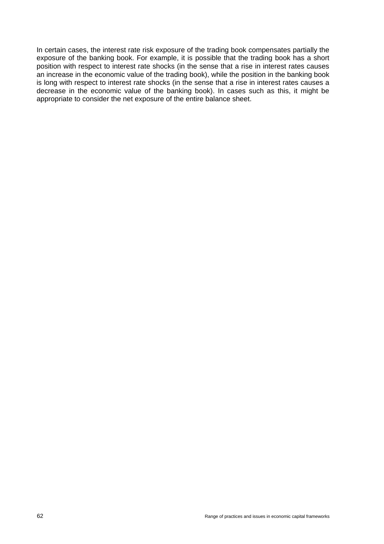In certain cases, the interest rate risk exposure of the trading book compensates partially the exposure of the banking book. For example, it is possible that the trading book has a short position with respect to interest rate shocks (in the sense that a rise in interest rates causes an increase in the economic value of the trading book), while the position in the banking book is long with respect to interest rate shocks (in the sense that a rise in interest rates causes a decrease in the economic value of the banking book). In cases such as this, it might be appropriate to consider the net exposure of the entire balance sheet.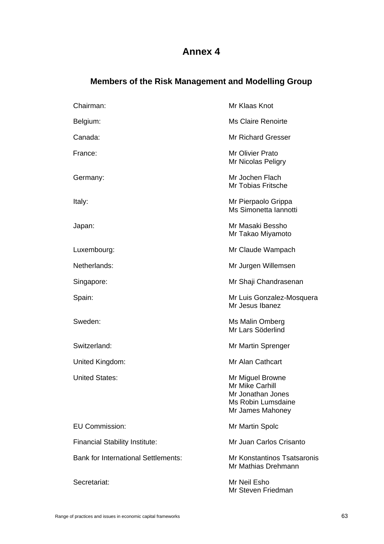# **Annex 4**

# **Members of the Risk Management and Modelling Group**

| Chairman:                                  | Mr Klaas Knot                                                                                      |
|--------------------------------------------|----------------------------------------------------------------------------------------------------|
| Belgium:                                   | <b>Ms Claire Renoirte</b>                                                                          |
| Canada:                                    | <b>Mr Richard Gresser</b>                                                                          |
| France:                                    | Mr Olivier Prato<br>Mr Nicolas Peligry                                                             |
| Germany:                                   | Mr Jochen Flach<br><b>Mr Tobias Fritsche</b>                                                       |
| Italy:                                     | Mr Pierpaolo Grippa<br>Ms Simonetta Iannotti                                                       |
| Japan:                                     | Mr Masaki Bessho<br>Mr Takao Miyamoto                                                              |
| Luxembourg:                                | Mr Claude Wampach                                                                                  |
| Netherlands:                               | Mr Jurgen Willemsen                                                                                |
| Singapore:                                 | Mr Shaji Chandrasenan                                                                              |
| Spain:                                     | Mr Luis Gonzalez-Mosquera<br>Mr Jesus Ibanez                                                       |
| Sweden:                                    | Ms Malin Omberg<br>Mr Lars Söderlind                                                               |
| Switzerland:                               | Mr Martin Sprenger                                                                                 |
| United Kingdom:                            | Mr Alan Cathcart                                                                                   |
| <b>United States:</b>                      | Mr Miguel Browne<br>Mr Mike Carhill<br>Mr Jonathan Jones<br>Ms Robin Lumsdaine<br>Mr James Mahoney |
| <b>EU Commission:</b>                      | Mr Martin Spolc                                                                                    |
| <b>Financial Stability Institute:</b>      | Mr Juan Carlos Crisanto                                                                            |
| <b>Bank for International Settlements:</b> | Mr Konstantinos Tsatsaronis<br>Mr Mathias Drehmann                                                 |
| Secretariat:                               | Mr Neil Esho<br>Mr Steven Friedman                                                                 |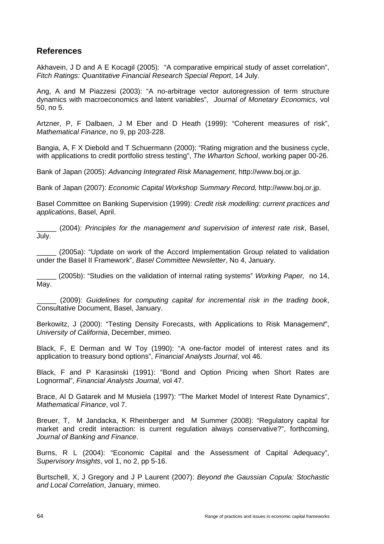# **References**

Akhavein, J D and A E Kocagil (2005): "A comparative empirical study of asset correlation", *Fitch Ratings: Quantitative Financial Research Special Report*, 14 July.

Ang, A and M Piazzesi (2003): "A no-arbitrage vector autoregression of term structure dynamics with macroeconomics and latent variables", *Journal of Monetary Economics*, vol 50, no 5.

Artzner, P, F Dalbaen, J M Eber and D Heath (1999): "Coherent measures of risk", *Mathematical Finance*, no 9, pp 203-228.

Bangia, A, F X Diebold and T Schuermann (2000): "Rating migration and the business cycle, with applications to credit portfolio stress testing", *The Wharton School*, working paper 00-26.

Bank of Japan (2005): *Advancing Integrated Risk Management*, [http://www.boj.or.jp](http://www.boj.or.jp/).

Bank of Japan (2007): *Economic Capital Workshop Summary Record,* [http://www.boj.or.jp](http://www.boj.or.jp/).

Basel Committee on Banking Supervision (1999): *Credit risk modelling: current practices and applications*, Basel, April.

\_\_\_\_\_ (2004): *Principles for the management and supervision of interest rate risk*, Basel, July.

\_\_\_\_\_ (2005a): "Update on work of the Accord Implementation Group related to validation under the Basel II Framework", *Basel Committee Newsletter*, No 4, January.

\_\_\_\_\_ (2005b): "Studies on the validation of internal rating systems" *Working Paper,* no 14, May.

\_\_\_\_\_ (2009): *Guidelines for computing capital for incremental risk in the trading book*, Consultative Document, Basel, January.

Berkowitz, J (2000): "Testing Density Forecasts, with Applications to Risk Managemen*t*", *University of California*, December, mimeo.

Black, F, E Derman and W Toy (1990): "A one-factor model of interest rates and its application to treasury bond options", *Financial Analysts Journal*, vol 46.

Black, F and P Karasinski (1991): "Bond and Option Pricing when Short Rates are Lognormal", *Financial Analysts Journal*, vol 47.

Brace, Al D Gatarek and M Musiela (1997): "The Market Model of Interest Rate Dynamics", *Mathematical Finance*, vol 7.

Breuer, T, M Jandacka, K Rheinberger and M Summer (2008): "Regulatory capital for market and credit interaction: is current regulation always conservative?", forthcoming, *Journal of Banking and Finance*.

Burns, R L (2004): "Economic Capital and the Assessment of Capital Adequacy", *Supervisory Insights*, vol 1, no 2, pp 5-16.

Burtschell, X, J Gregory and J P Laurent (2007): *Beyond the Gaussian Copula: Stochastic and Local Correlation*, January, mimeo.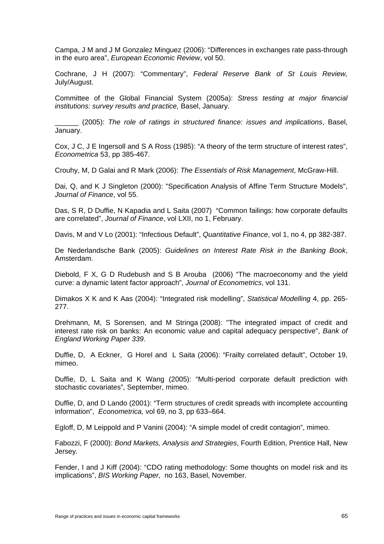Campa, J M and J M Gonzalez Minguez (2006): "Differences in exchanges rate pass-through in the euro area", *European Economic Review*, vol 50.

Cochrane, J H (2007): "Commentary", *Federal Reserve Bank of St Louis Review,*  July/August.

Committee of the Global Financial System (2005a): *Stress testing at major financial institutions: survey results and practice,* Basel, January.

\_\_\_\_\_\_ (2005): *The role of ratings in structured finance: issues and implications*, Basel, January.

Cox, J C, J E Ingersoll and S A Ross (1985): "A theory of the term structure of interest rates", *Econometrica* 53, pp 385-467.

Crouhy, M, D Galai and R Mark (2006): *The Essentials of Risk Management*, McGraw-Hill.

Dai, Q, and K J Singleton (2000): "Specification Analysis of Affine Term Structure Models", *Journal of Finance*, vol 55.

Das, S R, D Duffie, N Kapadia and L Saita (2007) "Common failings: how corporate defaults are correlated", *Journal of Finance*, vol LXII, no 1, February.

Davis, M and V Lo (2001): "Infectious Default", *Quantitative Finance*, vol 1, no 4, pp 382-387.

De Nederlandsche Bank (2005): *Guidelines on Interest Rate Risk in the Banking Book*, Amsterdam.

Diebold, F X, G D Rudebush and S B Arouba (2006) "The macroeconomy and the yield curve: a dynamic latent factor approach", *Journal of Econometrics*, vol 131.

Dimakos X K and K Aas (2004): "Integrated risk modelling", *Statistical Modelling* 4, pp. 265- 277.

Drehmann, M, S Sorensen, and M Stringa (2008): "The integrated impact of credit and interest rate risk on banks: An economic value and capital adequacy perspective", *Bank of England Working Paper 339*.

Duffie, D, A Eckner, G Horel and L Saita (2006): "Frailty correlated default", October 19, mimeo.

Duffie, D, L Saita and K Wang (2005): "Multi-period corporate default prediction with stochastic covariates", September, mimeo.

Duffie, D, and D Lando (2001): "Term structures of credit spreads with incomplete accounting information", *Econometrica,* vol 69, no 3, pp 633–664.

Egloff, D, M Leippold and P Vanini (2004): "A simple model of credit contagion", mimeo.

Fabozzi, F (2000): *Bond Markets, Analysis and Strategies*, Fourth Edition, Prentice Hall, New Jersey.

Fender, I and J Kiff (2004): "CDO rating methodology: Some thoughts on model risk and its implications", *BIS Working Paper,* no 163, Basel, November.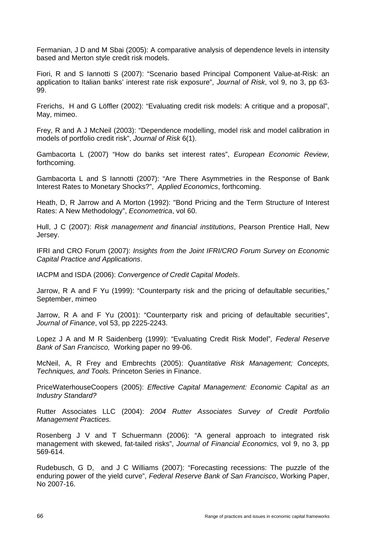Fermanian, J D and M Sbai (2005): A comparative analysis of dependence levels in intensity based and Merton style credit risk models.

Fiori, R and S Iannotti S (2007): "Scenario based Principal Component Value-at-Risk: an application to Italian banks' interest rate risk exposure", *Journal of Risk*, vol 9, no 3, pp 63- 99.

Frerichs, H and G Löffler (2002): "Evaluating credit risk models: A critique and a proposal", May, mimeo.

Frey, R and A J McNeil (2003): "Dependence modelling, model risk and model calibration in models of portfolio credit risk", *Journal of Risk* 6(1).

Gambacorta L (2007) "How do banks set interest rates", *European Economic Review*, forthcoming.

Gambacorta L and S Iannotti (2007): "Are There Asymmetries in the Response of Bank Interest Rates to Monetary Shocks?", *Applied Economics*, forthcoming.

Heath, D, R Jarrow and A Morton (1992): "Bond Pricing and the Term Structure of Interest Rates: A New Methodology", *Econometrica*, vol 60.

Hull, J C (2007): *Risk management and financial institutions*, Pearson Prentice Hall, New Jersey.

IFRI and CRO Forum (2007): *Insights from the Joint IFRI/CRO Forum Survey on Economic Capital Practice and Applications*.

IACPM and ISDA (2006): *Convergence of Credit Capital Models*.

Jarrow, R A and F Yu (1999): "Counterparty risk and the pricing of defaultable securities," September, mimeo

Jarrow, R A and F Yu (2001): "Counterparty risk and pricing of defaultable securities", *Journal of Finance*, vol 53, pp 2225-2243.

Lopez J A and M R Saidenberg (1999): "Evaluating Credit Risk Model"*, Federal Reserve Bank of San Francisco,* Working paper no 99-06.

McNeil, A, R Frey and Embrechts (2005): *Quantitative Risk Management; Concepts, Techniques, and Tools.* Princeton Series in Finance.

PriceWaterhouseCoopers (2005): *Effective Capital Management: Economic Capital as an Industry Standard?* 

Rutter Associates LLC (2004): *2004 Rutter Associates Survey of Credit Portfolio Management Practices.*

Rosenberg J V and T Schuermann (2006): "A general approach to integrated risk management with skewed, fat-tailed risks", *Journal of Financial Economics,* vol 9, no 3, pp 569-614.

Rudebusch, G D, and J C Williams (2007): "Forecasting recessions: The puzzle of the enduring power of the yield curve", *Federal Reserve Bank of San Francisco*, Working Paper, No 2007-16.